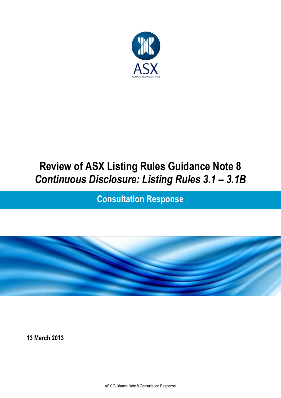

# **Review of ASX Listing Rules Guidance Note 8** *Continuous Disclosure: Listing Rules 3.1 – 3.1B*

**Consultation Response**



**13 March 2013**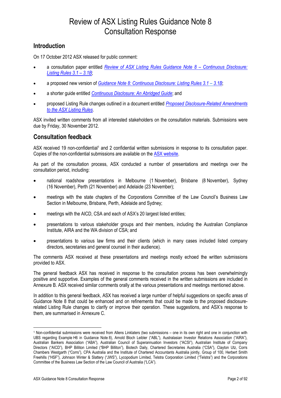#### **Introduction**

On 17 October 2012 ASX released for public comment:

- a consultation paper entitled *[Review of ASX Listing Rules Guidance Note 8](http://www.asxgroup.com.au/media/GN_8_Consultation_Paper.pdf) – Continuous Disclosure: [Listing Rules 3.1](http://www.asxgroup.com.au/media/GN_8_Consultation_Paper.pdf) – 3.1B*;
- a proposed new version of *[Guidance Note 8: Continuous Disclosure: Listing Rules 3.1](http://www.asxgroup.com.au/media/Guidance_Note_8.pdf) – 3.1B*;
- a shorter guide entitled *[Continuous Disclosure: An Abridged Guide](http://www.asxgroup.com.au/media/Abridged_CD_Guide.pdf)*; and
- proposed Listing Rule changes outlined in a document entitled *[Proposed Disclosure-Related Amendments](http://www.asxgroup.com.au/media/CD_Listing_Rule_Amendments.pdf)  [to the ASX Listing Rules](http://www.asxgroup.com.au/media/CD_Listing_Rule_Amendments.pdf)*.

ASX invited written comments from all interested stakeholders on the consultation materials. Submissions were due by Friday, 30 November 2012.

#### **Consultation feedback**

ASX received 19 non-confidential<sup>1</sup> and 2 confidential written submissions in response to its consultation paper. Copies of the non-confidential submissions are available on the [ASX website.](http://www.asxgroup.com.au/public-consultations-submissions-received.htm)

As part of the consultation process, ASX conducted a number of presentations and meetings over the consultation period, including:

- national roadshow presentations in Melbourne (1 November), Brisbane (8 November), Sydney (16 November), Perth (21 November) and Adelaide (23 November);
- meetings with the state chapters of the Corporations Committee of the Law Council's Business Law Section in Melbourne, Brisbane, Perth, Adelaide and Sydney;
- meetings with the AICD, CSA and each of ASX's 20 largest listed entities;
- presentations to various stakeholder groups and their members, including the Australian Compliance Institute, AIRA and the WA division of CSA; and
- presentations to various law firms and their clients (which in many cases included listed company directors, secretaries and general counsel in their audience).

The comments ASX received at these presentations and meetings mostly echoed the written submissions provided to ASX.

The general feedback ASX has received in response to the consultation process has been overwhelmingly positive and supportive. Examples of the general comments received in the written submissions are included in Annexure B. ASX received similar comments orally at the various presentations and meetings mentioned above.

In addition to this general feedback, ASX has received a large number of helpful suggestions on specific areas of Guidance Note 8 that could be enhanced and on refinements that could be made to the proposed disclosurerelated Listing Rule changes to clarify or improve their operation. These suggestions, and ASX's response to them, are summarised in Annexure C.

 $\ddot{ }$ 

<sup>1</sup> Non-confidential submissions were received from Allens Linklaters (two submissions – one in its own right and one in conjunction with UBS regarding Example H6 in Guidance Note 8), Arnold Bloch Leibler ("ABL"), Australasian Investor Relations Association ("AIRA"), Australian Bankers Association ("ABA"), Australian Council of Superannuation Investors ("ACSI"), Australian Institute of Company Directors ("AICD"), BHP Billiton Limited ("BHP Billiton"), Biotech Daily, Chartered Secretaries Australia ("CSA"), Clayton Utz, Corrs Chambers Westgarth ("Corrs"), CPA Australia and the Institute of Chartered Accountants Australia jointly, Group of 100, Herbert Smith Freehills ("HSF"), Johnson Winter & Slattery ("JWS"), Lycopodium Limited, Telstra Corporation Limited ("Telstra") and the Corporations Committee of the Business Law Section of the Law Council of Australia ("LCA").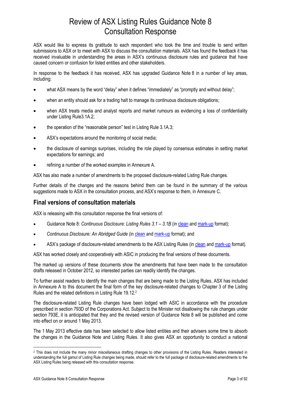ASX would like to express its gratitude to each respondent who took the time and trouble to send written submissions to ASX or to meet with ASX to discuss the consultation materials. ASX has found the feedback it has received invaluable in understanding the areas in ASX's continuous disclosure rules and guidance that have caused concern or confusion for listed entities and other stakeholders.

In response to the feedback it has received, ASX has upgraded Guidance Note 8 in a number of key areas, including:

- what ASX means by the word "delay" when it defines "immediately" as "promptly and without delay";
- when an entity should ask for a trading halt to manage its continuous disclosure obligations;
- when ASX treats media and analyst reports and market rumours as evidencing a loss of confidentiality under Listing Rule3.1A.2;
- the operation of the "reasonable person" test in Listing Rule 3.1A.3;
- ASX's expectations around the monitoring of social media;
- the disclosure of earnings surprises, including the role played by consensus estimates in setting market expectations for earnings; and
- refining a number of the worked examples in Annexure A.

ASX has also made a number of amendments to the proposed disclosure-related Listing Rule changes.

Further details of the changes and the reasons behind them can be found in the summary of the various suggestions made to ASX in the consultation process, and ASX's response to them, in Annexure C.

#### **Final versions of consultation materials**

ASX is releasing with this consultation response the final versions of:

- Guidance Note 8: *Continuous Disclosure: Listing Rules 3.1 – 3.1B* (i[n clean](http://www.asx.com.au/documents/about/guidance-note-8-clean-copy.pdf) and [mark-up](http://www.asx.com.au/documents/about/guidance-note-8-compare.pdf) format);
- *Continuous Disclosure: An Abridged Guide* (in [clean](http://www.asx.com.au/documents/about/abridged-continuous-disclosure-guide-clean-copy.pdf) an[d mark-up](http://www.asx.com.au/documents/about/abridged-continuous-disclosure-guide-compare.pdf) format); and
- ASX's package of disclosure-related amendments to the ASX Listing Rules (i[n clean](http://www.asx.com.au/documents/about/continuous-disclosure-listing-rule-changes-clean-copy.pdf) an[d mark-up](http://www.asx.com.au/documents/about/continuous-disclosure-listing-rule-changes-compare.pdf) format).

ASX has worked closely and cooperatively with ASIC in producing the final versions of these documents.

The marked up versions of these documents show the amendments that have been made to the consultation drafts released in October 2012, so interested parties can readily identify the changes.

To further assist readers to identify the main changes that are being made to the Listing Rules, ASX has included in Annexure A to this document the final form of the key disclosure-related changes to Chapter 3 of the Listing Rules and the related definitions in Listing Rule 19.12.<sup>2</sup>

The disclosure-related Listing Rule changes have been lodged with ASIC in accordance with the procedure prescribed in section 793D of the Corporations Act. Subject to the Minister not disallowing the rule changes under section 793E, it is anticipated that they and the revised version of Guidance Note 8 will be published and come into effect on or around 1 May 2013.

The 1 May 2013 effective date has been selected to allow listed entities and their advisers some time to absorb the changes in the Guidance Note and Listing Rules. It also gives ASX an opportunity to conduct a national

 $\ddot{ }$ 

<sup>&</sup>lt;sup>2</sup> This does not include the many minor miscellaneous drafting changes to other provisions of the Listing Rules. Readers interested in understanding the full gamut of Listing Rule changes being made, should refer to the full package of disclosure-related amendments to the ASX Listing Rules being released with this consultation response.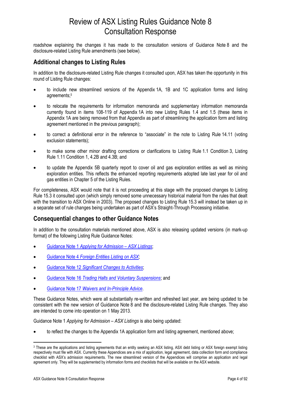roadshow explaining the changes it has made to the consultation versions of Guidance Note 8 and the disclosure-related Listing Rule amendments (see below).

#### **Additional changes to Listing Rules**

In addition to the disclosure-related Listing Rule changes it consulted upon, ASX has taken the opportunity in this round of Listing Rule changes:

- to include new streamlined versions of the Appendix 1A, 1B and 1C application forms and listing agreements; 3
- to relocate the requirements for information memoranda and supplementary information memoranda currently found in items 108-119 of Appendix 1A into new Listing Rules 1.4 and 1.5 (these items in Appendix 1A are being removed from that Appendix as part of streamlining the application form and listing agreement mentioned in the previous paragraph);
- to correct a definitional error in the reference to "associate" in the note to Listing Rule 14.11 (voting exclusion statements);
- to make some other minor drafting corrections or clarifications to Listing Rule 1.1 Condition 3, Listing Rule 1.11 Condition 1, 4.2B and 4.3B; and
- to update the Appendix 5B quarterly report to cover oil and gas exploration entities as well as mining exploration entities. This reflects the enhanced reporting requirements adopted late last year for oil and gas entities in Chapter 5 of the Listing Rules.

For completeness, ASX would note that it is not proceeding at this stage with the proposed changes to Listing Rule 15.3 it consulted upon (which simply removed some unnecessary historical material from the rules that dealt with the transition to ASX Online in 2003). The proposed changes to Listing Rule 15.3 will instead be taken up in a separate set of rule changes being undertaken as part of ASX's Straight-Through Processing initiative.

#### **Consequential changes to other Guidance Notes**

In addition to the consultation materials mentioned above, ASX is also releasing updated versions (in mark-up format) of the following Listing Rule Guidance Notes:

- Guidance Note 1 *[Applying for Admission](http://www.asx.com.au/documents/about/guidance-note-1-compare.pdf) – ASX Listings*;
- Guidance Note 4 *[Foreign Entities Listing on ASX](http://www.asx.com.au/documents/about/guidance-note-4-compare.pdf)*;
- Guidance Note 12 *[Significant Changes to Activities](http://www.asx.com.au/documents/about/guidance-note-12-compare.pdf)*;
- Guidance Note 16 *[Trading Halts and Voluntary Suspensions](http://www.asx.com.au/documents/about/guidance-note-16-compare.pdf)*; and
- Guidance Note 17 *[Waivers and In-Principle Advice](http://www.asx.com.au/documents/about/guidance-note-17-compare.pdf)*.

These Guidance Notes, which were all substantially re-written and refreshed last year, are being updated to be consistent with the new version of Guidance Note 8 and the disclosure-related Listing Rule changes. They also are intended to come into operation on 1 May 2013.

Guidance Note 1 *Applying for Admission – ASX Listings* is also being updated:

to reflect the changes to the Appendix 1A application form and listing agreement, mentioned above;

 $\overline{a}$ 

<sup>3</sup> These are the applications and listing agreements that an entity seeking an ASX listing, ASX debt listing or ASX foreign exempt listing respectively must file with ASX. Currently these Appendices are a mix of application, legal agreement, data collection form and compliance checklist with ASX's admission requirements. The new streamlined version of the Appendices will comprise an application and legal agreement only. They will be supplemented by information forms and checklists that will be available on the ASX website.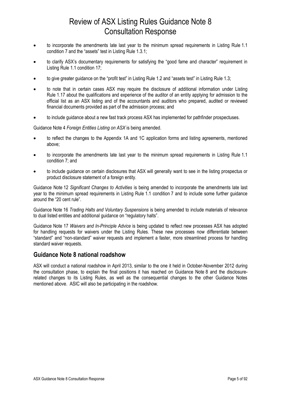- to incorporate the amendments late last year to the minimum spread requirements in Listing Rule 1.1 condition 7 and the "assets" test in Listing Rule 1.3.1;
- to clarify ASX's documentary requirements for satisfying the "good fame and character" requirement in Listing Rule 1.1 condition 17;
- to give greater guidance on the "profit test" in Listing Rule 1.2 and "assets test" in Listing Rule 1.3;
- to note that in certain cases ASX may require the disclosure of additional information under Listing Rule 1.17 about the qualifications and experience of the auditor of an entity applying for admission to the official list as an ASX listing and of the accountants and auditors who prepared, audited or reviewed financial documents provided as part of the admission process; and
- to include guidance about a new fast track process ASX has implemented for pathfinder prospectuses.

Guidance Note 4 *Foreign Entities Listing on ASX* is being amended.

- to reflect the changes to the Appendix 1A and 1C application forms and listing agreements, mentioned above;
- to incorporate the amendments late last year to the minimum spread requirements in Listing Rule 1.1 condition 7; and
- to include guidance on certain disclosures that ASX will generally want to see in the listing prospectus or product disclosure statement of a foreign entity.

Guidance Note 12 *Significant Changes to Activities* is being amended to incorporate the amendments late last year to the minimum spread requirements in Listing Rule 1.1 condition 7 and to include some further guidance around the "20 cent rule".

Guidance Note 16 *Trading Halts and Voluntary Suspensions* is being amended to include materials of relevance to dual listed entities and additional guidance on "regulatory halts".

Guidance Note 17 *Waivers and In-Principle Advice* is being updated to reflect new processes ASX has adopted for handling requests for waivers under the Listing Rules. These new processes now differentiate between "standard" and "non-standard" waiver requests and implement a faster, more streamlined process for handling standard waiver requests.

#### **Guidance Note 8 national roadshow**

ASX will conduct a national roadshow in April 2013, similar to the one it held in October-November 2012 during the consultation phase, to explain the final positions it has reached on Guidance Note 8 and the disclosurerelated changes to its Listing Rules, as well as the consequential changes to the other Guidance Notes mentioned above. ASIC will also be participating in the roadshow.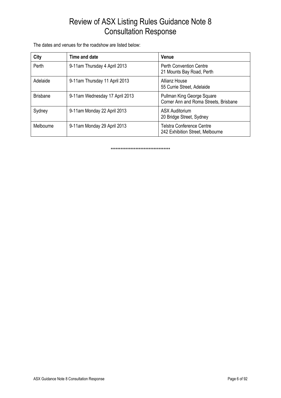The dates and venues for the roadshow are listed below:

| City            | Time and date                  | <b>Venue</b>                                                         |
|-----------------|--------------------------------|----------------------------------------------------------------------|
| Perth           | 9-11am Thursday 4 April 2013   | <b>Perth Convention Centre</b><br>21 Mounts Bay Road, Perth          |
| Adelaide        | 9-11am Thursday 11 April 2013  | Allianz House<br>55 Currie Street, Adelaide                          |
| <b>Brisbane</b> | 9-11am Wednesday 17 April 2013 | Pullman King George Square<br>Corner Ann and Roma Streets, Brisbane  |
| Sydney          | 9-11am Monday 22 April 2013    | <b>ASX Auditorium</b><br>20 Bridge Street, Sydney                    |
| Melbourne       | 9-11am Monday 29 April 2013    | <b>Telstra Conference Centre</b><br>242 Exhibition Street, Melbourne |

\*\*\*\*\*\*\*\*\*\*\*\*\*\*\*\*\*\*\*\*\*\*\*\*\*\*\*\*\*\*\*\*\*\*\*\*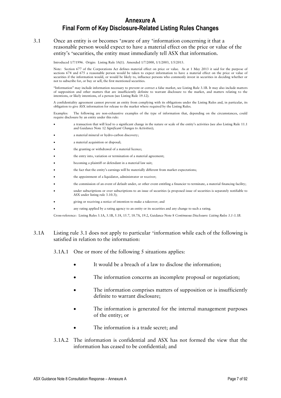#### 3.1 Once an entity is or becomes +aware of any +information concerning it that a reasonable person would expect to have a material effect on the price or value of the entity's <sup>+</sup>securities, the entity must immediately tell ASX that information.

Introduced 1/7/1996. Origin: Listing Rule 3A(1). Amended 1/7/2000, 1/1/2003, 1/5/2013.

Note: Section 677 of the Corporations Act defines material effect on price or value. As at 1 May 2013 it said for the purpose of sections 674 and 675 a reasonable person would be taken to expect information to have a material effect on the price or value of securities if the information would, or would be likely to, influence persons who commonly invest in securities in deciding whether or not to subscribe for, or buy or sell, the first mentioned securities.

"Information" may include information necessary to prevent or correct a false market, see Listing Rule 3.1B. It may also include matters of supposition and other matters that are insufficiently definite to warrant disclosure to the market, and matters relating to the intentions, or likely intentions, of a person (see Listing Rule 19.12).

A confidentiality agreement cannot prevent an entity from complying with its obligations under the Listing Rules and, in particular, its obligation to give ASX information for release to the market where required by the Listing Rules.

Examples: The following are non-exhaustive examples of the type of information that, depending on the circumstances, could require disclosure by an entity under this rule:

- a transaction that will lead to a significant change in the nature or scale of the entity's activities (see also Listing Rule 11.1 and Guidance Note 12 *Significant Changes to Activities*);
- a material mineral or hydro-carbon discovery;
- a material acquisition or disposal;
- the granting or withdrawal of a material licence;
- the entry into, variation or termination of a material agreement;
- becoming a plaintiff or defendant in a material law suit;
- the fact that the entity's earnings will be materially different from market expectations;
- the appointment of a liquidator, administrator or receiver;
- the commission of an event of default under, or other event entitling a financier to terminate, a material financing facility;
- under subscriptions or over subscriptions to an issue of securities (a proposed issue of securities is separately notifiable to ASX under listing rule 3.10.3);
- giving or receiving a notice of intention to make a takeover; and
- any rating applied by a rating agency to an entity or its securities and any change to such a rating.

Cross-reference: Listing Rules 3.1A, 3.1B, 5.18, 15.7, 18.7A, 19.2, Guidance Note 8 *Continuous Disclosure: Listing Rules 3.1-3.1B*.

#### 3.1A Listing rule 3.1 does not apply to particular +information while each of the following is satisfied in relation to the information:

3.1A.1 One or more of the following 5 situations applies:

- It would be a breach of a law to disclose the information;
- The information concerns an incomplete proposal or negotiation;
- The information comprises matters of supposition or is insufficiently definite to warrant disclosure;
- The information is generated for the internal management purposes of the entity; or
- The information is a trade secret; and
- 3.1A.2 The information is confidential and ASX has not formed the view that the information has ceased to be confidential; and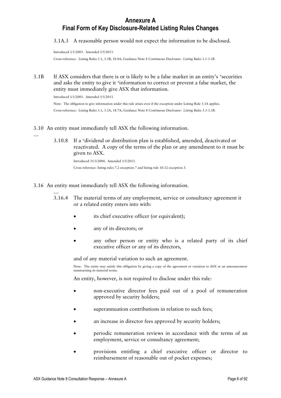3.1A.3 A reasonable person would not expect the information to be disclosed.

Introduced 1/1/2003. Amended 1/5/2013.

Cross-reference: Listing Rules 3.1, 3.1B, 18.8A; Guidance Note 8 *Continuous Disclosure: Listing Rules 3.1-3.1B*.

3.1B If ASX considers that there is or is likely to be a false market in an entity's +securities and asks the entity to give it +information to correct or prevent a false market, the entity must immediately give ASX that information.

Introduced 1/1/2003. Amended 1/5/2013. Note: The obligation to give information under this rule arises even if the exception under Listing Rule 3.1A applies. Cross-reference: Listing Rules 3.1, 3.1A, 18.7A; Guidance Note 8 *Continuous Disclosure: Listing Rules 3.1-3.1B*.

#### 3.10 An entity must immediately tell ASX the following information.

…

3.10.8 If a +dividend or distribution plan is established, amended, deactivated or reactivated. A copy of the terms of the plan or any amendment to it must be given to ASX.

Introduced 31/3/2004. Amended 1/5/2013. Cross reference: listing rules 7.2 exception 7 and listing rule 10.12 exception 3.

- 3.16 An entity must immediately tell ASX the following information.
	- … 3.16.4 The material terms of any employment, service or consultancy agreement it or a related entity enters into with:
		- its chief executive officer (or equivalent);
		- any of its directors; or
		- any other person or entity who is a related party of its chief executive officer or any of its directors,

and of any material variation to such an agreement.

Note: The entity may satisfy this obligation by giving a copy of the agreement or variation to ASX or an announcement summarising its material terms.

An entity, however, is not required to disclose under this rule:

- non-executive director fees paid out of a pool of remuneration approved by security holders;
- superannuation contributions in relation to such fees;
- an increase in director fees approved by security holders;
- periodic remuneration reviews in accordance with the terms of an employment, service or consultancy agreement;
- provisions entitling a chief executive officer or director to reimbursement of reasonable out of pocket expenses;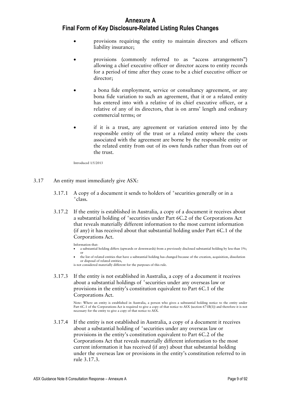- provisions requiring the entity to maintain directors and officers liability insurance;
- provisions (commonly referred to as "access arrangements") allowing a chief executive officer or director access to entity records for a period of time after they cease to be a chief executive officer or director;
- a bona fide employment, service or consultancy agreement, or any bona fide variation to such an agreement, that it or a related entity has entered into with a relative of its chief executive officer, or a relative of any of its directors, that is on arms' length and ordinary commercial terms; or
- if it is a trust, any agreement or variation entered into by the responsible entity of the trust or a related entity where the costs associated with the agreement are borne by the responsible entity or the related entity from out of its own funds rather than from out of the trust.

Introduced 1/5/2013

- 3.17 An entity must immediately give ASX:
	- 3.17.1 A copy of a document it sends to holders of <sup>+</sup>securities generally or in a + class.
	- 3.17.2 If the entity is established in Australia, a copy of a document it receives about a substantial holding of <sup>+</sup>securities under Part 6C.2 of the Corporations Act that reveals materially different information to the most current information (if any) it has received about that substantial holding under Part 6C.1 of the Corporations Act.

#### Information that:

- a substantial holding differs (upwards or downwards) from a previously disclosed substantial holding by less than 1%; or
- the list of related entities that have a substantial holding has changed because of the creation, acquisition, dissolution or disposal of related entities, is not considered materially different for the purposes of this rule.
- 3.17.3 If the entity is not established in Australia, a copy of a document it receives about a substantial holdings of <sup>+</sup> securities under any overseas law or provisions in the entity's constitution equivalent to Part 6C.1 of the Corporations Act.

Note: Where an entity is established in Australia, a person who gives a substantial holding notice to the entity under Part 6C.1 of the Corporations Act is required to give a copy of that notice to ASX (section 671B(1)) and therefore it is not necessary for the entity to give a copy of that notice to ASX.

3.17.4 If the entity is not established in Australia, a copy of a document it receives about a substantial holding of <sup>+</sup>securities under any overseas law or provisions in the entity's constitution equivalent to Part 6C.2 of the Corporations Act that reveals materially different information to the most current information it has received (if any) about that substantial holding under the overseas law or provisions in the entity's constitution referred to in rule 3.17.3.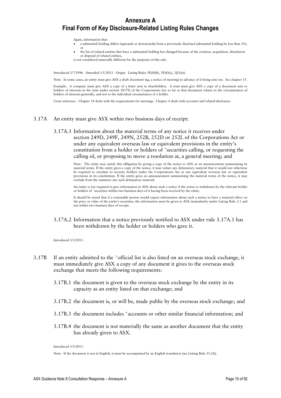Again, information that:

- a substantial holding differs (upwards or downwards) from a previously disclosed substantial holding by less than 1%; or
- the list of related entities that have a substantial holding has changed because of the creation, acquisition, dissolution or disposal of related entities, is not considered materially different for the purposes of this rule.

Introduced 1/7/1996. Amended 1/5/2013. Origin: Listing Rules 3E(8)(b), 3E(8)(c), 3J(1)(a).

Note: In some cases, an entity must give ASX a draft document (eg, a notice of meeting) in advance of it being sent out. See chapter 15.

Example: A company must give ASX a copy of a letter sent to shareholders. A trust must give ASX a copy of a document sent to holders of interests in the trust under section 1017D of the Corporations Act so far as that document relates to the circumstances of holders of interests generally, and not to the individual circumstances of a holder.

Cross reference: Chapter 14 deals with the requirements for meetings. Chapter 4 deals with accounts and related disclosure.

#### 3.17A An entity must give ASX within two business days of receipt:

3.17A.1 Information about the material terms of any notice it receives under section 249D, 249F, 249N, 252B, 252D or 252L of the Corporations Act or under any equivalent overseas law or equivalent provisions in the entity's constitution from a holder or holders of <sup>+</sup> securities calling, or requesting the calling of, or proposing to move a resolution at, a general meeting; and

> Note: The entity may satisfy this obligation by giving a copy of the notice to ASX or an announcement summarising its material terms. If the entity gives a copy of the notice, it may redact any defamatory material that it would not otherwise be required to circulate to security holders under the Corporations Act or any equivalent overseas law or equivalent provisions in its constitution. If the entity gives an announcement summarising the material terms of the notice, it may exclude from the summary any such defamatory material.

> An entity is not required to give information to ASX about such a notice if the notice is withdrawn by the relevant holder or holders of <sup>+</sup> securities within two business days of it having been received by the entity.

> It should be noted that if a reasonable person would expect information about such a notice to have a material effect on the price or value of the entity's securities, the information must be given to ASX immediately under Listing Rule 3.1 and not within two business days of receipt.

3.17A.2 Information that a notice previously notified to ASX under rule 3.17A.1 has been withdrawn by the holder or holders who gave it.

Introduced 1/5/2013.

- 3.17B If an entity admitted to the <sup>+</sup>official list is also listed on an overseas stock exchange, it must immediately give ASX a copy of any document it gives to the overseas stock exchange that meets the following requirements:
	- 3.17B.1 the document is given to the overseas stock exchange by the entity in its capacity as an entity listed on that exchange; and
	- 3.17B.2 the document is, or will be, made public by the overseas stock exchange; and
	- 3.17B.3 the document includes <sup>+</sup> accounts or other similar financial information; and
	- 3.17B.4 the document is not materially the same as another document that the entity has already given to ASX.

Introduced 1/5/2013.

Note: If the document is not in English, it must be accompanied by an English translation (see Listing Rule 15.2A).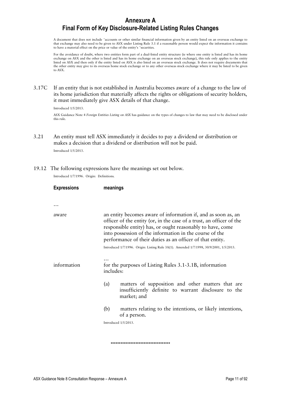A document that does not include <sup>+</sup> accounts or other similar financial information given by an entity listed on an overseas exchange to that exchange may also need to be given to ASX under Listing Rule 3.1 if a reasonable person would expect the information it contains to have a material effect on the price or value of the entity's <sup>+</sup>securities.

For the avoidance of doubt, where two entities form part of a dual-listed entity structure (ie where one entity is listed and has its home exchange on ASX and the other is listed and has its home exchange on an overseas stock exchange), this rule only applies to the entity listed on ASX and then only if the entity listed on ASX is also listed on an overseas stock exchange. It does not require documents that the other entity may give to its overseas home stock exchange or to any other overseas stock exchange where it may be listed to be given to ASX.

3.17C If an entity that is not established in Australia becomes aware of a change to the law of its home jurisdiction that materially affects the rights or obligations of security holders, it must immediately give ASX details of that change.

Introduced 1/5/2013.

ASX Guidance Note 4 *Foreign Entities Listing on ASX* has guidance on the types of changes to law that may need to be disclosed under this rule.

3.21 An entity must tell ASX immediately it decides to pay a dividend or distribution or makes a decision that a dividend or distribution will not be paid.

Introduced 1/5/2013.

19.12 The following expressions have the meanings set out below.

Introduced 1/7/1996. Origin: Definitions.

| <b>Expressions</b> |                                                                                                                                                                                                                                                                                                                             | meanings                                                                                                                 |  |
|--------------------|-----------------------------------------------------------------------------------------------------------------------------------------------------------------------------------------------------------------------------------------------------------------------------------------------------------------------------|--------------------------------------------------------------------------------------------------------------------------|--|
|                    |                                                                                                                                                                                                                                                                                                                             |                                                                                                                          |  |
|                    |                                                                                                                                                                                                                                                                                                                             |                                                                                                                          |  |
| aware              | an entity becomes aware of information if, and as soon as, an<br>officer of the entity (or, in the case of a trust, an officer of the<br>responsible entity) has, or ought reasonably to have, come<br>into possession of the information in the course of the<br>performance of their duties as an officer of that entity. |                                                                                                                          |  |
|                    |                                                                                                                                                                                                                                                                                                                             | Introduced 1/7/1996. Origin: Listing Rule 3A(1). Amended 1/7/1998, 30/9/2001, 1/5/2013.                                  |  |
| information        | .<br>for the purposes of Listing Rules 3.1-3.1B, information<br>includes:                                                                                                                                                                                                                                                   |                                                                                                                          |  |
|                    | (a)                                                                                                                                                                                                                                                                                                                         | matters of supposition and other matters that are<br>insufficiently definite to warrant disclosure to the<br>market; and |  |
|                    | (b)                                                                                                                                                                                                                                                                                                                         | matters relating to the intentions, or likely intentions,<br>of a person.                                                |  |
|                    | Introduced 1/5/2013.                                                                                                                                                                                                                                                                                                        |                                                                                                                          |  |
|                    |                                                                                                                                                                                                                                                                                                                             |                                                                                                                          |  |

\*\*\*\*\*\*\*\*\*\*\*\*\*\*\*\*\*\*\*\*\*\*\*\*\*\*\*\*\*\*\*\*\*\*\*\*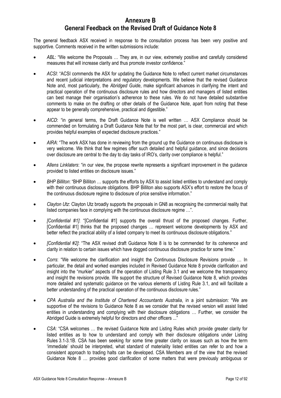#### **Annexure B General Feedback on the Revised Draft of Guidance Note 8**

The general feedback ASX received in response to the consultation process has been very positive and supportive. Comments received in the written submissions include:

- *ABL*: "We welcome the Proposals … They are, in our view, extremely positive and carefully considered measures that will increase clarity and thus promote investor confidence."
- *ACSI*: "ACSI commends the ASX for updating the Guidance Note to reflect current market circumstances and recent judicial interpretations and regulatory developments. We believe that the revised Guidance Note and, most particularly, the *Abridged Guide*, make significant advances in clarifying the intent and practical operation of the continuous disclosure rules and how directors and managers of listed entities can best manage their organisation's adherence to these rules. We do not have detailed substantive comments to make on the drafting or other details of the Guidance Note, apart from noting that these appear to be generally comprehensive, practical and digestible."
- AICD: "in general terms, the Draft Guidance Note is well written ... ASX Compliance should be commended on formulating a Draft Guidance Note that for the most part, is clear, commercial and which provides helpful examples of expected disclosure practices."
- *AIRA*: "The work ASX has done in reviewing from the ground up the Guidance on continuous disclosure is very welcome. We think that few regimes offer such detailed and helpful guidance, and since decisions over disclosure are central to the day to day tasks of IRO's, clarity over compliance is helpful."
- *Allens Linklaters*: "in our view, the propose rewrite represents a significant improvement in the guidance provided to listed entities on disclosure issues."
- *BHP Billiton*: "BHP Billiton … supports the efforts by ASX to assist listed entities to understand and comply with their continuous disclosure obligations. BHP Billiton also supports ASX's effort to restore the focus of the continuous disclosure regime to disclosure of price sensitive information."
- *Clayton Utz*: Clayton Utz broadly supports the proposals in GN8 as recognising the commercial reality that listed companies face in complying with the continuous disclosure regime …".
- *[Confidential #1]*: "[Confidential #1] supports the overall thrust of the proposed changes. Further, [Confidential #1] thinks that the proposed changes … represent welcome developments by ASX and better reflect the practical ability of a listed company to meet its continuous disclosure obligations."
- *[Confidential #2]*: "The ASX revised draft Guidance Note 8 is to be commended for its coherence and clarity in relation to certain issues which have dogged continuous disclosure practice for some time."
- *Corrs*: "We welcome the clarification and insight the Continuous Disclosure Revisions provide … In particular, the detail and worked examples included in Revised Guidance Note 8 provide clarification and insight into the "murkier" aspects of the operation of Listing Rule 3.1 and we welcome the transparency and insight the revisions provide. We support the structure of Revised Guidance Note 8, which provides more detailed and systematic guidance on the various elements of Listing Rule 3.1, and will facilitate a better understanding of the practical operation of the continuous disclosure rules."
- *CPA Australia and the Institute of Chartered Accountants Australia*, in a joint submission: "We are supportive of the revisions to Guidance Note 8 as we consider that the revised version will assist listed entities in understanding and complying with their disclosure obligations … Further, we consider the Abridged Guide is extremely helpful for directors and other officers ..."
- *CSA*: "CSA welcomes … the revised Guidance Note and Listing Rules which provide greater clarity for listed entities as to how to understand and comply with their disclosure obligations under Listing Rules 3.1-3.1B. CSA has been seeking for some time greater clarity on issues such as how the term 'immediate' should be interpreted, what standard of materiality listed entities can refer to and how a consistent approach to trading halts can be developed. CSA Members are of the view that the revised Guidance Note 8 … provides good clarification of some matters that were previously ambiguous or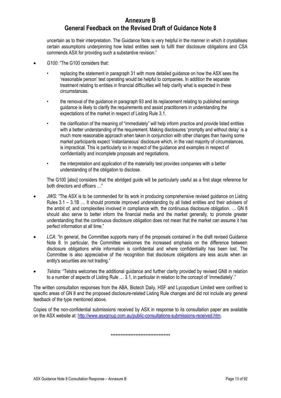#### **Annexure B General Feedback on the Revised Draft of Guidance Note 8**

uncertain as to their interpretation. The Guidance Note is very helpful in the manner in which it crystallises certain assumptions underpinning how listed entities seek to fulfil their disclosure obligations and CSA commends ASX for providing such a substantive revision."

- *G100*: "The G100 considers that:
	- replacing the statement in paragraph 31 with more detailed guidance on how the ASX sees the 'reasonable person' test operating would be helpful to companies. In addition the separate treatment relating to entities in financial difficulties will help clarify what is expected in these circumstances.
	- the removal of the guidance in paragraph 93 and its replacement relating to published earnings guidance is likely to clarify the requirements and assist practitioners in understanding the expectations of the market in respect of Listing Rule 3.1.
	- the clarification of the meaning of "immediately" will help inform practice and provide listed entities with a better understanding of the requirement. Making disclosures 'promptly and without delay' is a much more reasonable approach when taken in conjunction with other changes than having some market participants expect 'instantaneous' disclosure which, in the vast majority of circumstances, is impractical. This is particularly so in respect of the guidance and examples in respect of confidentiality and incomplete proposals and negotiations.
	- the interpretation and application of the materiality test provides companies with a better understanding of the obligation to disclose.

The G100 [also] considers that the abridged guide will be particularly useful as a first stage reference for both directors and officers …"

- *JWS*: "The ASX is to be commended for its work in producing comprehensive revised guidance on Listing Rules 3.1 – 3.1B … It should promote improved understanding by all listed entities and their advisers of the ambit of, and complexities involved in compliance with, the continuous disclosure obligation. … GN 8 should also serve to better inform the financial media and the market generally, to promote greater understanding that the continuous disclosure obligation does not mean that the market can assume it has perfect information at all time."
- LCA: "In general, the Committee supports many of the proposals contained in the draft revised Guidance Note 8. In particular, the Committee welcomes the increased emphasis on the difference between disclosure obligations while information is confidential and where confidentiality has been lost. The Committee is also appreciative of the recognition that disclosure obligations are less acute when an entity's securities are not trading."
- *Telstra*: "Telstra welcomes the additional guidance and further clarity provided by revised GN8 in relation to a number of aspects of Listing Rule … 3.1, in particular in relation to the concept of 'immediately'."

The written consultation responses from the ABA, Biotech Daily, HSF and Lycopodium Limited were confined to specific areas of GN 8 and the proposed disclosure-related Listing Rule changes and did not include any general feedback of the type mentioned above.

Copies of the non-confidential submissions received by ASX in response to its consultation paper are available on the ASX website at[: http://www.asxgroup.com.au/public-consultations-submissions-received.htm.](http://www.asxgroup.com.au/public-consultations-submissions-received.htm)

\*\*\*\*\*\*\*\*\*\*\*\*\*\*\*\*\*\*\*\*\*\*\*\*\*\*\*\*\*\*\*\*\*\*\*\*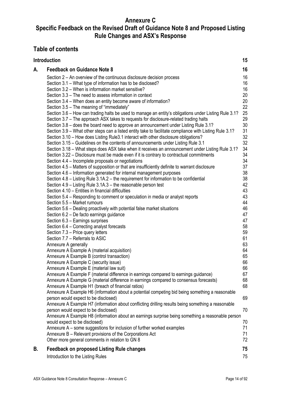#### **Annexure C**

### **Specific Feedback on the Revised Draft of Guidance Note 8 and Proposed Listing Rule Changes and ASX's Response**

#### **Table of contents**

|    | <b>Introduction</b>                                                                                     | 15       |
|----|---------------------------------------------------------------------------------------------------------|----------|
| А. | <b>Feedback on Guidance Note 8</b>                                                                      | 16       |
|    | Section 2 – An overview of the continuous disclosure decision process                                   | 16       |
|    | Section 3.1 – What type of information has to be disclosed?                                             | 16       |
|    | Section 3.2 – When is information market sensitive?                                                     | 16       |
|    | Section 3.3 – The need to assess information in context                                                 | 20       |
|    | Section 3.4 – When does an entity become aware of information?                                          | 20       |
|    | Section 3.5 - The meaning of "immediately"                                                              | 22       |
|    | Section 3.6 – How can trading halts be used to manage an entity's obligations under Listing Rule 3.1?   | 25       |
|    | Section 3.7 - The approach ASX takes to requests for disclosure-related trading halts                   | 29       |
|    | Section 3.8 – does the board need to approve an announcement under Listing Rule 3.1?                    | 30       |
|    | Section 3.9 – What other steps can a listed entity take to facilitate compliance with Listing Rule 3.1? | 31       |
|    | Section 3.10 – How does Listing Rule3.1 interact with other disclosure obligations?                     | 32       |
|    | Section 3.15 – Guidelines on the contents of announcements under Listing Rule 3.1                       | 32       |
|    | Section 3.18 – What steps does ASX take when it receives an announcement under Listing Rule 3.1?        | 34       |
|    | Section 3.22 – Disclosure must be made even if it is contrary to contractual commitments                | 34       |
|    | Section 4.4 – Incomplete proposals or negotiations                                                      | 34       |
|    | Section 4.5 – Matters of supposition or that are insufficiently definite to warrant disclosure          | 37       |
|    | Section 4.6 - Information generated for internal management purposes                                    | 38       |
|    | Section 4.8 - Listing Rule 3.1A.2 - the requirement for information to be confidential                  | 38       |
|    | Section 4.9 - Listing Rule 3.1A.3 - the reasonable person test                                          | 42       |
|    | Section 4.10 - Entities in financial difficulties                                                       | 43       |
|    | Section 5.4 – Responding to comment or speculation in media or analyst reports                          | 43       |
|    | Section 5.5 - Market rumours                                                                            | 44       |
|    | Section 5.6 – Dealing proactively with potential false market situations                                | 46       |
|    | Section 6.2 – De facto earnings guidance                                                                | 47       |
|    | Section 6.3 - Earnings surprises                                                                        | 47       |
|    | Section 6.4 – Correcting analyst forecasts                                                              | 58       |
|    | Section 7.3 - Price query letters                                                                       | 59       |
|    | Section 7.7 - Referrals to ASIC                                                                         | 61<br>63 |
|    | Annexure A generally<br>Annexure A Example A (material acquisition)                                     | 64       |
|    | Annexure A Example B (control transaction)                                                              | 65       |
|    | Annexure A Example C (security issue)                                                                   | 66       |
|    | Annexure A Example E (material law suit)                                                                | 66       |
|    | Annexure A Example F (material difference in earnings compared to earnings guidance)                    | 67       |
|    | Annexure A Example G (material difference in earnings compared to consensus forecasts)                  | 68       |
|    | Annexure A Example H1 (breach of financial ratios)                                                      | 68       |
|    | Annexure A Example H6 (information about a potential competing bid being something a reasonable         |          |
|    | person would expect to be disclosed)                                                                    | 69       |
|    | Annexure A Example H7 (information about conflicting drilling results being something a reasonable      |          |
|    | person would expect to be disclosed)                                                                    | 70       |
|    | Annexure A Example H8 (information about an earnings surprise being something a reasonable person       |          |
|    | would expect to be disclosed)                                                                           | 70       |
|    | Annexure A – some suggestions for inclusion of further worked examples                                  | 71       |
|    | Annexure B - Relevant provisions of the Corporations Act                                                | 71       |
|    | Other more general comments in relation to GN 8                                                         | 72       |
| В. | <b>Feedback on proposed Listing Rule changes</b>                                                        | 75       |
|    | Introduction to the Listing Rules                                                                       | 75       |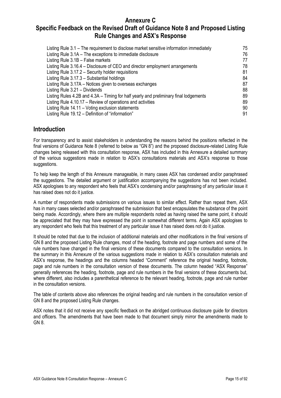#### **Annexure C**

#### **Specific Feedback on the Revised Draft of Guidance Note 8 and Proposed Listing Rule Changes and ASX's Response**

| Listing Rule 3.1 – The requirement to disclose market sensitive information immediately | 75 |
|-----------------------------------------------------------------------------------------|----|
| Listing Rule 3.1A - The exceptions to immediate disclosure                              | 76 |
| Listing Rule 3.1B - False markets                                                       | 77 |
| Listing Rule 3.16.4 – Disclosure of CEO and director employment arrangements            | 78 |
| Listing Rule 3.17.2 - Security holder requisitions                                      | 81 |
| Listing Rule 3.17.3 - Substantial holdings                                              | 84 |
| Listing Rule 3.17A – Notices given to overseas exchanges                                | 87 |
| Listing Rule 3.21 - Dividends                                                           | 88 |
| Listing Rules 4.2B and 4.3A – Timing for half yearly and preliminary final lodgements   | 89 |
| Listing Rule 4.10.17 – Review of operations and activities                              | 89 |
| Listing Rule 14.11 - Voting exclusion statements                                        | 90 |
| Listing Rule 19.12 – Definition of "information"                                        | 91 |

#### <span id="page-14-0"></span>**Introduction**

For transparency and to assist stakeholders in understanding the reasons behind the positions reflected in the final versions of Guidance Note 8 (referred to below as "GN 8") and the proposed disclosure-related Listing Rule changes being released with this consultation response, ASX has included in this Annexure a detailed summary of the various suggestions made in relation to ASX's consultations materials and ASX's response to those suggestions.

To help keep the length of this Annexure manageable, in many cases ASX has condensed and/or paraphrased the suggestions. The detailed argument or justification accompanying the suggestions has not been included. ASX apologises to any respondent who feels that ASX's condensing and/or paraphrasing of any particular issue it has raised does not do it justice.

A number of respondents made submissions on various issues to similar effect. Rather than repeat them, ASX has in many cases selected and/or paraphrased the submission that best encapsulates the substance of the point being made. Accordingly, where there are multiple respondents noted as having raised the same point, it should be appreciated that they may have expressed the point in somewhat different terms. Again ASX apologises to any respondent who feels that this treatment of any particular issue it has raised does not do it justice.

It should be noted that due to the inclusion of additional materials and other modifications in the final versions of GN 8 and the proposed Listing Rule changes, most of the heading, footnote and page numbers and some of the rule numbers have changed in the final versions of these documents compared to the consultation versions. In the summary in this Annexure of the various suggestions made in relation to ASX's consultation materials and ASX's response, the headings and the columns headed "Comment" reference the original heading, footnote, page and rule numbers in the consultation version of these documents. The column headed "ASX Response" generally references the heading, footnote, page and rule numbers in the final versions of these documents but, where different, also includes a parenthetical reference to the relevant heading, footnote, page and rule number in the consultation versions.

The table of contents above also references the original heading and rule numbers in the consultation version of GN 8 and the proposed Listing Rule changes.

ASX notes that it did not receive any specific feedback on the abridged continuous disclosure guide for directors and officers. The amendments that have been made to that document simply mirror the amendments made to GN 8.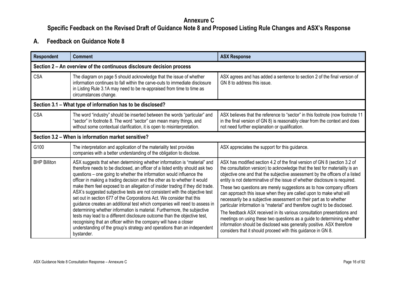#### **Annexure C**

**Specific Feedback on the Revised Draft of Guidance Note 8 and Proposed Listing Rule Changes and ASX's Response**

### **A. Feedback on Guidance Note 8**

<span id="page-15-3"></span><span id="page-15-2"></span><span id="page-15-1"></span><span id="page-15-0"></span>

| <b>Respondent</b>   | <b>Comment</b>                                                                                                                                                                                                                                                                                                                                                                                                                                                                                                                                                                                                                                                                                                                                                                                                                                                                                                                                                | <b>ASX Response</b>                                                                                                                                                                                                                                                                                                                                                                                                                                                                                                                                                                                                                                                                                                                                                                                                                                                                                                        |
|---------------------|---------------------------------------------------------------------------------------------------------------------------------------------------------------------------------------------------------------------------------------------------------------------------------------------------------------------------------------------------------------------------------------------------------------------------------------------------------------------------------------------------------------------------------------------------------------------------------------------------------------------------------------------------------------------------------------------------------------------------------------------------------------------------------------------------------------------------------------------------------------------------------------------------------------------------------------------------------------|----------------------------------------------------------------------------------------------------------------------------------------------------------------------------------------------------------------------------------------------------------------------------------------------------------------------------------------------------------------------------------------------------------------------------------------------------------------------------------------------------------------------------------------------------------------------------------------------------------------------------------------------------------------------------------------------------------------------------------------------------------------------------------------------------------------------------------------------------------------------------------------------------------------------------|
|                     | Section 2 – An overview of the continuous disclosure decision process                                                                                                                                                                                                                                                                                                                                                                                                                                                                                                                                                                                                                                                                                                                                                                                                                                                                                         |                                                                                                                                                                                                                                                                                                                                                                                                                                                                                                                                                                                                                                                                                                                                                                                                                                                                                                                            |
| <b>CSA</b>          | The diagram on page 5 should acknowledge that the issue of whether<br>information continues to fall within the carve-outs to immediate disclosure<br>in Listing Rule 3.1A may need to be re-appraised from time to time as<br>circumstances change.                                                                                                                                                                                                                                                                                                                                                                                                                                                                                                                                                                                                                                                                                                           | ASX agrees and has added a sentence to section 2 of the final version of<br>GN 8 to address this issue.                                                                                                                                                                                                                                                                                                                                                                                                                                                                                                                                                                                                                                                                                                                                                                                                                    |
|                     | Section 3.1 – What type of information has to be disclosed?                                                                                                                                                                                                                                                                                                                                                                                                                                                                                                                                                                                                                                                                                                                                                                                                                                                                                                   |                                                                                                                                                                                                                                                                                                                                                                                                                                                                                                                                                                                                                                                                                                                                                                                                                                                                                                                            |
| <b>CSA</b>          | The word "industry" should be inserted between the words "particular" and<br>"sector" in footnote 8. The word "sector" can mean many things, and<br>without some contextual clarification, it is open to misinterpretation.                                                                                                                                                                                                                                                                                                                                                                                                                                                                                                                                                                                                                                                                                                                                   | ASX believes that the reference to "sector" in this footnote (now footnote 11<br>in the final version of GN 8) is reasonably clear from the context and does<br>not need further explanation or qualification.                                                                                                                                                                                                                                                                                                                                                                                                                                                                                                                                                                                                                                                                                                             |
|                     | Section 3.2 – When is information market sensitive?                                                                                                                                                                                                                                                                                                                                                                                                                                                                                                                                                                                                                                                                                                                                                                                                                                                                                                           |                                                                                                                                                                                                                                                                                                                                                                                                                                                                                                                                                                                                                                                                                                                                                                                                                                                                                                                            |
| G100                | The interpretation and application of the materiality test provides<br>companies with a better understanding of the obligation to disclose.                                                                                                                                                                                                                                                                                                                                                                                                                                                                                                                                                                                                                                                                                                                                                                                                                   | ASX appreciates the support for this guidance.                                                                                                                                                                                                                                                                                                                                                                                                                                                                                                                                                                                                                                                                                                                                                                                                                                                                             |
| <b>BHP Billiton</b> | ASX suggests that when determining whether information is "material" and<br>therefore needs to be disclosed, an officer of a listed entity should ask two<br>questions – one going to whether the information would influence the<br>officer in making a trading decision and the other as to whether it would<br>make them feel exposed to an allegation of insider trading if they did trade.<br>ASX's suggested subjective tests are not consistent with the objective test<br>set out in section 677 of the Corporations Act. We consider that this<br>guidance creates an additional test which companies will need to assess in<br>determining whether information is material. Furthermore, the subjective<br>tests may lead to a different disclosure outcome than the objective test,<br>recognising that an officer within the company will have a closer<br>understanding of the group's strategy and operations than an independent<br>bystander. | ASX has modified section 4.2 of the final version of GN 8 (section 3.2 of<br>the consultation version) to acknowledge that the test for materiality is an<br>objective one and that the subjective assessment by the officers of a listed<br>entity is not determinative of the issue of whether disclosure is required.<br>These two questions are merely suggestions as to how company officers<br>can approach this issue when they are called upon to make what will<br>necessarily be a subjective assessment on their part as to whether<br>particular information is "material" and therefore ought to be disclosed.<br>The feedback ASX received in its various consultation presentations and<br>meetings on using these two questions as a guide to determining whether<br>information should be disclosed was generally positive. ASX therefore<br>considers that it should proceed with this guidance in GN 8. |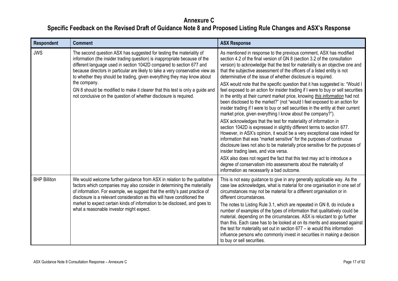| <b>Respondent</b>   | <b>Comment</b>                                                                                                                                                                                                                                                                                                                                                                                                                                                                                                                                                | <b>ASX Response</b>                                                                                                                                                                                                                                                                                                                                                                                                                                                                                                                                                                                                                                                                                                                                                                                                                                                                                                                                                                                                                                                                                                                                                                                                                                                                                                                                                                                                                                                                               |
|---------------------|---------------------------------------------------------------------------------------------------------------------------------------------------------------------------------------------------------------------------------------------------------------------------------------------------------------------------------------------------------------------------------------------------------------------------------------------------------------------------------------------------------------------------------------------------------------|---------------------------------------------------------------------------------------------------------------------------------------------------------------------------------------------------------------------------------------------------------------------------------------------------------------------------------------------------------------------------------------------------------------------------------------------------------------------------------------------------------------------------------------------------------------------------------------------------------------------------------------------------------------------------------------------------------------------------------------------------------------------------------------------------------------------------------------------------------------------------------------------------------------------------------------------------------------------------------------------------------------------------------------------------------------------------------------------------------------------------------------------------------------------------------------------------------------------------------------------------------------------------------------------------------------------------------------------------------------------------------------------------------------------------------------------------------------------------------------------------|
| <b>JWS</b>          | The second question ASX has suggested for testing the materiality of<br>information (the insider trading question) is inappropriate because of the<br>different language used in section 1042D compared to section 677 and<br>because directors in particular are likely to take a very conservative view as<br>to whether they should be trading, given everything they may know about<br>the company.<br>GN 8 should be modified to make it clearer that this test is only a guide and<br>not conclusive on the question of whether disclosure is required. | As mentioned in response to the previous comment, ASX has modified<br>section 4.2 of the final version of GN 8 (section 3.2 of the consultation<br>version) to acknowledge that the test for materiality is an objective one and<br>that the subjective assessment of the officers of a listed entity is not<br>determinative of the issue of whether disclosure is required.<br>ASX would note that the specific question that it has suggested is: "Would I<br>feel exposed to an action for insider trading if I were to buy or sell securities<br>in the entity at their current market price, knowing this information had not<br>been disclosed to the market?" (not "would I feel exposed to an action for<br>insider trading if I were to buy or sell securities in the entity at their current<br>market price, given everything I know about the company?").<br>ASX acknowledges that the test for materiality of information in<br>section 1042D is expressed in slightly different terms to section 677.<br>However, in ASX's opinion, it would be a very exceptional case indeed for<br>information that was "market sensitive" for the purposes of continuous<br>disclosure laws not also to be materially price sensitive for the purposes of<br>insider trading laws, and vice versa.<br>ASX also does not regard the fact that this test may act to introduce a<br>degree of conservatism into assessments about the materiality of<br>information as necessarily a bad outcome. |
| <b>BHP Billiton</b> | We would welcome further guidance from ASX in relation to the qualitative<br>factors which companies may also consider in determining the materiality<br>of information. For example, we suggest that the entity's past practice of<br>disclosure is a relevant consideration as this will have conditioned the<br>market to expect certain kinds of information to be disclosed, and goes to<br>what a reasonable investor might expect.                                                                                                                     | This is not easy guidance to give in any generally applicable way. As the<br>case law acknowledges, what is material for one organisation in one set of<br>circumstances may not be material for a different organisation or in<br>different circumstances.<br>The notes to Listing Rule 3.1, which are repeated in GN 8, do include a<br>number of examples of the types of information that qualitatively could be<br>material, depending on the circumstances. ASX is reluctant to go further<br>than this. Each case has to be looked at on its merits and assessed against<br>the test for materiality set out in section 677 - ie would this information<br>influence persons who commonly invest in securities in making a decision<br>to buy or sell securities.                                                                                                                                                                                                                                                                                                                                                                                                                                                                                                                                                                                                                                                                                                                          |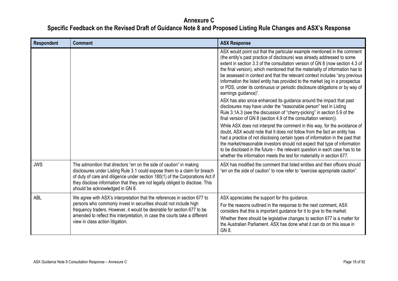| <b>Respondent</b> | <b>Comment</b>                                                                                                                                                                                                                                                                                                                                          | <b>ASX Response</b>                                                                                                                                                                                                                                                                                                                                                                                                                                                                                                                                                                                                                                                                                                                                                               |
|-------------------|---------------------------------------------------------------------------------------------------------------------------------------------------------------------------------------------------------------------------------------------------------------------------------------------------------------------------------------------------------|-----------------------------------------------------------------------------------------------------------------------------------------------------------------------------------------------------------------------------------------------------------------------------------------------------------------------------------------------------------------------------------------------------------------------------------------------------------------------------------------------------------------------------------------------------------------------------------------------------------------------------------------------------------------------------------------------------------------------------------------------------------------------------------|
|                   |                                                                                                                                                                                                                                                                                                                                                         | ASX would point out that the particular example mentioned in the comment<br>(the entity's past practice of disclosure) was already addressed to some<br>extent in section 3.3 of the consultation version of GN 8 (now section 4.3 of<br>the final version), which mentioned that the materiality of information has to<br>be assessed in context and that the relevant context includes "any previous<br>information the listed entity has provided to the market (eg in a prospectus<br>or PDS, under its continuous or periodic disclosure obligations or by way of<br>earnings guidance)".                                                                                                                                                                                    |
|                   |                                                                                                                                                                                                                                                                                                                                                         | ASX has also since enhanced its guidance around the impact that past<br>disclosures may have under the "reasonable person" test in Listing<br>Rule 3.1A.3 (see the discussion of "cherry-picking" in section 5.9 of the<br>final version of GN 8 (section 4.9 of the consultation version)).<br>While ASX does not interpret the comment in this way, for the avoidance of<br>doubt, ASX would note that it does not follow from the fact an entity has<br>had a practice of not disclosing certain types of information in the past that<br>the market/reasonable investors should not expect that type of information<br>to be disclosed in the future - the relevant question in each case has to be<br>whether the information meets the test for materiality in section 677. |
| <b>JWS</b>        | The admonition that directors "err on the side of caution" in making<br>disclosures under Listing Rule 3.1 could expose them to a claim for breach<br>of duty of care and diligence under section 180(1) of the Corporations Act if<br>they disclose information that they are not legally obliged to disclose. This<br>should be acknowledged in GN 8. | ASX has modified the comment that listed entities and their officers should<br>"err on the side of caution" to now refer to "exercise appropriate caution".                                                                                                                                                                                                                                                                                                                                                                                                                                                                                                                                                                                                                       |
| ABL               | We agree with ASX's interpretation that the references in section 677 to<br>persons who commonly invest in securities should not include high<br>frequency traders. However, it would be desirable for section 677 to be<br>amended to reflect this interpretation, in case the courts take a different<br>view in class action litigation.             | ASX appreciates the support for this guidance.<br>For the reasons outlined in the response to the next comment, ASX<br>considers that this is important guidance for it to give to the market.<br>Whether there should be legislative changes to section 677 is a matter for<br>the Australian Parliament. ASX has done what it can do on this issue in<br>GN 8.                                                                                                                                                                                                                                                                                                                                                                                                                  |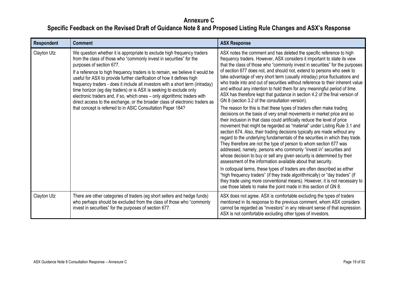| <b>Respondent</b> | <b>Comment</b>                                                                                                                                                                                                                                                                                                                                                                                                                                                                                                                                                                                                                                                                                                            | <b>ASX Response</b>                                                                                                                                                                                                                                                                                                                                                                                                                                                                                                                                                                                                                                                                                                                                                                                                                                                                                                                                                                                                                                                                                                                                                                                                                                                                                                                                                                                                                                                                                                                                                                                                                                                                                                                                                       |
|-------------------|---------------------------------------------------------------------------------------------------------------------------------------------------------------------------------------------------------------------------------------------------------------------------------------------------------------------------------------------------------------------------------------------------------------------------------------------------------------------------------------------------------------------------------------------------------------------------------------------------------------------------------------------------------------------------------------------------------------------------|---------------------------------------------------------------------------------------------------------------------------------------------------------------------------------------------------------------------------------------------------------------------------------------------------------------------------------------------------------------------------------------------------------------------------------------------------------------------------------------------------------------------------------------------------------------------------------------------------------------------------------------------------------------------------------------------------------------------------------------------------------------------------------------------------------------------------------------------------------------------------------------------------------------------------------------------------------------------------------------------------------------------------------------------------------------------------------------------------------------------------------------------------------------------------------------------------------------------------------------------------------------------------------------------------------------------------------------------------------------------------------------------------------------------------------------------------------------------------------------------------------------------------------------------------------------------------------------------------------------------------------------------------------------------------------------------------------------------------------------------------------------------------|
| Clayton Utz       | We question whether it is appropriate to exclude high frequency traders<br>from the class of those who "commonly invest in securities" for the<br>purposes of section 677.<br>If a reference to high frequency traders is to remain, we believe it would be<br>useful for ASX to provide further clarification of how it defines high<br>frequency traders - does it include all investors with a short term (intraday)<br>time horizon (eg day traders) or is ASX is seeking to exclude only<br>electronic traders and, if so, which ones - only algorithmic traders with<br>direct access to the exchange, or the broader class of electronic traders as<br>that concept is referred to in ASIC Consultation Paper 184? | ASX notes the comment and has deleted the specific reference to high<br>frequency traders. However, ASX considers it important to state its view<br>that the class of those who "commonly invest in securities" for the purposes<br>of section 677 does not, and should not, extend to persons who seek to<br>take advantage of very short term (usually intraday) price fluctuations and<br>who trade into and out of securities without reference to their inherent value<br>and without any intention to hold them for any meaningful period of time.<br>ASX has therefore kept that guidance in section 4.2 of the final version of<br>GN 8 (section 3.2 of the consultation version).<br>The reason for this is that these types of traders often make trading<br>decisions on the basis of very small movements in market price and so<br>their inclusion in that class could artificially reduce the level of price<br>movement that might be regarded as "material" under Listing Rule 3.1 and<br>section 674. Also, their trading decisions typically are made without any<br>regard to the underlying fundamentals of the securities in which they trade.<br>They therefore are not the type of person to whom section 677 was<br>addressed, namely, persons who commonly "invest in" securities and<br>whose decision to buy or sell any given security is determined by their<br>assessment of the information available about that security.<br>In colloquial terms, these types of traders are often described as either<br>"high frequency traders" (if they trade algorithmically) or "day traders" (if<br>they trade using more conventional means). However, it is not necessary to<br>use those labels to make the point made in this section of GN 8. |
| Clayton Utz       | There are other categories of traders (eg short sellers and hedge funds)<br>who perhaps should be excluded from the class of those who "commonly<br>invest in securities" for the purposes of section 677.                                                                                                                                                                                                                                                                                                                                                                                                                                                                                                                | ASX does not agree. ASX is comfortable excluding the types of traders<br>mentioned in its response to the previous comment, whom ASX considers<br>cannot be regarded as "investors" in any relevant sense of that expression.<br>ASX is not comfortable excluding other types of investors.                                                                                                                                                                                                                                                                                                                                                                                                                                                                                                                                                                                                                                                                                                                                                                                                                                                                                                                                                                                                                                                                                                                                                                                                                                                                                                                                                                                                                                                                               |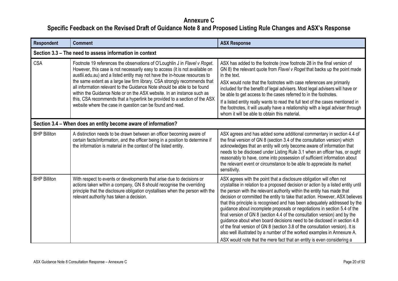<span id="page-19-1"></span><span id="page-19-0"></span>

| <b>Respondent</b>   | <b>Comment</b>                                                                                                                                                                                                                                                                                                                                                                                                                                                                                                                                                                                                        | <b>ASX Response</b>                                                                                                                                                                                                                                                                                                                                                                                                                                                                                                                                                                                                                                                                                                                                                                                                                                                           |  |  |
|---------------------|-----------------------------------------------------------------------------------------------------------------------------------------------------------------------------------------------------------------------------------------------------------------------------------------------------------------------------------------------------------------------------------------------------------------------------------------------------------------------------------------------------------------------------------------------------------------------------------------------------------------------|-------------------------------------------------------------------------------------------------------------------------------------------------------------------------------------------------------------------------------------------------------------------------------------------------------------------------------------------------------------------------------------------------------------------------------------------------------------------------------------------------------------------------------------------------------------------------------------------------------------------------------------------------------------------------------------------------------------------------------------------------------------------------------------------------------------------------------------------------------------------------------|--|--|
|                     | Section 3.3 – The need to assess information in context                                                                                                                                                                                                                                                                                                                                                                                                                                                                                                                                                               |                                                                                                                                                                                                                                                                                                                                                                                                                                                                                                                                                                                                                                                                                                                                                                                                                                                                               |  |  |
| <b>CSA</b>          | Footnote 19 references the observations of O'Loughlin J in Flavel v Roget.<br>However, this case is not necessarily easy to access (it is not available on<br>austlii.edu.au) and a listed entity may not have the in-house resources to<br>the same extent as a large law firm library. CSA strongly recommends that<br>all information relevant to the Guidance Note should be able to be found<br>within the Guidance Note or on the ASX website. In an instance such as<br>this, CSA recommends that a hyperlink be provided to a section of the ASX<br>website where the case in question can be found and read. | ASX has added to the footnote (now footnote 28 in the final version of<br>GN 8) the relevant quote from Flavel v Roget that backs up the point made<br>in the text.<br>ASX would note that the footnotes with case references are primarily<br>included for the benefit of legal advisers. Most legal advisers will have or<br>be able to get access to the cases referred to in the footnotes.<br>If a listed entity really wants to read the full text of the cases mentioned in<br>the footnotes, it will usually have a relationship with a legal adviser through<br>whom it will be able to obtain this material.                                                                                                                                                                                                                                                        |  |  |
|                     | Section 3.4 - When does an entity become aware of information?                                                                                                                                                                                                                                                                                                                                                                                                                                                                                                                                                        |                                                                                                                                                                                                                                                                                                                                                                                                                                                                                                                                                                                                                                                                                                                                                                                                                                                                               |  |  |
| <b>BHP Billiton</b> | A distinction needs to be drawn between an officer becoming aware of<br>certain facts/information, and the officer being in a position to determine if<br>the information is material in the context of the listed entity.                                                                                                                                                                                                                                                                                                                                                                                            | ASX agrees and has added some additional commentary in section 4.4 of<br>the final version of GN 8 (section 3.4 of the consultation version) which<br>acknowledges that an entity will only become aware of information that<br>needs to be disclosed under Listing Rule 3.1 when an officer has, or ought<br>reasonably to have, come into possession of sufficient information about<br>the relevant event or circumstance to be able to appreciate its market<br>sensitivity.                                                                                                                                                                                                                                                                                                                                                                                              |  |  |
| <b>BHP Billiton</b> | With respect to events or developments that arise due to decisions or<br>actions taken within a company, GN 8 should recognise the overriding<br>principle that the disclosure obligation crystallises when the person with the<br>relevant authority has taken a decision.                                                                                                                                                                                                                                                                                                                                           | ASX agrees with the point that a disclosure obligation will often not<br>crystallise in relation to a proposed decision or action by a listed entity until<br>the person with the relevant authority within the entity has made that<br>decision or committed the entity to take that action. However, ASX believes<br>that this principle is recognised and has been adequately addressed by the<br>guidance about incomplete proposals or negotiations in section 5.4 of the<br>final version of GN 8 (section 4.4 of the consultation version) and by the<br>guidance about when board decisions need to be disclosed in section 4.8<br>of the final version of GN 8 (section 3.8 of the consultation version). It is<br>also well illustrated by a number of the worked examples in Annexure A.<br>ASX would note that the mere fact that an entity is even considering a |  |  |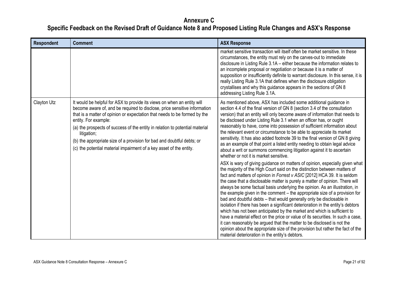| <b>Respondent</b> | <b>Comment</b>                                                                                                                                                                                                                                                                                                                                                                                                                                                                                            | <b>ASX Response</b>                                                                                                                                                                                                                                                                                                                                                                                                                                                                                                                                                                                                                                                                                                                                                                                                                                                                                                                                                                                                                                                                                                                                                                                                                                                                                                                                                                                                                                                                                                                                                                                                                                                                                                                                                      |
|-------------------|-----------------------------------------------------------------------------------------------------------------------------------------------------------------------------------------------------------------------------------------------------------------------------------------------------------------------------------------------------------------------------------------------------------------------------------------------------------------------------------------------------------|--------------------------------------------------------------------------------------------------------------------------------------------------------------------------------------------------------------------------------------------------------------------------------------------------------------------------------------------------------------------------------------------------------------------------------------------------------------------------------------------------------------------------------------------------------------------------------------------------------------------------------------------------------------------------------------------------------------------------------------------------------------------------------------------------------------------------------------------------------------------------------------------------------------------------------------------------------------------------------------------------------------------------------------------------------------------------------------------------------------------------------------------------------------------------------------------------------------------------------------------------------------------------------------------------------------------------------------------------------------------------------------------------------------------------------------------------------------------------------------------------------------------------------------------------------------------------------------------------------------------------------------------------------------------------------------------------------------------------------------------------------------------------|
|                   |                                                                                                                                                                                                                                                                                                                                                                                                                                                                                                           | market sensitive transaction will itself often be market sensitive. In these<br>circumstances, the entity must rely on the carves-out to immediate<br>disclosure in Listing Rule 3.1A – either because the information relates to<br>an incomplete proposal or negotiation or because it is a matter of<br>supposition or insufficiently definite to warrant disclosure. In this sense, it is<br>really Listing Rule 3.1A that defines when the disclosure obligation<br>crystallises and why this guidance appears in the sections of GN 8<br>addressing Listing Rule 3.1A.                                                                                                                                                                                                                                                                                                                                                                                                                                                                                                                                                                                                                                                                                                                                                                                                                                                                                                                                                                                                                                                                                                                                                                                             |
| Clayton Utz       | It would be helpful for ASX to provide its views on when an entity will<br>become aware of, and be required to disclose, price sensitive information<br>that is a matter of opinion or expectation that needs to be formed by the<br>entity. For example:<br>(a) the prospects of success of the entity in relation to potential material<br>litigation;<br>(b) the appropriate size of a provision for bad and doubtful debts; or<br>(c) the potential material impairment of a key asset of the entity. | As mentioned above, ASX has included some additional guidance in<br>section 4.4 of the final version of GN 8 (section 3.4 of the consultation<br>version) that an entity will only become aware of information that needs to<br>be disclosed under Listing Rule 3.1 when an officer has, or ought<br>reasonably to have, come into possession of sufficient information about<br>the relevant event or circumstance to be able to appreciate its market<br>sensitivity. It has also added footnote 39 to the final version of GN 8 giving<br>as an example of that point a listed entity needing to obtain legal advice<br>about a writ or summons commencing litigation against it to ascertain<br>whether or not it is market sensitive.<br>ASX is wary of giving guidance on matters of opinion, especially given what<br>the majority of the High Court said on the distinction between matters of<br>fact and matters of opinion in Forrest v ASIC [2012] HCA 39. It is seldom<br>the case that a disclosable matter is purely a matter of opinion. There will<br>always be some factual basis underlying the opinion. As an illustration, in<br>the example given in the comment – the appropriate size of a provision for<br>bad and doubtful debts - that would generally only be disclosable in<br>isolation if there has been a significant deterioration in the entity's debtors<br>which has not been anticipated by the market and which is sufficient to<br>have a material effect on the price or value of its securities. In such a case,<br>it can reasonably be argued that the matter to be disclosed is not the<br>opinion about the appropriate size of the provision but rather the fact of the<br>material deterioration in the entity's debtors. |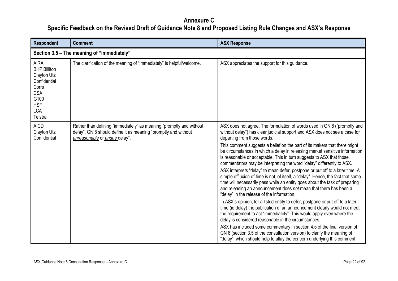<span id="page-21-0"></span>

| <b>Respondent</b>                                                                                                                       | <b>Comment</b>                                                                                                                                                         | <b>ASX Response</b>                                                                                                                                                                                                                                                                                                                                                                                                                                                                                                                                                                                                                                                                                                                                                                                                                                                                                                                                                                                                                                                                                                                                                                                                                                                                                                                                                                                         |  |  |
|-----------------------------------------------------------------------------------------------------------------------------------------|------------------------------------------------------------------------------------------------------------------------------------------------------------------------|-------------------------------------------------------------------------------------------------------------------------------------------------------------------------------------------------------------------------------------------------------------------------------------------------------------------------------------------------------------------------------------------------------------------------------------------------------------------------------------------------------------------------------------------------------------------------------------------------------------------------------------------------------------------------------------------------------------------------------------------------------------------------------------------------------------------------------------------------------------------------------------------------------------------------------------------------------------------------------------------------------------------------------------------------------------------------------------------------------------------------------------------------------------------------------------------------------------------------------------------------------------------------------------------------------------------------------------------------------------------------------------------------------------|--|--|
|                                                                                                                                         | Section 3.5 - The meaning of "immediately"                                                                                                                             |                                                                                                                                                                                                                                                                                                                                                                                                                                                                                                                                                                                                                                                                                                                                                                                                                                                                                                                                                                                                                                                                                                                                                                                                                                                                                                                                                                                                             |  |  |
| <b>AIRA</b><br><b>BHP Billiton</b><br>Clayton Utz<br>Confidential<br>Corrs<br><b>CSA</b><br>G100<br><b>HSF</b><br><b>LCA</b><br>Telstra | The clarification of the meaning of "immediately" is helpful/welcome.                                                                                                  | ASX appreciates the support for this guidance.                                                                                                                                                                                                                                                                                                                                                                                                                                                                                                                                                                                                                                                                                                                                                                                                                                                                                                                                                                                                                                                                                                                                                                                                                                                                                                                                                              |  |  |
| <b>AICD</b><br><b>Clayton Utz</b><br>Confidential                                                                                       | Rather than defining "immediately" as meaning "promptly and without<br>delay", GN 8 should define it as meaning "promptly and without<br>unreasonable or undue delay". | ASX does not agree. The formulation of words used in GN 8 ("promptly and<br>without delay") has clear judicial support and ASX does not see a case for<br>departing from those words.<br>This comment suggests a belief on the part of its makers that there might<br>be circumstances in which a delay in releasing market sensitive information<br>is reasonable or acceptable. This in turn suggests to ASX that those<br>commentators may be interpreting the word "delay" differently to ASX.<br>ASX interprets "delay" to mean defer, postpone or put off to a later time. A<br>simple effluxion of time is not, of itself, a "delay". Hence, the fact that some<br>time will necessarily pass while an entity goes about the task of preparing<br>and releasing an announcement does not mean that there has been a<br>"delay" in the release of the information.<br>In ASX's opinion, for a listed entity to defer, postpone or put off to a later<br>time (ie delay) the publication of an announcement clearly would not meet<br>the requirement to act "immediately". This would apply even where the<br>delay is considered reasonable in the circumstances.<br>ASX has included some commentary in section 4.5 of the final version of<br>GN 8 (section 3.5 of the consultation version) to clarify the meaning of<br>"delay", which should help to allay the concern underlying this comment. |  |  |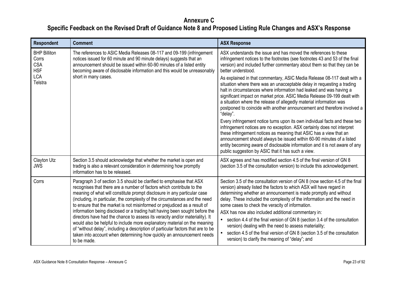| <b>Respondent</b>                                                                 | <b>Comment</b>                                                                                                                                                                                                                                                                                                                                                                                                                                                                                                                                                                                                                                                                                                                                                                                                | <b>ASX Response</b>                                                                                                                                                                                                                                                                                                                                                                                                                                                                                                                                                                                                                                                                                                                                                                                                                                                                                                                                                                                                                                                                                                                                                   |
|-----------------------------------------------------------------------------------|---------------------------------------------------------------------------------------------------------------------------------------------------------------------------------------------------------------------------------------------------------------------------------------------------------------------------------------------------------------------------------------------------------------------------------------------------------------------------------------------------------------------------------------------------------------------------------------------------------------------------------------------------------------------------------------------------------------------------------------------------------------------------------------------------------------|-----------------------------------------------------------------------------------------------------------------------------------------------------------------------------------------------------------------------------------------------------------------------------------------------------------------------------------------------------------------------------------------------------------------------------------------------------------------------------------------------------------------------------------------------------------------------------------------------------------------------------------------------------------------------------------------------------------------------------------------------------------------------------------------------------------------------------------------------------------------------------------------------------------------------------------------------------------------------------------------------------------------------------------------------------------------------------------------------------------------------------------------------------------------------|
| <b>BHP Billiton</b><br>Corrs<br><b>CSA</b><br><b>HSF</b><br><b>LCA</b><br>Telstra | The references to ASIC Media Releases 08-117 and 09-199 (infringement<br>notices issued for 60 minute and 90 minute delays) suggests that an<br>announcement should be issued within 60-90 minutes of a listed entity<br>becoming aware of disclosable information and this would be unreasonably<br>short in many cases.                                                                                                                                                                                                                                                                                                                                                                                                                                                                                     | ASX understands the issue and has moved the references to these<br>infringement notices to the footnotes (see footnotes 43 and 53 of the final<br>version) and included further commentary about them so that they can be<br>better understood.<br>As explained in that commentary, ASIC Media Release 08-117 dealt with a<br>situation where there was an unacceptable delay in requesting a trading<br>halt in circumstances where information had leaked and was having a<br>significant impact on market price. ASIC Media Release 09-199 dealt with<br>a situation where the release of allegedly material information was<br>postponed to coincide with another announcement and therefore involved a<br>"delay".<br>Every infringement notice turns upon its own individual facts and these two<br>infringement notices are no exception. ASX certainly does not interpret<br>these infringement notices as meaning that ASIC has a view that an<br>announcement should always be issued within 60-90 minutes of a listed<br>entity becoming aware of disclosable information and it is not aware of any<br>public suggestion by ASIC that it has such a view. |
| <b>Clayton Utz</b><br><b>JWS</b>                                                  | Section 3.5 should acknowledge that whether the market is open and<br>trading is also a relevant consideration in determining how promptly<br>information has to be released.                                                                                                                                                                                                                                                                                                                                                                                                                                                                                                                                                                                                                                 | ASX agrees and has modified section 4.5 of the final version of GN 8<br>(section 3.5 of the consultation version) to include this acknowledgement.                                                                                                                                                                                                                                                                                                                                                                                                                                                                                                                                                                                                                                                                                                                                                                                                                                                                                                                                                                                                                    |
| Corrs                                                                             | Paragraph 3 of section 3.5 should be clarified to emphasise that ASX<br>recognises that there are a number of factors which contribute to the<br>meaning of what will constitute prompt disclosure in any particular case<br>(including, in particular, the complexity of the circumstances and the need<br>to ensure that the market is not misinformed or prejudiced as a result of<br>information being disclosed or a trading halt having been sought before the<br>directors have had the chance to assess its veracity and/or materiality). It<br>would also be helpful to include more explanatory material on the meaning<br>of "without delay", including a description of particular factors that are to be<br>taken into account when determining how quickly an announcement needs<br>to be made. | Section 3.5 of the consultation version of GN 8 (now section 4.5 of the final<br>version) already listed the factors to which ASX will have regard in<br>determining whether an announcement is made promptly and without<br>delay. These included the complexity of the information and the need in<br>some cases to check the veracity of information.<br>ASX has now also included additional commentary in:<br>section 4.4 of the final version of GN 8 (section 3.4 of the consultation<br>version) dealing with the need to assess materiality;<br>section 4.5 of the final version of GN 8 (section 3.5 of the consultation<br>version) to clarify the meaning of "delay"; and                                                                                                                                                                                                                                                                                                                                                                                                                                                                                 |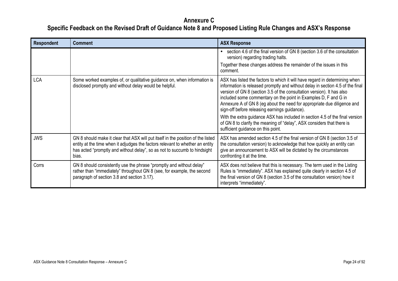| <b>Respondent</b> | <b>Comment</b>                                                                                                                                                                                                                                          | <b>ASX Response</b>                                                                                                                                                                                                                                                                                                                                                                                                                                                                                                                                                                                                                    |
|-------------------|---------------------------------------------------------------------------------------------------------------------------------------------------------------------------------------------------------------------------------------------------------|----------------------------------------------------------------------------------------------------------------------------------------------------------------------------------------------------------------------------------------------------------------------------------------------------------------------------------------------------------------------------------------------------------------------------------------------------------------------------------------------------------------------------------------------------------------------------------------------------------------------------------------|
|                   |                                                                                                                                                                                                                                                         | section 4.6 of the final version of GN 8 (section 3.6 of the consultation<br>version) regarding trading halts.                                                                                                                                                                                                                                                                                                                                                                                                                                                                                                                         |
|                   |                                                                                                                                                                                                                                                         | Together these changes address the remainder of the issues in this<br>comment.                                                                                                                                                                                                                                                                                                                                                                                                                                                                                                                                                         |
| <b>LCA</b>        | Some worked examples of, or qualitative guidance on, when information is<br>disclosed promptly and without delay would be helpful.                                                                                                                      | ASX has listed the factors to which it will have regard in determining when<br>information is released promptly and without delay in section 4.5 of the final<br>version of GN 8 (section 3.5 of the consultation version). It has also<br>included some commentary on the point in Examples D, F and G in<br>Annexure A of GN 8 (eg about the need for appropriate due diligence and<br>sign-off before releasing earnings guidance).<br>With the extra guidance ASX has included in section 4.5 of the final version<br>of GN 8 to clarify the meaning of "delay", ASX considers that there is<br>sufficient guidance on this point. |
| <b>JWS</b>        | GN 8 should make it clear that ASX will put itself in the position of the listed<br>entity at the time when it adjudges the factors relevant to whether an entity<br>has acted "promptly and without delay", so as not to succumb to hindsight<br>bias. | ASX has amended section 4.5 of the final version of GN 8 (section 3.5 of<br>the consultation version) to acknowledge that how quickly an entity can<br>give an announcement to ASX will be dictated by the circumstances<br>confronting it at the time.                                                                                                                                                                                                                                                                                                                                                                                |
| Corrs             | GN 8 should consistently use the phrase "promptly and without delay"<br>rather than "immediately" throughout GN 8 (see, for example, the second<br>paragraph of section 3.8 and section 3.17).                                                          | ASX does not believe that this is necessary. The term used in the Listing<br>Rules is "immediately". ASX has explained quite clearly in section 4.5 of<br>the final version of GN 8 (section 3.5 of the consultation version) how it<br>interprets "immediately".                                                                                                                                                                                                                                                                                                                                                                      |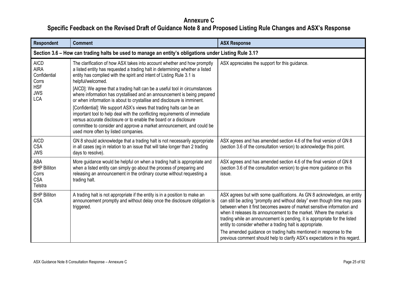<span id="page-24-0"></span>

| Section 3.6 – How can trading halts be used to manage an entity's obligations under Listing Rule 3.1?<br>The clarification of how ASX takes into account whether and how promptly<br>a listed entity has requested a trading halt in determining whether a listed<br>entity has complied with the spirit and intent of Listing Rule 3.1 is<br>helpful/welcomed.<br>[AICD]: We agree that a trading halt can be a useful tool in circumstances<br>where information has crystallised and an announcement is being prepared<br>or when information is about to crystallise and disclosure is imminent.<br>[Confidential]: We support ASX's views that trading halts can be an | ASX appreciates the support for this guidance.                                                                                                                                                                                                                                                                                                                                                                                                                                                                             |
|-----------------------------------------------------------------------------------------------------------------------------------------------------------------------------------------------------------------------------------------------------------------------------------------------------------------------------------------------------------------------------------------------------------------------------------------------------------------------------------------------------------------------------------------------------------------------------------------------------------------------------------------------------------------------------|----------------------------------------------------------------------------------------------------------------------------------------------------------------------------------------------------------------------------------------------------------------------------------------------------------------------------------------------------------------------------------------------------------------------------------------------------------------------------------------------------------------------------|
|                                                                                                                                                                                                                                                                                                                                                                                                                                                                                                                                                                                                                                                                             |                                                                                                                                                                                                                                                                                                                                                                                                                                                                                                                            |
|                                                                                                                                                                                                                                                                                                                                                                                                                                                                                                                                                                                                                                                                             |                                                                                                                                                                                                                                                                                                                                                                                                                                                                                                                            |
| important tool to help deal with the conflicting requirements of immediate<br>versus accurate disclosure or to enable the board or a disclosure<br>committee to consider and approve a market announcement, and could be<br>used more often by listed companies.                                                                                                                                                                                                                                                                                                                                                                                                            |                                                                                                                                                                                                                                                                                                                                                                                                                                                                                                                            |
| GN 8 should acknowledge that a trading halt is not necessarily appropriate<br>in all cases (eg in relation to an issue that will take longer than 2 trading<br>days to resolve).                                                                                                                                                                                                                                                                                                                                                                                                                                                                                            | ASX agrees and has amended section 4.6 of the final version of GN 8<br>(section 3.6 of the consultation version) to acknowledge this point.                                                                                                                                                                                                                                                                                                                                                                                |
| More guidance would be helpful on when a trading halt is appropriate and<br>when a listed entity can simply go about the process of preparing and<br>releasing an announcement in the ordinary course without requesting a                                                                                                                                                                                                                                                                                                                                                                                                                                                  | ASX agrees and has amended section 4.6 of the final version of GN 8<br>(section 3.6 of the consultation version) to give more guidance on this<br>issue.                                                                                                                                                                                                                                                                                                                                                                   |
| A trading halt is not appropriate if the entity is in a position to make an<br>announcement promptly and without delay once the disclosure obligation is                                                                                                                                                                                                                                                                                                                                                                                                                                                                                                                    | ASX agrees but with some qualifications. As GN 8 acknowledges, an entity<br>can still be acting "promptly and without delay" even though time may pass<br>between when it first becomes aware of market sensitive information and<br>when it releases its announcement to the market. Where the market is<br>trading while an announcement is pending, it is appropriate for the listed<br>entity to consider whether a trading halt is appropriate.<br>The amended guidance on trading halts mentioned in response to the |
|                                                                                                                                                                                                                                                                                                                                                                                                                                                                                                                                                                                                                                                                             |                                                                                                                                                                                                                                                                                                                                                                                                                                                                                                                            |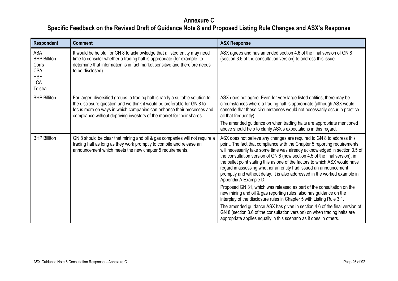| Respondent                                                                               | <b>Comment</b>                                                                                                                                                                                                                                                                                                | <b>ASX Response</b>                                                                                                                                                                                                                                                                                                                                                                                                                                                                                                                                                      |
|------------------------------------------------------------------------------------------|---------------------------------------------------------------------------------------------------------------------------------------------------------------------------------------------------------------------------------------------------------------------------------------------------------------|--------------------------------------------------------------------------------------------------------------------------------------------------------------------------------------------------------------------------------------------------------------------------------------------------------------------------------------------------------------------------------------------------------------------------------------------------------------------------------------------------------------------------------------------------------------------------|
| ABA<br><b>BHP Billiton</b><br>Corrs<br><b>CSA</b><br><b>HSF</b><br><b>LCA</b><br>Telstra | It would be helpful for GN 8 to acknowledge that a listed entity may need<br>time to consider whether a trading halt is appropriate (for example, to<br>determine that information is in fact market sensitive and therefore needs<br>to be disclosed).                                                       | ASX agrees and has amended section 4.6 of the final version of GN 8<br>(section 3.6 of the consultation version) to address this issue.                                                                                                                                                                                                                                                                                                                                                                                                                                  |
| <b>BHP Billiton</b>                                                                      | For larger, diversified groups, a trading halt is rarely a suitable solution to<br>the disclosure question and we think it would be preferable for GN 8 to<br>focus more on ways in which companies can enhance their processes and<br>compliance without depriving investors of the market for their shares. | ASX does not agree. Even for very large listed entities, there may be<br>circumstances where a trading halt is appropriate (although ASX would<br>concede that these circumstances would not necessarily occur in practice<br>all that frequently).                                                                                                                                                                                                                                                                                                                      |
|                                                                                          |                                                                                                                                                                                                                                                                                                               | The amended guidance on when trading halts are appropriate mentioned<br>above should help to clarify ASX's expectations in this regard.                                                                                                                                                                                                                                                                                                                                                                                                                                  |
| <b>BHP Billiton</b>                                                                      | GN 8 should be clear that mining and oil & gas companies will not require a<br>trading halt as long as they work promptly to compile and release an<br>announcement which meets the new chapter 5 requirements.                                                                                               | ASX does not believe any changes are required to GN 8 to address this<br>point. The fact that compliance with the Chapter 5 reporting requirements<br>will necessarily take some time was already acknowledged in section 3.5 of<br>the consultation version of GN 8 (now section 4.5 of the final version), in<br>the bullet point stating this as one of the factors to which ASX would have<br>regard in assessing whether an entity had issued an announcement<br>promptly and without delay. It is also addressed in the worked example in<br>Appendix A Example D. |
|                                                                                          |                                                                                                                                                                                                                                                                                                               | Proposed GN 31, which was released as part of the consultation on the<br>new mining and oil & gas reporting rules, also has guidance on the<br>interplay of the disclosure rules in Chapter 5 with Listing Rule 3.1.                                                                                                                                                                                                                                                                                                                                                     |
|                                                                                          |                                                                                                                                                                                                                                                                                                               | The amended guidance ASX has given in section 4.6 of the final version of<br>GN 8 (section 3.6 of the consultation version) on when trading halts are<br>appropriate applies equally in this scenario as it does in others.                                                                                                                                                                                                                                                                                                                                              |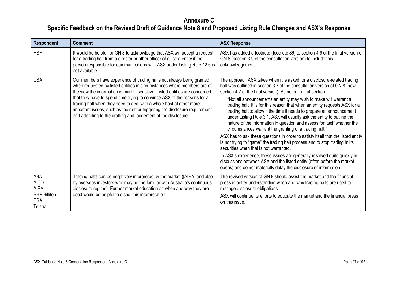| <b>Respondent</b>                                                                 | <b>Comment</b>                                                                                                                                                                                                                                                                                                                                                                                                                                                                                                                     | <b>ASX Response</b>                                                                                                                                                                                                                                                                                                                                                                                                                                                                                                                                                                                                                                                                                                                                                                                                                                                                                                                                                                                                                                                                                      |
|-----------------------------------------------------------------------------------|------------------------------------------------------------------------------------------------------------------------------------------------------------------------------------------------------------------------------------------------------------------------------------------------------------------------------------------------------------------------------------------------------------------------------------------------------------------------------------------------------------------------------------|----------------------------------------------------------------------------------------------------------------------------------------------------------------------------------------------------------------------------------------------------------------------------------------------------------------------------------------------------------------------------------------------------------------------------------------------------------------------------------------------------------------------------------------------------------------------------------------------------------------------------------------------------------------------------------------------------------------------------------------------------------------------------------------------------------------------------------------------------------------------------------------------------------------------------------------------------------------------------------------------------------------------------------------------------------------------------------------------------------|
| <b>HSF</b>                                                                        | It would be helpful for GN 8 to acknowledge that ASX will accept a request<br>for a trading halt from a director or other officer of a listed entity if the<br>person responsible for communications with ASX under Listing Rule 12.6 is<br>not available.                                                                                                                                                                                                                                                                         | ASX has added a footnote (footnote 86) to section 4.9 of the final version of<br>GN 8 (section 3.9 of the consultation version) to include this<br>acknowledgement.                                                                                                                                                                                                                                                                                                                                                                                                                                                                                                                                                                                                                                                                                                                                                                                                                                                                                                                                      |
| <b>CSA</b>                                                                        | Our members have experience of trading halts not always being granted<br>when requested by listed entities in circumstances where members are of<br>the view the information is market sensitive. Listed entities are concerned<br>that they have to spend time trying to convince ASX of the reasons for a<br>trading halt when they need to deal with a whole host of other more<br>important issues, such as the matter triggering the disclosure requirement<br>and attending to the drafting and lodgement of the disclosure. | The approach ASX takes when it is asked for a disclosure-related trading<br>halt was outlined in section 3.7 of the consultation version of GN 8 (now<br>section 4.7 of the final version). As noted in that section:<br>"Not all announcements an entity may wish to make will warrant a<br>trading halt. It is for this reason that when an entity requests ASX for a<br>trading halt to allow it the time it needs to prepare an announcement<br>under Listing Rule 3.1, ASX will usually ask the entity to outline the<br>nature of the information in question and assess for itself whether the<br>circumstances warrant the granting of a trading halt."<br>ASX has to ask these questions in order to satisfy itself that the listed entity<br>is not trying to "game" the trading halt process and to stop trading in its<br>securities when that is not warranted.<br>In ASX's experience, these issues are generally resolved quite quickly in<br>discussions between ASX and the listed entity (often before the market<br>opens) and do not materially delay the disclosure of information. |
| ABA<br><b>AICD</b><br><b>AIRA</b><br><b>BHP Billiton</b><br><b>CSA</b><br>Telstra | Trading halts can be negatively interpreted by the market ([AIRA] and also<br>by overseas investors who may not be familiar with Australia's continuous<br>disclosure regime). Further market education on when and why they are<br>used would be helpful to dispel this interpretation.                                                                                                                                                                                                                                           | The revised version of GN 8 should assist the market and the financial<br>press in better understanding when and why trading halts are used to<br>manage disclosure obligations.<br>ASX will continue its efforts to educate the market and the financial press<br>on this issue.                                                                                                                                                                                                                                                                                                                                                                                                                                                                                                                                                                                                                                                                                                                                                                                                                        |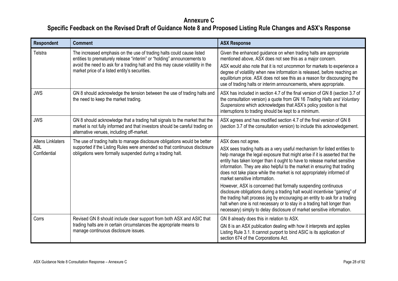| <b>Respondent</b>                                      | <b>Comment</b>                                                                                                                                                                                                                                                                     | <b>ASX Response</b>                                                                                                                                                                                                                                                                                                                                                                                                                                                                                                                                                                                                                                                                                                                                                                                                                 |
|--------------------------------------------------------|------------------------------------------------------------------------------------------------------------------------------------------------------------------------------------------------------------------------------------------------------------------------------------|-------------------------------------------------------------------------------------------------------------------------------------------------------------------------------------------------------------------------------------------------------------------------------------------------------------------------------------------------------------------------------------------------------------------------------------------------------------------------------------------------------------------------------------------------------------------------------------------------------------------------------------------------------------------------------------------------------------------------------------------------------------------------------------------------------------------------------------|
| Telstra                                                | The increased emphasis on the use of trading halts could cause listed<br>entities to prematurely release "interim" or "holding" announcements to<br>avoid the need to ask for a trading halt and this may cause volatility in the<br>market price of a listed entity's securities. | Given the enhanced guidance on when trading halts are appropriate<br>mentioned above, ASX does not see this as a major concern.<br>ASX would also note that it is not uncommon for markets to experience a<br>degree of volatility when new information is released, before reaching an<br>equilibrium price. ASX does not see this as a reason for discouraging the<br>use of trading halts or interim announcements, where appropriate.                                                                                                                                                                                                                                                                                                                                                                                           |
| <b>JWS</b>                                             | GN 8 should acknowledge the tension between the use of trading halts and<br>the need to keep the market trading.                                                                                                                                                                   | ASX has included in section 4.7 of the final version of GN 8 (section 3.7 of<br>the consultation version) a quote from GN 16 Trading Halts and Voluntary<br>Suspensions which acknowledges that ASX's policy position is that<br>interruptions to trading should be kept to a minimum.                                                                                                                                                                                                                                                                                                                                                                                                                                                                                                                                              |
| <b>JWS</b>                                             | GN 8 should acknowledge that a trading halt signals to the market that the<br>market is not fully informed and that investors should be careful trading on<br>alternative venues, including off-market.                                                                            | ASX agrees and has modified section 4.7 of the final version of GN 8<br>(section 3.7 of the consultation version) to include this acknowledgement.                                                                                                                                                                                                                                                                                                                                                                                                                                                                                                                                                                                                                                                                                  |
| <b>Allens Linklaters</b><br><b>ABL</b><br>Confidential | The use of trading halts to manage disclosure obligations would be better<br>supported if the Listing Rules were amended so that continuous disclosure<br>obligations were formally suspended during a trading halt.                                                               | ASX does not agree.<br>ASX sees trading halts as a very useful mechanism for listed entities to<br>help manage the legal exposure that might arise if it is asserted that the<br>entity has taken longer than it ought to have to release market sensitive<br>information. They are also helpful to the market in ensuring that trading<br>does not take place while the market is not appropriately informed of<br>market sensitive information.<br>However, ASX is concerned that formally suspending continuous<br>disclosure obligations during a trading halt would incentivise "gaming" of<br>the trading halt process (eg by encouraging an entity to ask for a trading<br>halt when one is not necessary or to stay in a trading halt longer than<br>necessary) simply to delay disclosure of market sensitive information. |
| Corrs                                                  | Revised GN 8 should include clear support from both ASX and ASIC that<br>trading halts are in certain circumstances the appropriate means to<br>manage continuous disclosure issues.                                                                                               | GN 8 already does this in relation to ASX.<br>GN 8 is an ASX publication dealing with how it interprets and applies<br>Listing Rule 3.1. It cannot purport to bind ASIC is its application of<br>section 674 of the Corporations Act.                                                                                                                                                                                                                                                                                                                                                                                                                                                                                                                                                                                               |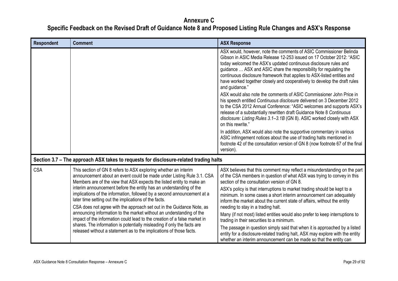<span id="page-28-0"></span>

| <b>Respondent</b> | <b>Comment</b>                                                                                                                                                                                                                                                                                                                                                                                                                                                                                                                                                                                                                                                                                                                                                                                              | <b>ASX Response</b>                                                                                                                                                                                                                                                                                                                                                                                                                                            |
|-------------------|-------------------------------------------------------------------------------------------------------------------------------------------------------------------------------------------------------------------------------------------------------------------------------------------------------------------------------------------------------------------------------------------------------------------------------------------------------------------------------------------------------------------------------------------------------------------------------------------------------------------------------------------------------------------------------------------------------------------------------------------------------------------------------------------------------------|----------------------------------------------------------------------------------------------------------------------------------------------------------------------------------------------------------------------------------------------------------------------------------------------------------------------------------------------------------------------------------------------------------------------------------------------------------------|
|                   |                                                                                                                                                                                                                                                                                                                                                                                                                                                                                                                                                                                                                                                                                                                                                                                                             | ASX would, however, note the comments of ASIC Commissioner Belinda<br>Gibson in ASIC Media Release 12-253 issued on 17 October 2012: "ASIC<br>today welcomed the ASX's updated continuous disclosure rules and<br>guidance  ASX and ASIC share the responsibility for regulating the<br>continuous disclosure framework that applies to ASX-listed entities and<br>have worked together closely and cooperatively to develop the draft rules<br>and guidance." |
|                   |                                                                                                                                                                                                                                                                                                                                                                                                                                                                                                                                                                                                                                                                                                                                                                                                             | ASX would also note the comments of ASIC Commissioner John Price in<br>his speech entitled Continuous disclosure delivered on 3 December 2012<br>to the CSA 2012 Annual Conference: "ASIC welcomes and supports ASX's<br>release of a substantially rewritten draft Guidance Note 8 Continuous<br>disclosure: Listing Rules 3.1-3.1B (GN 8). ASIC worked closely with ASX<br>on this rewrite."                                                                 |
|                   |                                                                                                                                                                                                                                                                                                                                                                                                                                                                                                                                                                                                                                                                                                                                                                                                             | In addition, ASX would also note the supportive commentary in various<br>ASIC infringement notices about the use of trading halts mentioned in<br>footnote 42 of the consultation version of GN 8 (now footnote 67 of the final<br>version).                                                                                                                                                                                                                   |
|                   | Section 3.7 – The approach ASX takes to requests for disclosure-related trading halts                                                                                                                                                                                                                                                                                                                                                                                                                                                                                                                                                                                                                                                                                                                       |                                                                                                                                                                                                                                                                                                                                                                                                                                                                |
| <b>CSA</b>        | This section of GN 8 refers to ASX exploring whether an interim<br>announcement about an event could be made under Listing Rule 3.1. CSA<br>Members are of the view that ASX expects the listed entity to make an<br>interim announcement before the entity has an understanding of the<br>implications of the information, followed by a second announcement at a<br>later time setting out the implications of the facts.<br>CSA does not agree with the approach set out in the Guidance Note, as<br>announcing information to the market without an understanding of the<br>impact of the information could lead to the creation of a false market in<br>shares. The information is potentially misleading if only the facts are<br>released without a statement as to the implications of those facts. | ASX believes that this comment may reflect a misunderstanding on the part<br>of the CSA members in question of what ASX was trying to convey in this<br>section of the consultation version of GN 8.                                                                                                                                                                                                                                                           |
|                   |                                                                                                                                                                                                                                                                                                                                                                                                                                                                                                                                                                                                                                                                                                                                                                                                             | ASX's policy is that interruptions to market trading should be kept to a<br>minimum. In some cases a short interim announcement can adequately<br>inform the market about the current state of affairs, without the entity                                                                                                                                                                                                                                     |
|                   |                                                                                                                                                                                                                                                                                                                                                                                                                                                                                                                                                                                                                                                                                                                                                                                                             | needing to stay in a trading halt.<br>Many (if not most) listed entities would also prefer to keep interruptions to<br>trading in their securities to a minimum.                                                                                                                                                                                                                                                                                               |
|                   |                                                                                                                                                                                                                                                                                                                                                                                                                                                                                                                                                                                                                                                                                                                                                                                                             | The passage in question simply said that when it is approached by a listed<br>entity for a disclosure-related trading halt, ASX may explore with the entity<br>whether an interim announcement can be made so that the entity can                                                                                                                                                                                                                              |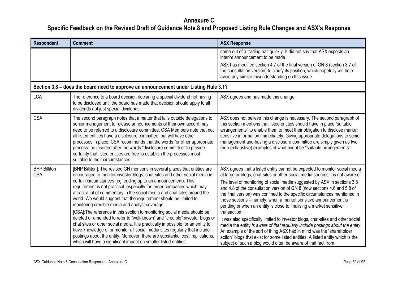<span id="page-29-0"></span>

| <b>Respondent</b>                 | <b>Comment</b>                                                                                                                                                                                                                                                                                                                                                                                                                                                                                                                                                                                                                                                                                                                                                                                                                                                                                                                                                                                 | <b>ASX Response</b>                                                                                                                                                                                                                                                                                                                                                                                                                                                                                                                                                                                                                                                                                                                                                                                                                                                                                                                                             |
|-----------------------------------|------------------------------------------------------------------------------------------------------------------------------------------------------------------------------------------------------------------------------------------------------------------------------------------------------------------------------------------------------------------------------------------------------------------------------------------------------------------------------------------------------------------------------------------------------------------------------------------------------------------------------------------------------------------------------------------------------------------------------------------------------------------------------------------------------------------------------------------------------------------------------------------------------------------------------------------------------------------------------------------------|-----------------------------------------------------------------------------------------------------------------------------------------------------------------------------------------------------------------------------------------------------------------------------------------------------------------------------------------------------------------------------------------------------------------------------------------------------------------------------------------------------------------------------------------------------------------------------------------------------------------------------------------------------------------------------------------------------------------------------------------------------------------------------------------------------------------------------------------------------------------------------------------------------------------------------------------------------------------|
|                                   |                                                                                                                                                                                                                                                                                                                                                                                                                                                                                                                                                                                                                                                                                                                                                                                                                                                                                                                                                                                                | come out of a trading halt quickly. It did not say that ASX expects an<br>interim announcement to be made.                                                                                                                                                                                                                                                                                                                                                                                                                                                                                                                                                                                                                                                                                                                                                                                                                                                      |
|                                   |                                                                                                                                                                                                                                                                                                                                                                                                                                                                                                                                                                                                                                                                                                                                                                                                                                                                                                                                                                                                | ASX has modified section 4.7 of the final version of GN 8 (section 3.7 of<br>the consultation version) to clarify its position, which hopefully will help<br>avoid any similar misunderstanding on this issue.                                                                                                                                                                                                                                                                                                                                                                                                                                                                                                                                                                                                                                                                                                                                                  |
|                                   | Section 3.8 - does the board need to approve an announcement under Listing Rule 3.1?                                                                                                                                                                                                                                                                                                                                                                                                                                                                                                                                                                                                                                                                                                                                                                                                                                                                                                           |                                                                                                                                                                                                                                                                                                                                                                                                                                                                                                                                                                                                                                                                                                                                                                                                                                                                                                                                                                 |
| <b>LCA</b>                        | The reference to a board decision declaring a special dividend not having<br>to be disclosed until the board has made that decision should apply to all<br>dividends not just special dividends.                                                                                                                                                                                                                                                                                                                                                                                                                                                                                                                                                                                                                                                                                                                                                                                               | ASX agrees and has made this change.                                                                                                                                                                                                                                                                                                                                                                                                                                                                                                                                                                                                                                                                                                                                                                                                                                                                                                                            |
| <b>CSA</b>                        | The second paragraph notes that a matter that falls outside delegations to<br>senior management to release announcements of their own accord may<br>need to be referred to a disclosure committee. CSA Members note that not<br>all listed entities have a disclosure committee, but will have other<br>processes in place. CSA recommends that the words "or other appropriate<br>process" be inserted after the words "disclosure committee" to provide<br>certainty that listed entities are free to establish the processes most<br>suitable to their circumstances.                                                                                                                                                                                                                                                                                                                                                                                                                       | ASX does not believe this change is necessary. The second paragraph of<br>this section mentions that listed entities should have in place "suitable"<br>arrangements" to enable them to meet their obligation to disclose market<br>sensitive information immediately. Giving appropriate delegations to senior<br>management and having a disclosure committee are simply given as two<br>(non-exhaustive) examples of what might be "suitable arrangements".                                                                                                                                                                                                                                                                                                                                                                                                                                                                                                  |
| <b>BHP Billiton</b><br><b>CSA</b> | [BHP Billiton]: The revised GN mentions in several places that entities are<br>encouraged to monitor investor blogs, chat-sites and other social media in<br>certain circumstances (eg leading up to an announcement). This<br>requirement is not practical, especially for larger companies which may<br>attract a lot of commentary in the social media and chat sites around the<br>world. We would suggest that the requirement should be limited to<br>monitoring credible media and analyst coverage.<br>[CSA]: The reference in this section to monitoring social media should be<br>deleted or amended to refer to "well-known" and "credible" investor blogs or<br>chat sites or other social media. It is practically impossible for an entity to<br>have knowledge of or monitor all social media sites regularly that include<br>postings about the entity. Moreover, there are substantial cost implications,<br>which will have a significant impact on smaller listed entities. | ASX agrees that a listed entity cannot be expected to monitor social media<br>at large or blogs, chat-sites or other social media sources it is not aware of.<br>The level of monitoring of social media suggested by ASX in sections 3.8<br>and 4.8 of the consultation version of GN 8 (now sections 4.6 and 5.8 of<br>the final version) was confined to the specific circumstances mentioned in<br>those sections – namely, when a market sensitive announcement is<br>pending or when an entity is close to finalising a market sensitive<br>transaction.<br>It was also specifically limited to investor blogs, chat-sites and other social<br>media the entity is aware of that regularly include postings about the entity.<br>An example of the sort of thing ASX had in mind was the "shareholder<br>action" blogs that exist for some listed entities. A listed entity which is the<br>subject of such a blog would often be aware of that fact from |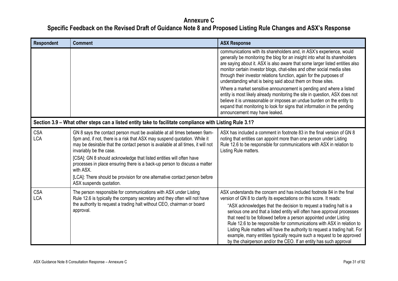<span id="page-30-0"></span>

| <b>Respondent</b>        | <b>Comment</b>                                                                                                                                                                                                                                                                                                                                                                                                                                                                                                                                | <b>ASX Response</b>                                                                                                                                                                                                                                                                                                                                                                                                                                                                                                                                                                                                                                                                                                                                                                               |
|--------------------------|-----------------------------------------------------------------------------------------------------------------------------------------------------------------------------------------------------------------------------------------------------------------------------------------------------------------------------------------------------------------------------------------------------------------------------------------------------------------------------------------------------------------------------------------------|---------------------------------------------------------------------------------------------------------------------------------------------------------------------------------------------------------------------------------------------------------------------------------------------------------------------------------------------------------------------------------------------------------------------------------------------------------------------------------------------------------------------------------------------------------------------------------------------------------------------------------------------------------------------------------------------------------------------------------------------------------------------------------------------------|
|                          |                                                                                                                                                                                                                                                                                                                                                                                                                                                                                                                                               | communications with its shareholders and, in ASX's experience, would<br>generally be monitoring the blog for an insight into what its shareholders<br>are saying about it. ASX is also aware that some larger listed entities also<br>monitor certain investor blogs, chat-sites and other social media sites<br>through their investor relations function, again for the purposes of<br>understanding what is being said about them on those sites.<br>Where a market sensitive announcement is pending and where a listed<br>entity is most likely already monitoring the site in question, ASX does not<br>believe it is unreasonable or imposes an undue burden on the entity to<br>expand that monitoring to look for signs that information in the pending<br>announcement may have leaked. |
|                          | Section 3.9 - What other steps can a listed entity take to facilitate compliance with Listing Rule 3.1?                                                                                                                                                                                                                                                                                                                                                                                                                                       |                                                                                                                                                                                                                                                                                                                                                                                                                                                                                                                                                                                                                                                                                                                                                                                                   |
| <b>CSA</b><br><b>LCA</b> | GN 8 says the contact person must be available at all times between 9am-<br>5pm and, if not, there is a risk that ASX may suspend quotation. While it<br>may be desirable that the contact person is available at all times, it will not<br>invariably be the case.<br>[CSA]: GN 8 should acknowledge that listed entities will often have<br>processes in place ensuring there is a back-up person to discuss a matter<br>with ASX.<br>[LCA]: There should be provision for one alternative contact person before<br>ASX suspends quotation. | ASX has included a comment in footnote 83 in the final version of GN 8<br>noting that entities can appoint more than one person under Listing<br>Rule 12.6 to be responsible for communications with ASX in relation to<br>Listing Rule matters.                                                                                                                                                                                                                                                                                                                                                                                                                                                                                                                                                  |
| <b>CSA</b><br><b>LCA</b> | The person responsible for communications with ASX under Listing<br>Rule 12.6 is typically the company secretary and they often will not have<br>the authority to request a trading halt without CEO, chairman or board<br>approval.                                                                                                                                                                                                                                                                                                          | ASX understands the concern and has included footnote 84 in the final<br>version of GN 8 to clarify its expectations on this score. It reads:<br>"ASX acknowledges that the decision to request a trading halt is a<br>serious one and that a listed entity will often have approval processes<br>that need to be followed before a person appointed under Listing<br>Rule 12.6 to be responsible for communications with ASX in relation to<br>Listing Rule matters will have the authority to request a trading halt. For<br>example, many entities typically require such a request to be approved<br>by the chairperson and/or the CEO. If an entity has such approval                                                                                                                        |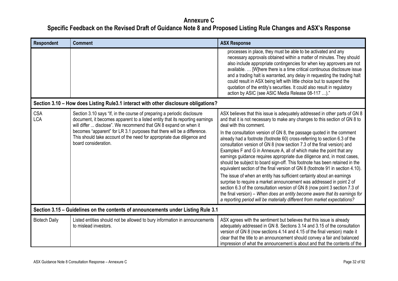<span id="page-31-1"></span><span id="page-31-0"></span>

| <b>Respondent</b>        | <b>Comment</b>                                                                                                                                                                                                                                                                                                                                                                                           | <b>ASX Response</b>                                                                                                                                                                                                                                                                                                                                                                                                                                                                                                                                                                                                                                                                                                                                                                                                                                                                                                                                                                                                                                                                                                                         |
|--------------------------|----------------------------------------------------------------------------------------------------------------------------------------------------------------------------------------------------------------------------------------------------------------------------------------------------------------------------------------------------------------------------------------------------------|---------------------------------------------------------------------------------------------------------------------------------------------------------------------------------------------------------------------------------------------------------------------------------------------------------------------------------------------------------------------------------------------------------------------------------------------------------------------------------------------------------------------------------------------------------------------------------------------------------------------------------------------------------------------------------------------------------------------------------------------------------------------------------------------------------------------------------------------------------------------------------------------------------------------------------------------------------------------------------------------------------------------------------------------------------------------------------------------------------------------------------------------|
|                          |                                                                                                                                                                                                                                                                                                                                                                                                          | processes in place, they must be able to be activated and any<br>necessary approvals obtained within a matter of minutes. They should<br>also include appropriate contingencies for when key approvers are not<br>available.  [W]here there is a time critical continuous disclosure issue<br>and a trading halt is warranted, any delay in requesting the trading halt<br>could result in ASX being left with little choice but to suspend the<br>quotation of the entity's securities. It could also result in regulatory<br>action by ASIC (see ASIC Media Release 08-117 )."                                                                                                                                                                                                                                                                                                                                                                                                                                                                                                                                                            |
|                          | Section 3.10 - How does Listing Rule3.1 interact with other disclosure obligations?                                                                                                                                                                                                                                                                                                                      |                                                                                                                                                                                                                                                                                                                                                                                                                                                                                                                                                                                                                                                                                                                                                                                                                                                                                                                                                                                                                                                                                                                                             |
| <b>CSA</b><br><b>LCA</b> | Section 3.10 says "If, in the course of preparing a periodic disclosure<br>document, it becomes apparent to a listed entity that its reporting earnings<br>will differ  disclose". We recommend that GN 8 expand on when it<br>becomes "apparent" for LR 3.1 purposes that there will be a difference.<br>This should take account of the need for appropriate due diligence and<br>board consideration. | ASX believes that this issue is adequately addressed in other parts of GN 8<br>and that it is not necessary to make any changes to this section of GN 8 to<br>deal with this comment.<br>In the consultation version of GN 8, the passage quoted in the comment<br>already had a footnote (footnote 60) cross-referring to section 6.3 of the<br>consultation version of GN 8 (now section 7.3 of the final version) and<br>Examples F and G in Annexure A, all of which make the point that any<br>earnings guidance requires appropriate due diligence and, in most cases,<br>should be subject to board sign-off. This footnote has been retained in the<br>equivalent section of the final version of GN 8 (footnote 91 in section 4.10).<br>The issue of when an entity has sufficient certainty about an earnings<br>surprise to require a market announcement was addressed in point 2 of<br>section 6.3 of the consultation version of GN 8 (now point 3 section 7.3 of<br>the final version) – When does an entity become aware that its earnings for<br>a reporting period will be materially different from market expectations? |
|                          | Section 3.15 – Guidelines on the contents of announcements under Listing Rule 3.1                                                                                                                                                                                                                                                                                                                        |                                                                                                                                                                                                                                                                                                                                                                                                                                                                                                                                                                                                                                                                                                                                                                                                                                                                                                                                                                                                                                                                                                                                             |
| <b>Biotech Daily</b>     | Listed entities should not be allowed to bury information in announcements<br>to mislead investors.                                                                                                                                                                                                                                                                                                      | ASX agrees with the sentiment but believes that this issue is already<br>adequately addressed in GN 8. Sections 3.14 and 3.15 of the consultation<br>version of GN 8 (now sections 4.14 and 4.15 of the final version) made it<br>clear that the title to an announcement should convey a fair and balanced<br>impression of what the announcement is about and that the contents of the                                                                                                                                                                                                                                                                                                                                                                                                                                                                                                                                                                                                                                                                                                                                                    |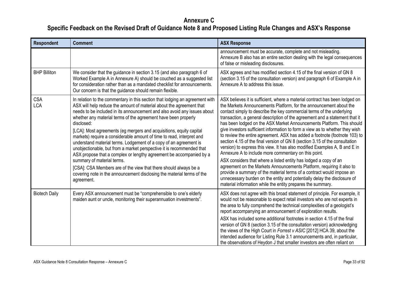| <b>Respondent</b>        | <b>Comment</b>                                                                                                                                                                                                                                                                                                                                                                                                                                                                                                                                                                                                                                                                                                                                                                                                                                                                  | <b>ASX Response</b>                                                                                                                                                                                                                                                                                                                                                                                                                                                                                                                                                                                                                                                                                                                                                                                                                                                                                                                                                                                                                                                                                                                    |
|--------------------------|---------------------------------------------------------------------------------------------------------------------------------------------------------------------------------------------------------------------------------------------------------------------------------------------------------------------------------------------------------------------------------------------------------------------------------------------------------------------------------------------------------------------------------------------------------------------------------------------------------------------------------------------------------------------------------------------------------------------------------------------------------------------------------------------------------------------------------------------------------------------------------|----------------------------------------------------------------------------------------------------------------------------------------------------------------------------------------------------------------------------------------------------------------------------------------------------------------------------------------------------------------------------------------------------------------------------------------------------------------------------------------------------------------------------------------------------------------------------------------------------------------------------------------------------------------------------------------------------------------------------------------------------------------------------------------------------------------------------------------------------------------------------------------------------------------------------------------------------------------------------------------------------------------------------------------------------------------------------------------------------------------------------------------|
|                          |                                                                                                                                                                                                                                                                                                                                                                                                                                                                                                                                                                                                                                                                                                                                                                                                                                                                                 | announcement must be accurate, complete and not misleading.<br>Annexure B also has an entire section dealing with the legal consequences<br>of false or misleading disclosures.                                                                                                                                                                                                                                                                                                                                                                                                                                                                                                                                                                                                                                                                                                                                                                                                                                                                                                                                                        |
| <b>BHP Billiton</b>      | We consider that the guidance in section 3.15 (and also paragraph 6 of<br>Worked Example A in Annexure A) should be couched as a suggested list<br>for consideration rather than as a mandated checklist for announcements.<br>Our concern is that the guidance should remain flexible.                                                                                                                                                                                                                                                                                                                                                                                                                                                                                                                                                                                         | ASX agrees and has modified section 4.15 of the final version of GN 8<br>(section 3.15 of the consultation version) and paragraph 6 of Example A in<br>Annexure A to address this issue.                                                                                                                                                                                                                                                                                                                                                                                                                                                                                                                                                                                                                                                                                                                                                                                                                                                                                                                                               |
| <b>CSA</b><br><b>LCA</b> | In relation to the commentary in this section that lodging an agreement with<br>ASX will help reduce the amount of material about the agreement that<br>needs to be included in its announcement and also avoid any issues about<br>whether any material terms of the agreement have been properly<br>disclosed:<br>[LCA]: Most agreements (eg mergers and acquisitions, equity capital<br>markets) require a considerable amount of time to read, interpret and<br>understand material terms. Lodgement of a copy of an agreement is<br>unobjectionable, but from a market perspective it is recommended that<br>ASX propose that a complex or lengthy agreement be accompanied by a<br>summary of material terms.<br>[CSA]: CSA Members are of the view that there should always be a<br>covering note in the announcement disclosing the material terms of the<br>agreement. | ASX believes it is sufficient, where a material contract has been lodged on<br>the Markets Announcements Platform, for the announcement about the<br>contact simply to describe the key commercial terms of the underlying<br>transaction, a general description of the agreement and a statement that it<br>has been lodged on the ASX Market Announcements Platform. This should<br>give investors sufficient information to form a view as to whether they wish<br>to review the entire agreement. ASX has added a footnote (footnote 103) to<br>section 4.15 of the final version of GN 8 (section 3.15 of the consultation<br>version) to express this view. It has also modified Examples A, B and E in<br>Annexure A to include more commentary on this point.<br>ASX considers that where a listed entity has lodged a copy of an<br>agreement on the Markets Announcements Platform, requiring it also to<br>provide a summary of the material terms of a contract would impose an<br>unnecessary burden on the entity and potentially delay the disclosure of<br>material information while the entity prepares the summary. |
| <b>Biotech Daily</b>     | Every ASX announcement must be "comprehensible to one's elderly<br>maiden aunt or uncle, monitoring their superannuation investments".                                                                                                                                                                                                                                                                                                                                                                                                                                                                                                                                                                                                                                                                                                                                          | ASX does not agree with this broad statement of principle. For example, it<br>would not be reasonable to expect retail investors who are not experts in<br>the area to fully comprehend the technical complexities of a geologist's<br>report accompanying an announcement of exploration results.<br>ASX has included some additional footnotes in section 4.15 of the final<br>version of GN 8 (section 3.15 of the consultation version) acknowledging<br>the views of the High Court in Forrest v ASIC [2012] HCA 39, about the<br>intended audience for Listing Rule 3.1 announcements and, in particular,<br>the observations of Heydon J that smaller investors are often reliant on                                                                                                                                                                                                                                                                                                                                                                                                                                            |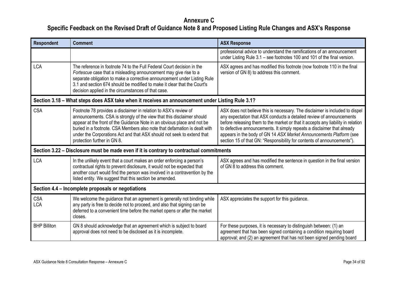<span id="page-33-2"></span><span id="page-33-1"></span><span id="page-33-0"></span>

| <b>Respondent</b>        | <b>Comment</b>                                                                                                                                                                                                                                                                                                                                                                                              | <b>ASX Response</b>                                                                                                                                                                                                                                                                                                                                                                                                                                                   |
|--------------------------|-------------------------------------------------------------------------------------------------------------------------------------------------------------------------------------------------------------------------------------------------------------------------------------------------------------------------------------------------------------------------------------------------------------|-----------------------------------------------------------------------------------------------------------------------------------------------------------------------------------------------------------------------------------------------------------------------------------------------------------------------------------------------------------------------------------------------------------------------------------------------------------------------|
|                          |                                                                                                                                                                                                                                                                                                                                                                                                             | professional advice to understand the ramifications of an announcement<br>under Listing Rule 3.1 – see footnotes 100 and 101 of the final version.                                                                                                                                                                                                                                                                                                                    |
| <b>LCA</b>               | The reference in footnote 74 to the Full Federal Court decision in the<br>Fortescue case that a misleading announcement may give rise to a<br>separate obligation to make a corrective announcement under Listing Rule<br>3.1 and section 674 should be modified to make it clear that the Court's<br>decision applied in the circumstances of that case.                                                   | ASX agrees and has modified this footnote (now footnote 110 in the final<br>version of GN 8) to address this comment.                                                                                                                                                                                                                                                                                                                                                 |
|                          | Section 3.18 - What steps does ASX take when it receives an announcement under Listing Rule 3.1?                                                                                                                                                                                                                                                                                                            |                                                                                                                                                                                                                                                                                                                                                                                                                                                                       |
| <b>CSA</b>               | Footnote 78 provides a disclaimer in relation to ASX's review of<br>announcements. CSA is strongly of the view that this disclaimer should<br>appear at the front of the Guidance Note in an obvious place and not be<br>buried in a footnote. CSA Members also note that defamation is dealt with<br>under the Corporations Act and that ASX should not seek to extend that<br>protection further in GN 8. | ASX does not believe this is necessary. The disclaimer is included to dispel<br>any expectation that ASX conducts a detailed review of announcements<br>before releasing them to the market or that it accepts any liability in relation<br>to defective announcements. It simply repeats a disclaimer that already<br>appears in the body of GN 14 ASX Market Announcements Platform (see<br>section 15 of that GN: "Responsibility for contents of announcements"). |
|                          | Section 3.22 – Disclosure must be made even if it is contrary to contractual commitments                                                                                                                                                                                                                                                                                                                    |                                                                                                                                                                                                                                                                                                                                                                                                                                                                       |
| <b>LCA</b>               | In the unlikely event that a court makes an order enforcing a person's<br>contractual rights to prevent disclosure, it would not be expected that<br>another court would find the person was involved in a contravention by the<br>listed entity. We suggest that this section be amended.                                                                                                                  | ASX agrees and has modified the sentence in question in the final version<br>of GN 8 to address this comment.                                                                                                                                                                                                                                                                                                                                                         |
|                          | Section 4.4 – Incomplete proposals or negotiations                                                                                                                                                                                                                                                                                                                                                          |                                                                                                                                                                                                                                                                                                                                                                                                                                                                       |
| <b>CSA</b><br><b>LCA</b> | We welcome the guidance that an agreement is generally not binding while<br>any party is free to decide not to proceed, and also that signing can be<br>deferred to a convenient time before the market opens or after the market<br>closes.                                                                                                                                                                | ASX appreciates the support for this guidance.                                                                                                                                                                                                                                                                                                                                                                                                                        |
| <b>BHP Billiton</b>      | GN 8 should acknowledge that an agreement which is subject to board<br>approval does not need to be disclosed as it is incomplete.                                                                                                                                                                                                                                                                          | For these purposes, it is necessary to distinguish between: (1) an<br>agreement that has been signed containing a condition requiring board<br>approval; and (2) an agreement that has not been signed pending board                                                                                                                                                                                                                                                  |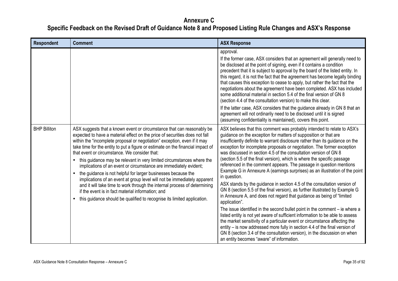| <b>Respondent</b>   | <b>Comment</b>                                                                                                                                                                                                                                                                                                                                                                                                                                                                                                                                                                                                                                                                                                                                                                                                                                                                              | <b>ASX Response</b>                                                                                                                                                                                                                                                                                                                                                                                                                                                                                                                                                                                                                                                                                                                                                                                                                                                                                                                                                                                                                                                                                                                                                                                                                                                                                                                           |
|---------------------|---------------------------------------------------------------------------------------------------------------------------------------------------------------------------------------------------------------------------------------------------------------------------------------------------------------------------------------------------------------------------------------------------------------------------------------------------------------------------------------------------------------------------------------------------------------------------------------------------------------------------------------------------------------------------------------------------------------------------------------------------------------------------------------------------------------------------------------------------------------------------------------------|-----------------------------------------------------------------------------------------------------------------------------------------------------------------------------------------------------------------------------------------------------------------------------------------------------------------------------------------------------------------------------------------------------------------------------------------------------------------------------------------------------------------------------------------------------------------------------------------------------------------------------------------------------------------------------------------------------------------------------------------------------------------------------------------------------------------------------------------------------------------------------------------------------------------------------------------------------------------------------------------------------------------------------------------------------------------------------------------------------------------------------------------------------------------------------------------------------------------------------------------------------------------------------------------------------------------------------------------------|
|                     |                                                                                                                                                                                                                                                                                                                                                                                                                                                                                                                                                                                                                                                                                                                                                                                                                                                                                             | approval.<br>If the former case, ASX considers that an agreement will generally need to<br>be disclosed at the point of signing, even if it contains a condition<br>precedent that it is subject to approval by the board of the listed entity. In<br>this regard, it is not the fact that the agreement has become legally binding<br>that causes this exception to cease to apply, but rather the fact that the<br>negotiations about the agreement have been completed. ASX has included<br>some additional material in section 5.4 of the final version of GN 8<br>(section 4.4 of the consultation version) to make this clear.<br>If the latter case, ASX considers that the guidance already in GN 8 that an<br>agreement will not ordinarily need to be disclosed until it is signed<br>(assuming confidentiality is maintained), covers this point.                                                                                                                                                                                                                                                                                                                                                                                                                                                                                  |
| <b>BHP Billiton</b> | ASX suggests that a known event or circumstance that can reasonably be<br>expected to have a material effect on the price of securities does not fall<br>within the "incomplete proposal or negotiation" exception, even if it may<br>take time for the entity to put a figure or estimate on the financial impact of<br>that event or circumstance. We consider that:<br>this guidance may be relevant in very limited circumstances where the<br>$\bullet$<br>implications of an event or circumstance are immediately evident;<br>the guidance is not helpful for larger businesses because the<br>implications of an event at group level will not be immediately apparent<br>and it will take time to work through the internal process of determining<br>if the event is in fact material information; and<br>this guidance should be qualified to recognise its limited application. | ASX believes that this comment was probably intended to relate to ASX's<br>guidance on the exception for matters of supposition or that are<br>insufficiently definite to warrant disclosure rather than its guidance on the<br>exception for incomplete proposals or negotiation. The former exception<br>was discussed in section 4.5 of the consultation version of GN 8<br>(section 5.5 of the final version), which is where the specific passage<br>referenced in the comment appears. The passage in question mentions<br>Example G in Annexure A (earnings surprises) as an illustration of the point<br>in question.<br>ASX stands by the guidance in section 4.5 of the consultation version of<br>GN 8 (section 5.5 of the final version), as further illustrated by Example G<br>in Annexure A, and does not regard that guidance as being of "limited"<br>application".<br>The issue identified in the second bullet point in the comment $-$ ie where a<br>listed entity is not yet aware of sufficient information to be able to assess<br>the market sensitivity of a particular event or circumstance affecting the<br>entity – is now addressed more fully in section 4.4 of the final version of<br>GN 8 (section 3.4 of the consultation version), in the discussion on when<br>an entity becomes "aware" of information. |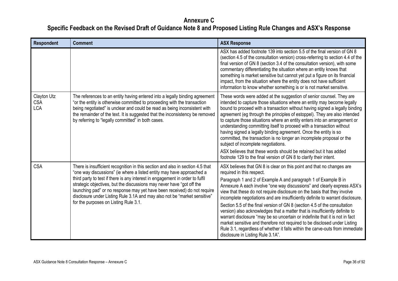| <b>Respondent</b>                       | <b>Comment</b>                                                                                                                                                                                                                                                                                                                                                                                                                                                                                                      | <b>ASX Response</b>                                                                                                                                                                                                                                                                                                                                                                                                                                                                                                                                                                                                                                                                                                                                                                                                                                          |
|-----------------------------------------|---------------------------------------------------------------------------------------------------------------------------------------------------------------------------------------------------------------------------------------------------------------------------------------------------------------------------------------------------------------------------------------------------------------------------------------------------------------------------------------------------------------------|--------------------------------------------------------------------------------------------------------------------------------------------------------------------------------------------------------------------------------------------------------------------------------------------------------------------------------------------------------------------------------------------------------------------------------------------------------------------------------------------------------------------------------------------------------------------------------------------------------------------------------------------------------------------------------------------------------------------------------------------------------------------------------------------------------------------------------------------------------------|
|                                         |                                                                                                                                                                                                                                                                                                                                                                                                                                                                                                                     | ASX has added footnote 139 into section 5.5 of the final version of GN 8<br>(section 4.5 of the consultation version) cross-referring to section 4.4 of the<br>final version of GN 8 (section 3.4 of the consultation version), with some<br>commentary differentiating the situation where an entity knows that<br>something is market sensitive but cannot yet put a figure on its financial<br>impact, from the situation where the entity does not have sufficient<br>information to know whether something is or is not market sensitive.                                                                                                                                                                                                                                                                                                               |
| Clayton Utz<br><b>CSA</b><br><b>LCA</b> | The references to an entity having entered into a legally binding agreement<br>"or the entity is otherwise committed to proceeding with the transaction<br>being negotiated" is unclear and could be read as being inconsistent with<br>the remainder of the text. It is suggested that the inconsistency be removed<br>by referring to "legally committed" in both cases.                                                                                                                                          | These words were added at the suggestion of senior counsel. They are<br>intended to capture those situations where an entity may become legally<br>bound to proceed with a transaction without having signed a legally binding<br>agreement (eg through the principles of estoppel). They are also intended<br>to capture those situations where an entity enters into an arrangement or<br>understanding committing itself to proceed with a transaction without<br>having signed a legally binding agreement. Once the entity is so<br>committed, the transaction is no longer an incomplete proposal or the<br>subject of incomplete negotiations.<br>ASX believes that these words should be retained but it has added<br>footnote 129 to the final version of GN 8 to clarify their intent.                                                             |
| <b>CSA</b>                              | There is insufficient recognition in this section and also in section 4.5 that<br>"one way discussions" (ie where a listed entity may have approached a<br>third party to test if there is any interest in engagement in order to fulfil<br>strategic objectives, but the discussions may never have "got off the<br>launching pad" or no response may yet have been received) do not require<br>disclosure under Listing Rule 3.1A and may also not be "market sensitive"<br>for the purposes on Listing Rule 3.1. | ASX believes that GN 8 is clear on this point and that no changes are<br>required in this respect.<br>Paragraph 1 and 2 of Example A and paragraph 1 of Example B in<br>Annexure A each involve "one way discussions" and clearly express ASX's<br>view that these do not require disclosure on the basis that they involve<br>incomplete negotiations and are insufficiently definite to warrant disclosure.<br>Section 5.5 of the final version of GN 8 (section 4.5 of the consultation<br>version) also acknowledges that a matter that is insufficiently definite to<br>warrant disclosure "may be so uncertain or indefinite that it is not in fact<br>market sensitive and therefore not required to be disclosed under Listing<br>Rule 3.1, regardless of whether it falls within the carve-outs from immediate<br>disclosure in Listing Rule 3.1A". |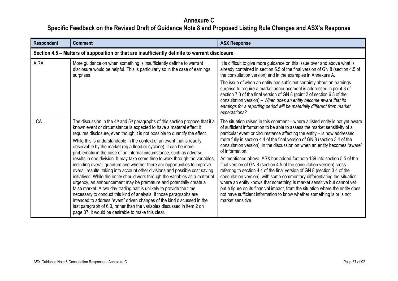| Respondent  | <b>Comment</b>                                                                                                                                                                                                                                                                                                                                                                                                                                                                                                                                                                                                                                                                                                                                                                                                                                                                                                                                                                                                                                                                                                                                                                                                                    | <b>ASX Response</b>                                                                                                                                                                                                                                                                                                                                                                                                                                                                                                                                                                                                                                                                                                                                                                                                                                                                                                                                                                              |
|-------------|-----------------------------------------------------------------------------------------------------------------------------------------------------------------------------------------------------------------------------------------------------------------------------------------------------------------------------------------------------------------------------------------------------------------------------------------------------------------------------------------------------------------------------------------------------------------------------------------------------------------------------------------------------------------------------------------------------------------------------------------------------------------------------------------------------------------------------------------------------------------------------------------------------------------------------------------------------------------------------------------------------------------------------------------------------------------------------------------------------------------------------------------------------------------------------------------------------------------------------------|--------------------------------------------------------------------------------------------------------------------------------------------------------------------------------------------------------------------------------------------------------------------------------------------------------------------------------------------------------------------------------------------------------------------------------------------------------------------------------------------------------------------------------------------------------------------------------------------------------------------------------------------------------------------------------------------------------------------------------------------------------------------------------------------------------------------------------------------------------------------------------------------------------------------------------------------------------------------------------------------------|
|             | Section 4.5 - Matters of supposition or that are insufficiently definite to warrant disclosure                                                                                                                                                                                                                                                                                                                                                                                                                                                                                                                                                                                                                                                                                                                                                                                                                                                                                                                                                                                                                                                                                                                                    |                                                                                                                                                                                                                                                                                                                                                                                                                                                                                                                                                                                                                                                                                                                                                                                                                                                                                                                                                                                                  |
| <b>AIRA</b> | More guidance on when something is insufficiently definite to warrant<br>disclosure would be helpful. This is particularly so in the case of earnings<br>surprises.                                                                                                                                                                                                                                                                                                                                                                                                                                                                                                                                                                                                                                                                                                                                                                                                                                                                                                                                                                                                                                                               | It is difficult to give more guidance on this issue over and above what is<br>already contained in section 5.5 of the final version of GN 8 (section 4.5 of<br>the consultation version) and in the examples in Annexure A.<br>The issue of when an entity has sufficient certainty about an earnings<br>surprise to require a market announcement is addressed in point 3 of<br>section 7.3 of the final version of GN 8 (point 2 of section 6.3 of the<br>consultation version) - When does an entity become aware that its<br>earnings for a reporting period will be materially different from market<br>expectations?                                                                                                                                                                                                                                                                                                                                                                       |
| <b>LCA</b>  | The discussion in the $4th$ and $5th$ paragraphs of this section propose that if a<br>known event or circumstance is expected to have a material effect it<br>requires disclosure, even though it is not possible to quantify the effect.<br>While this is understandable in the context of an event that is readily<br>observable by the market (eg a flood or cyclone), it can be more<br>problematic in the case of an internal circumstance, such as adverse<br>results in one division. It may take some time to work through the variables,<br>including overall quantum and whether there are opportunities to improve<br>overall results, taking into account other divisions and possible cost saving<br>initiatives. While the entity should work through the variables as a matter of<br>urgency, an announcement may be premature and potentially create a<br>false market. A two day trading halt is unlikely to provide the time<br>necessary to conduct this kind of analysis. If those paragraphs are<br>intended to address "event" driven changes of the kind discussed in the<br>last paragraph of 6.3, rather than the variables discussed in item 2 on<br>page 37, it would be desirable to make this clear. | The situation raised in this comment - where a listed entity is not yet aware<br>of sufficient information to be able to assess the market sensitivity of a<br>particular event or circumstance affecting the entity - is now addressed<br>more fully in section 4.4 of the final version of GN 8 (section 3.4 of the<br>consultation version), in the discussion on when an entity becomes "aware"<br>of information.<br>As mentioned above, ASX has added footnote 139 into section 5.5 of the<br>final version of GN 8 (section 4.5 of the consultation version) cross-<br>referring to section 4.4 of the final version of GN 8 (section 3.4 of the<br>consultation version), with some commentary differentiating the situation<br>where an entity knows that something is market sensitive but cannot yet<br>put a figure on its financial impact, from the situation where the entity does<br>not have sufficient information to know whether something is or is not<br>market sensitive. |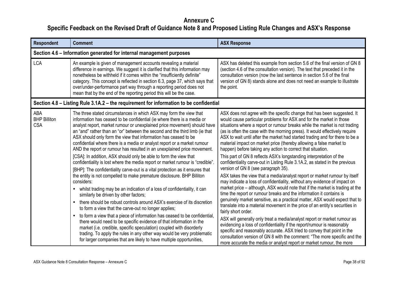| <b>Respondent</b>                               | <b>Comment</b>                                                                                                                                                                                                                                                                                                                                                                                                                                                                                                                                                                                                                                                                                                                                                                                                                                                                                                                                                                                                                                                                                                                                                                                                                                                                                                                                                                                                                                                                                          | <b>ASX Response</b>                                                                                                                                                                                                                                                                                                                                                                                                                                                                                                                                                                                                                                                                                                                                                                                                                                                                                                                                                                                                                                                                                                                                                                                                                                                                                                                                                                                                                                                                                                                                                                                                          |
|-------------------------------------------------|---------------------------------------------------------------------------------------------------------------------------------------------------------------------------------------------------------------------------------------------------------------------------------------------------------------------------------------------------------------------------------------------------------------------------------------------------------------------------------------------------------------------------------------------------------------------------------------------------------------------------------------------------------------------------------------------------------------------------------------------------------------------------------------------------------------------------------------------------------------------------------------------------------------------------------------------------------------------------------------------------------------------------------------------------------------------------------------------------------------------------------------------------------------------------------------------------------------------------------------------------------------------------------------------------------------------------------------------------------------------------------------------------------------------------------------------------------------------------------------------------------|------------------------------------------------------------------------------------------------------------------------------------------------------------------------------------------------------------------------------------------------------------------------------------------------------------------------------------------------------------------------------------------------------------------------------------------------------------------------------------------------------------------------------------------------------------------------------------------------------------------------------------------------------------------------------------------------------------------------------------------------------------------------------------------------------------------------------------------------------------------------------------------------------------------------------------------------------------------------------------------------------------------------------------------------------------------------------------------------------------------------------------------------------------------------------------------------------------------------------------------------------------------------------------------------------------------------------------------------------------------------------------------------------------------------------------------------------------------------------------------------------------------------------------------------------------------------------------------------------------------------------|
|                                                 | Section 4.6 – Information generated for internal management purposes                                                                                                                                                                                                                                                                                                                                                                                                                                                                                                                                                                                                                                                                                                                                                                                                                                                                                                                                                                                                                                                                                                                                                                                                                                                                                                                                                                                                                                    |                                                                                                                                                                                                                                                                                                                                                                                                                                                                                                                                                                                                                                                                                                                                                                                                                                                                                                                                                                                                                                                                                                                                                                                                                                                                                                                                                                                                                                                                                                                                                                                                                              |
| <b>LCA</b>                                      | An example is given of management accounts revealing a material<br>difference in earnings. We suggest it is clarified that this information may<br>nonetheless be withheld if it comes within the "insufficiently definite"<br>category. This concept is reflected in section 6.3, page 37, which says that<br>over/under-performance part way through a reporting period does not<br>mean that by the end of the reporting period this will be the case.                                                                                                                                                                                                                                                                                                                                                                                                                                                                                                                                                                                                                                                                                                                                                                                                                                                                                                                                                                                                                                               | ASX has deleted this example from section 5.6 of the final version of GN 8<br>(section 4.6 of the consultation version). The text that preceded it in the<br>consultation version (now the last sentence in section 5.6 of the final<br>version of GN 8) stands alone and does not need an example to illustrate<br>the point.                                                                                                                                                                                                                                                                                                                                                                                                                                                                                                                                                                                                                                                                                                                                                                                                                                                                                                                                                                                                                                                                                                                                                                                                                                                                                               |
|                                                 | Section 4.8 – Listing Rule 3.1A.2 – the requirement for information to be confidential                                                                                                                                                                                                                                                                                                                                                                                                                                                                                                                                                                                                                                                                                                                                                                                                                                                                                                                                                                                                                                                                                                                                                                                                                                                                                                                                                                                                                  |                                                                                                                                                                                                                                                                                                                                                                                                                                                                                                                                                                                                                                                                                                                                                                                                                                                                                                                                                                                                                                                                                                                                                                                                                                                                                                                                                                                                                                                                                                                                                                                                                              |
| <b>ABA</b><br><b>BHP Billiton</b><br><b>CSA</b> | The three stated circumstances in which ASX may form the view that<br>information has ceased to be confidential (ie where there is a media or<br>analyst report, market rumour or unexplained price movement) should have<br>an "and" rather than an "or" between the second and the third limb (ie that<br>ASX should only form the view that information has ceased to be<br>confidential where there is a media or analyst report or a market rumour<br>AND the report or rumour has resulted in an unexplained price movement.<br>[CSA]: In addition, ASX should only be able to form the view that<br>confidentiality is lost where the media report or market rumour is "credible"<br>[BHP]: The confidentiality carve-out is a vital protection as it ensures that<br>the entity is not compelled to make premature disclosure. BHP Billiton<br>considers:<br>whilst trading may be an indication of a loss of confidentiality, it can<br>similarly be driven by other factors;<br>there should be robust controls around ASX's exercise of its discretion<br>to form a view that the carve-out no longer applies;<br>to form a view that a piece of information has ceased to be confidential,<br>there would need to be specific evidence of that information in the<br>market (i.e. credible, specific speculation) coupled with disorderly<br>trading. To apply the rules in any other way would be very problematic<br>for larger companies that are likely to have multiple opportunities, | ASX does not agree with the specific change that has been suggested. It<br>would cause particular problems for ASX and for the market in those<br>situations where a report or rumour breaks while the market is not trading<br>(as is often the case with the morning press). It would effectively require<br>ASX to wait until after the market had started trading and for there to be a<br>material impact on market price (thereby allowing a false market to<br>happen) before taking any action to correct that situation.<br>This part of GN 8 reflects ASX's longstanding interpretation of the<br>confidentiality carve-out in Listing Rule 3.1A.2, as stated in the previous<br>version of GN 8 (see paragraph 35).<br>ASX takes the view that a media/analyst report or market rumour by itself<br>may indicate a loss of confidentiality, without any evidence of impact on<br>market price – although, ASX would note that if the market is trading at the<br>time the report or rumour breaks and the information it contains is<br>genuinely market sensitive, as a practical matter, ASX would expect that to<br>translate into a material movement in the price of an entity's securities in<br>fairly short order.<br>ASX will generally only treat a media/analyst report or market rumour as<br>evidencing a loss of confidentiality if the report/rumour is reasonably<br>specific and reasonably accurate. ASX tried to convey that point in the<br>consultation version of GN 8 with the comment: "The more specific and the<br>more accurate the media or analyst report or market rumour, the more |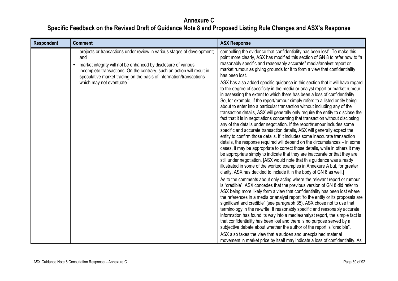| <b>Respondent</b> | <b>Comment</b>                                                                                                                                                                                                                                                                                                                 | <b>ASX Response</b>                                                                                                                                                                                                                                                                                                                                                                                                                                                                                                                                                                                                                                                                                                                                                                                                                                                                                                                                                                                                                                                                                                                                                                                                                                                                                                                                                                                                                                                                                                                                                                                                                                                                                                                                                                                                                                                                                                                                                                                                                          |
|-------------------|--------------------------------------------------------------------------------------------------------------------------------------------------------------------------------------------------------------------------------------------------------------------------------------------------------------------------------|----------------------------------------------------------------------------------------------------------------------------------------------------------------------------------------------------------------------------------------------------------------------------------------------------------------------------------------------------------------------------------------------------------------------------------------------------------------------------------------------------------------------------------------------------------------------------------------------------------------------------------------------------------------------------------------------------------------------------------------------------------------------------------------------------------------------------------------------------------------------------------------------------------------------------------------------------------------------------------------------------------------------------------------------------------------------------------------------------------------------------------------------------------------------------------------------------------------------------------------------------------------------------------------------------------------------------------------------------------------------------------------------------------------------------------------------------------------------------------------------------------------------------------------------------------------------------------------------------------------------------------------------------------------------------------------------------------------------------------------------------------------------------------------------------------------------------------------------------------------------------------------------------------------------------------------------------------------------------------------------------------------------------------------------|
|                   | projects or transactions under review in various stages of development;<br>and<br>market integrity will not be enhanced by disclosure of various<br>incomplete transactions. On the contrary, such an action will result in<br>speculative market trading on the basis of information/transactions<br>which may not eventuate. | compelling the evidence that confidentiality has been lost". To make this<br>point more clearly, ASX has modified this section of GN 8 to refer now to "a<br>reasonably specific and reasonably accurate" media/analyst report or<br>market rumour as giving grounds for it to form a view that confidentiality<br>has been lost.<br>ASX has also added specific guidance in this section that it will have regard<br>to the degree of specificity in the media or analyst report or market rumour<br>in assessing the extent to which there has been a loss of confidentiality.<br>So, for example, if the report/rumour simply refers to a listed entity being<br>about to enter into a particular transaction without including any of the<br>transaction details, ASX will generally only require the entity to disclose the<br>fact that it is in negotiations concerning that transaction without disclosing<br>any of the details under negotiation. If the report/rumour includes some<br>specific and accurate transaction details, ASX will generally expect the<br>entity to confirm those details. If it includes some inaccurate transaction<br>details, the response required will depend on the circumstances – in some<br>cases, it may be appropriate to correct those details, while in others it may<br>be appropriate simply to indicate that they are inaccurate or that they are<br>still under negotiation. [ASX would note that this guidance was already<br>illustrated in some of the worked examples in Annexure A but, for greater<br>clarity, ASX has decided to include it in the body of GN 8 as well.]<br>As to the comments about only acting where the relevant report or rumour<br>is "credible", ASX concedes that the previous version of GN 8 did refer to<br>ASX being more likely form a view that confidentiality has been lost where<br>the references in a media or analyst report "to the entity or its proposals are<br>significant and credible" (see paragraph 35). ASX chose not to use that |
|                   |                                                                                                                                                                                                                                                                                                                                | terminology in the re-write. If reasonably specific and reasonably accurate<br>information has found its way into a media/analyst report, the simple fact is<br>that confidentiality has been lost and there is no purpose served by a<br>subjective debate about whether the author of the report is "credible".                                                                                                                                                                                                                                                                                                                                                                                                                                                                                                                                                                                                                                                                                                                                                                                                                                                                                                                                                                                                                                                                                                                                                                                                                                                                                                                                                                                                                                                                                                                                                                                                                                                                                                                            |
|                   |                                                                                                                                                                                                                                                                                                                                | ASX also takes the view that a sudden and unexplained material<br>movement in market price by itself may indicate a loss of confidentiality. As                                                                                                                                                                                                                                                                                                                                                                                                                                                                                                                                                                                                                                                                                                                                                                                                                                                                                                                                                                                                                                                                                                                                                                                                                                                                                                                                                                                                                                                                                                                                                                                                                                                                                                                                                                                                                                                                                              |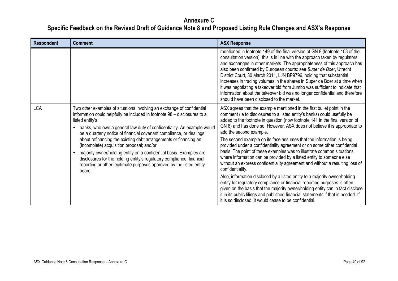| <b>Respondent</b> | <b>Comment</b>                                                                                                                                                                                                                                                                                                                                                                                                                                                                                                                                                                                                                                                              | <b>ASX Response</b>                                                                                                                                                                                                                                                                                                                                                                                                                                                                                                                                                                                                                                                                                                                                                                                                                                                                                                                                                                                                                                                                                                                             |
|-------------------|-----------------------------------------------------------------------------------------------------------------------------------------------------------------------------------------------------------------------------------------------------------------------------------------------------------------------------------------------------------------------------------------------------------------------------------------------------------------------------------------------------------------------------------------------------------------------------------------------------------------------------------------------------------------------------|-------------------------------------------------------------------------------------------------------------------------------------------------------------------------------------------------------------------------------------------------------------------------------------------------------------------------------------------------------------------------------------------------------------------------------------------------------------------------------------------------------------------------------------------------------------------------------------------------------------------------------------------------------------------------------------------------------------------------------------------------------------------------------------------------------------------------------------------------------------------------------------------------------------------------------------------------------------------------------------------------------------------------------------------------------------------------------------------------------------------------------------------------|
|                   |                                                                                                                                                                                                                                                                                                                                                                                                                                                                                                                                                                                                                                                                             | mentioned in footnote 149 of the final version of GN 8 (footnote 103 of the<br>consultation version), this is in line with the approach taken by regulators<br>and exchanges in other markets. The appropriateness of this approach has<br>also been confirmed by European courts: see Super de Boer, Utrecht<br>District Court, 30 March 2011, LJN BP9796, holding that substantial<br>increases in trading volumes in the shares in Super de Boer at a time when<br>it was negotiating a takeover bid from Jumbo was sufficient to indicate that<br>information about the takeover bid was no longer confidential and therefore<br>should have been disclosed to the market.                                                                                                                                                                                                                                                                                                                                                                                                                                                                  |
| <b>LCA</b>        | Two other examples of situations involving an exchange of confidential<br>information could helpfully be included in footnote 98 - disclosures to a<br>listed entity's:<br>banks, who owe a general law duty of confidentiality. An example would<br>be a quarterly notice of financial covenant compliance, or dealings<br>about refinancing the existing debt arrangements or financing an<br>(incomplete) acquisition proposal; and/or<br>majority owner/holding entity on a confidential basis. Examples are<br>disclosures for the holding entity's regulatory compliance, financial<br>reporting or other legitimate purposes approved by the listed entity<br>board. | ASX agrees that the example mentioned in the first bullet point in the<br>comment (ie to disclosures to a listed entity's banks) could usefully be<br>added to the footnote in question (now footnote 141 in the final version of<br>GN 8) and has done so. However, ASX does not believe it is appropriate to<br>add the second example.<br>The second example on its face assumes that the information is being<br>provided under a confidentiality agreement or on some other confidential<br>basis. The point of these examples was to illustrate common situations<br>where information can be provided by a listed entity to someone else<br>without an express confidentiality agreement and without a resulting loss of<br>confidentiality.<br>Also, information disclosed by a listed entity to a majority owner/holding<br>entity for regulatory compliance or financial reporting purposes is often<br>given on the basis that the majority owner/holding entity can in fact disclose<br>it in its public filings and published financial statements if that is needed. If<br>it is so disclosed, it would cease to be confidential. |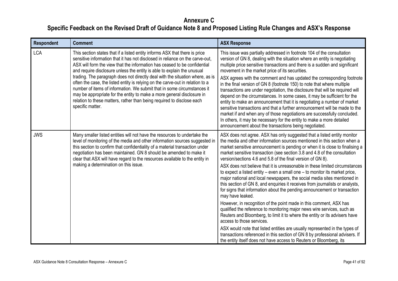| <b>Respondent</b> | <b>Comment</b>                                                                                                                                                                                                                                                                                                                                                                                                                                                                                                                                                                                                                                                                                                                             | <b>ASX Response</b>                                                                                                                                                                                                                                                                                                                                                                                                                                                                                                                                                                                                                                                                                                                                                                                                                                                                                                                                                                                                                                                                                                                                                                                                                                                                                           |
|-------------------|--------------------------------------------------------------------------------------------------------------------------------------------------------------------------------------------------------------------------------------------------------------------------------------------------------------------------------------------------------------------------------------------------------------------------------------------------------------------------------------------------------------------------------------------------------------------------------------------------------------------------------------------------------------------------------------------------------------------------------------------|---------------------------------------------------------------------------------------------------------------------------------------------------------------------------------------------------------------------------------------------------------------------------------------------------------------------------------------------------------------------------------------------------------------------------------------------------------------------------------------------------------------------------------------------------------------------------------------------------------------------------------------------------------------------------------------------------------------------------------------------------------------------------------------------------------------------------------------------------------------------------------------------------------------------------------------------------------------------------------------------------------------------------------------------------------------------------------------------------------------------------------------------------------------------------------------------------------------------------------------------------------------------------------------------------------------|
| <b>LCA</b>        | This section states that if a listed entity informs ASX that there is price<br>sensitive information that it has not disclosed in reliance on the carve-out,<br>ASX will form the view that the information has ceased to be confidential<br>and require disclosure unless the entity is able to explain the unusual<br>trading. The paragraph does not directly deal with the situation where, as is<br>often the case, the listed entity is relying on the carve-out in relation to a<br>number of items of information. We submit that in some circumstances it<br>may be appropriate for the entity to make a more general disclosure in<br>relation to these matters, rather than being required to disclose each<br>specific matter. | This issue was partially addressed in footnote 104 of the consultation<br>version of GN 8, dealing with the situation where an entity is negotiating<br>multiple price sensitive transactions and there is a sudden and significant<br>movement in the market price of its securities.<br>ASX agrees with the comment and has updated the corresponding footnote<br>in the final version of GN 8 (footnote 150) to note that where multiple<br>transactions are under negotiation, the disclosure that will be required will<br>depend on the circumstances. In some cases, it may be sufficient for the<br>entity to make an announcement that it is negotiating a number of market<br>sensitive transactions and that a further announcement will be made to the<br>market if and when any of those negotiations are successfully concluded.<br>In others, it may be necessary for the entity to make a more detailed<br>announcement about the transactions being negotiated.                                                                                                                                                                                                                                                                                                                              |
| <b>JWS</b>        | Many smaller listed entities will not have the resources to undertake the<br>level of monitoring of the media and other information sources suggested in<br>this section to confirm that confidentiality of a material transaction under<br>negotiation has been maintained. GN 8 should be amended to make it<br>clear that ASX will have regard to the resources available to the entity in<br>making a determination on this issue.                                                                                                                                                                                                                                                                                                     | ASX does not agree. ASX has only suggested that a listed entity monitor<br>the media and other information sources mentioned in this section when a<br>market sensitive announcement is pending or when it is close to finalising a<br>market sensitive transaction (see section 3.8 and 4.8 of the consultation<br>version/sections 4.6 and 5.8 of the final version of GN 8).<br>ASX does not believe that it is unreasonable in these limited circumstances<br>to expect a listed entity – even a small one – to monitor its market price,<br>major national and local newspapers, the social media sites mentioned in<br>this section of GN 8, and enquiries it receives from journalists or analysts,<br>for signs that information about the pending announcement or transaction<br>may have leaked.<br>However, in recognition of the point made in this comment, ASX has<br>qualified the reference to monitoring major news wire services, such as<br>Reuters and Bloomberg, to limit it to where the entity or its advisers have<br>access to those services.<br>ASX would note that listed entities are usually represented in the types of<br>transactions referenced in this section of GN 8 by professional advisers. If<br>the entity itself does not have access to Reuters or Bloomberg, its |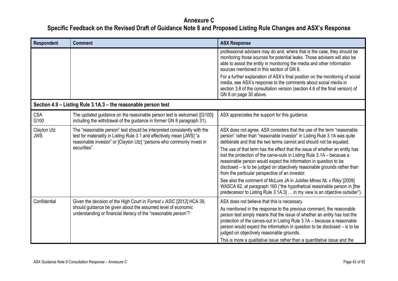| <b>Respondent</b>         | <b>Comment</b>                                                                                                                                                                                                                              | <b>ASX Response</b>                                                                                                                                                                                                                                                                                                                                                                                                                                                                                                                                                                                                                                            |
|---------------------------|---------------------------------------------------------------------------------------------------------------------------------------------------------------------------------------------------------------------------------------------|----------------------------------------------------------------------------------------------------------------------------------------------------------------------------------------------------------------------------------------------------------------------------------------------------------------------------------------------------------------------------------------------------------------------------------------------------------------------------------------------------------------------------------------------------------------------------------------------------------------------------------------------------------------|
|                           |                                                                                                                                                                                                                                             | professional advisers may do and, where that is the case, they should be<br>monitoring those sources for potential leaks. Those advisers will also be<br>able to assist the entity in monitoring the media and other information<br>sources mentioned in this section of GN 8.                                                                                                                                                                                                                                                                                                                                                                                 |
|                           |                                                                                                                                                                                                                                             | For a further explanation of ASX's final position on the monitoring of social<br>media, see ASX's response to the comments about social media in<br>section 3.8 of the consultation version (section 4.6 of the final version) of<br>GN 8 on page 30 above.                                                                                                                                                                                                                                                                                                                                                                                                    |
|                           | Section 4.9 - Listing Rule 3.1A.3 - the reasonable person test                                                                                                                                                                              |                                                                                                                                                                                                                                                                                                                                                                                                                                                                                                                                                                                                                                                                |
| <b>CSA</b><br>G100        | The updated guidance on the reasonable person test is welcomed ([G100]:<br>including the withdrawal of the guidance in former GN 8 paragraph 31).                                                                                           | ASX appreciates the support for this guidance.                                                                                                                                                                                                                                                                                                                                                                                                                                                                                                                                                                                                                 |
| Clayton Utz<br><b>JWS</b> | The "reasonable person" test should be interpreted consistently with the<br>test for materiality in Listing Rule 3.1 and effectively mean [JWS] "a<br>reasonable investor" or [Clayton Utz] "persons who commonly invest in<br>securities". | ASX does not agree. ASX considers that the use of the term "reasonable<br>person" rather than "reasonable investor" in Listing Rule 3.1A was quite<br>deliberate and that the two terms cannot and should not be equated.<br>The use of that term has the effect that the issue of whether an entity has<br>lost the protection of the carve-outs in Listing Rule 3.1A - because a<br>reasonable person would expect the information in question to be<br>disclosed – is to be judged on objectively reasonable grounds rather than<br>from the particular perspective of an investor.<br>See also the comment of McLure JA in Jubilee Mines NL v Riley [2009] |
|                           |                                                                                                                                                                                                                                             | WASCA 62, at paragraph 160 ("the hypothetical reasonable person in [the<br>predecessor to Listing Rule 3.1A.3]  in my view is an objective outsider").                                                                                                                                                                                                                                                                                                                                                                                                                                                                                                         |
| Confidential              | Given the decision of the High Court in Forrest v ASIC [2012] HCA 39,<br>should guidance be given about the assumed level of economic<br>understanding or financial literacy of the "reasonable person"?                                    | ASX does not believe that this is necessary.<br>As mentioned in the response to the previous comment, the reasonable<br>person test simply means that the issue of whether an entity has lost the<br>protection of the carves-out in Listing Rule 3.1A - because a reasonable<br>person would expect the information in question to be disclosed – is to be<br>judged on objectively reasonable grounds.<br>This is more a qualitative issue rather than a quantitative issue and the                                                                                                                                                                          |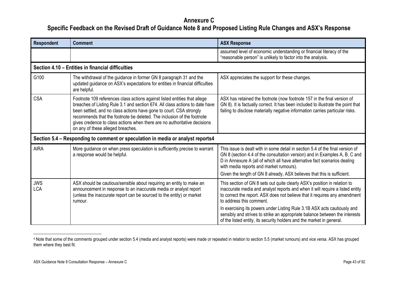| <b>Respondent</b>        | <b>Comment</b>                                                                                                                                                                                                                                                                                                                                                                                                               | <b>ASX Response</b>                                                                                                                                                                                                                                                                  |
|--------------------------|------------------------------------------------------------------------------------------------------------------------------------------------------------------------------------------------------------------------------------------------------------------------------------------------------------------------------------------------------------------------------------------------------------------------------|--------------------------------------------------------------------------------------------------------------------------------------------------------------------------------------------------------------------------------------------------------------------------------------|
|                          |                                                                                                                                                                                                                                                                                                                                                                                                                              | assumed level of economic understanding or financial literacy of the<br>"reasonable person" is unlikely to factor into the analysis.                                                                                                                                                 |
|                          | Section 4.10 - Entities in financial difficulties                                                                                                                                                                                                                                                                                                                                                                            |                                                                                                                                                                                                                                                                                      |
| G100                     | The withdrawal of the guidance in former GN 8 paragraph 31 and the<br>updated guidance on ASX's expectations for entities in financial difficulties<br>are helpful.                                                                                                                                                                                                                                                          | ASX appreciates the support for these changes.                                                                                                                                                                                                                                       |
| <b>CSA</b>               | Footnote 109 references class actions against listed entities that allege<br>breaches of Listing Rule 3.1 and section 674. All class actions to date have<br>been settled, and no class actions have gone to court. CSA strongly<br>recommends that the footnote be deleted. The inclusion of the footnote<br>gives credence to class actions when there are no authoritative decisions<br>on any of these alleged breaches. | ASX has retained the footnote (now footnote 157 in the final version of<br>GN 8). It is factually correct. It has been included to illustrate the point that<br>failing to disclose materially negative information carries particular risks.                                        |
|                          | Section 5.4 – Responding to comment or speculation in media or analyst reports4                                                                                                                                                                                                                                                                                                                                              |                                                                                                                                                                                                                                                                                      |
| <b>AIRA</b>              | More guidance on when press speculation is sufficiently precise to warrant<br>a response would be helpful.                                                                                                                                                                                                                                                                                                                   | This issue is dealt with in some detail in section 5.4 of the final version of<br>GN 8 (section 4.4 of the consultation version) and in Examples A, B, C and<br>D in Annexure A (all of which all have alternative fact scenarios dealing<br>with media reports and market rumours). |
|                          |                                                                                                                                                                                                                                                                                                                                                                                                                              | Given the length of GN 8 already, ASX believes that this is sufficient.                                                                                                                                                                                                              |
| <b>JWS</b><br><b>LCA</b> | ASX should be cautious/sensible about requiring an entity to make an<br>announcement in response to an inaccurate media or analyst report<br>(unless the inaccurate report can be sourced to the entity) or market<br>rumour.                                                                                                                                                                                                | This section of GN 8 sets out quite clearly ASX's position in relation to<br>inaccurate media and analyst reports and when it will require a listed entity<br>to correct the report. ASX does not believe that it requires any amendment<br>to address this comment.                 |
|                          |                                                                                                                                                                                                                                                                                                                                                                                                                              | In exercising its powers under Listing Rule 3.1B ASX acts cautiously and<br>sensibly and strives to strike an appropriate balance between the interests<br>of the listed entity, its security holders and the market in general.                                                     |

<sup>4</sup> Note that some of the comments grouped under section 5.4 (media and analyst reports) were made or repeated in relation to section 5.5 (market rumours) and vice versa. ASX has grouped them where they best fit.

-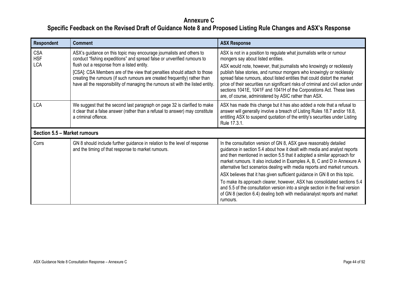| Respondent                             | <b>Comment</b>                                                                                                                                                                                                                                                                                                                                                                                                                            | <b>ASX Response</b>                                                                                                                                                                                                                                                                                                                                                                                                                                                                                                                                                                                                                                                                                                    |
|----------------------------------------|-------------------------------------------------------------------------------------------------------------------------------------------------------------------------------------------------------------------------------------------------------------------------------------------------------------------------------------------------------------------------------------------------------------------------------------------|------------------------------------------------------------------------------------------------------------------------------------------------------------------------------------------------------------------------------------------------------------------------------------------------------------------------------------------------------------------------------------------------------------------------------------------------------------------------------------------------------------------------------------------------------------------------------------------------------------------------------------------------------------------------------------------------------------------------|
| <b>CSA</b><br><b>HSF</b><br><b>LCA</b> | ASX's guidance on this topic may encourage journalists and others to<br>conduct "fishing expeditions" and spread false or unverified rumours to<br>flush out a response from a listed entity.<br>[CSA]: CSA Members are of the view that penalties should attach to those<br>creating the rumours (if such rumours are created frequently) rather than<br>have all the responsibility of managing the rumours sit with the listed entity. | ASX is not in a position to regulate what journalists write or rumour<br>mongers say about listed entities.<br>ASX would note, however, that journalists who knowingly or recklessly<br>publish false stories, and rumour mongers who knowingly or recklessly<br>spread false rumours, about listed entities that could distort the market<br>price of their securities run significant risks of criminal and civil action under<br>sections 1041E, 1041F and 1041H of the Corporations Act. These laws<br>are, of course, administered by ASIC rather than ASX.                                                                                                                                                       |
| <b>LCA</b>                             | We suggest that the second last paragraph on page 32 is clarified to make<br>it clear that a false answer (rather than a refusal to answer) may constitute<br>a criminal offence.                                                                                                                                                                                                                                                         | ASX has made this change but it has also added a note that a refusal to<br>answer will generally involve a breach of Listing Rules 18.7 and/or 18.8,<br>entitling ASX to suspend quotation of the entity's securities under Listing<br>Rule 17.3.1.                                                                                                                                                                                                                                                                                                                                                                                                                                                                    |
| Section 5.5 - Market rumours           |                                                                                                                                                                                                                                                                                                                                                                                                                                           |                                                                                                                                                                                                                                                                                                                                                                                                                                                                                                                                                                                                                                                                                                                        |
| Corrs                                  | GN 8 should include further guidance in relation to the level of response<br>and the timing of that response to market rumours.                                                                                                                                                                                                                                                                                                           | In the consultation version of GN 8, ASX gave reasonably detailed<br>guidance in section 5.4 about how it dealt with media and analyst reports<br>and then mentioned in section 5.5 that it adopted a similar approach for<br>market rumours. It also included in Examples A, B, C and D in Annexure A<br>alternative fact scenarios dealing with media reports and market rumours.<br>ASX believes that it has given sufficient guidance in GN 8 on this topic.<br>To make its approach clearer, however, ASX has consolidated sections 5.4<br>and 5.5 of the consultation version into a single section in the final version<br>of GN 8 (section 6.4) dealing both with media/analyst reports and market<br>rumours. |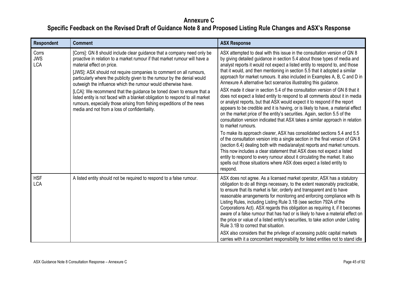| Respondent                        | <b>Comment</b>                                                                                                                                                                                                                                                                                                                                                                                                                                                                                                                                                                                                                                                                            | <b>ASX Response</b>                                                                                                                                                                                                                                                                                                                                                                                                                                                                                                                                                                                                                                                                                                                                                                                                                                                                                                                                                                                                                                                                                                                                                                                                                                                                                                                                                                                                                                                               |
|-----------------------------------|-------------------------------------------------------------------------------------------------------------------------------------------------------------------------------------------------------------------------------------------------------------------------------------------------------------------------------------------------------------------------------------------------------------------------------------------------------------------------------------------------------------------------------------------------------------------------------------------------------------------------------------------------------------------------------------------|-----------------------------------------------------------------------------------------------------------------------------------------------------------------------------------------------------------------------------------------------------------------------------------------------------------------------------------------------------------------------------------------------------------------------------------------------------------------------------------------------------------------------------------------------------------------------------------------------------------------------------------------------------------------------------------------------------------------------------------------------------------------------------------------------------------------------------------------------------------------------------------------------------------------------------------------------------------------------------------------------------------------------------------------------------------------------------------------------------------------------------------------------------------------------------------------------------------------------------------------------------------------------------------------------------------------------------------------------------------------------------------------------------------------------------------------------------------------------------------|
| Corrs<br><b>JWS</b><br><b>LCA</b> | [Corrs]: GN 8 should include clear guidance that a company need only be<br>proactive in relation to a market rumour if that market rumour will have a<br>material effect on price.<br>[JWS]: ASX should not require companies to comment on all rumours,<br>particularly where the publicity given to the rumour by the denial would<br>outweigh the influence which the rumour would otherwise have.<br>[LCA]: We recommend that the guidance be toned down to ensure that a<br>listed entity is not faced with a blanket obligation to respond to all market<br>rumours, especially those arising from fishing expeditions of the news<br>media and not from a loss of confidentiality. | ASX attempted to deal with this issue in the consultation version of GN 8<br>by giving detailed guidance in section 5.4 about those types of media and<br>analyst reports it would not expect a listed entity to respond to, and those<br>that it would, and then mentioning in section 5.5 that it adopted a similar<br>approach for market rumours. It also included in Examples A, B, C and D in<br>Annexure A alternative fact scenarios illustrating this guidance.<br>ASX made it clear in section 5.4 of the consultation version of GN 8 that it<br>does not expect a listed entity to respond to all comments about it in media<br>or analyst reports, but that ASX would expect it to respond if the report<br>appears to be credible and it is having, or is likely to have, a material effect<br>on the market price of the entity's securities. Again, section 5.5 of the<br>consultation version indicated that ASX takes a similar approach in relation<br>to market rumours.<br>To make its approach clearer, ASX has consolidated sections 5.4 and 5.5<br>of the consultation version into a single section in the final version of GN 8<br>(section 6.4) dealing both with media/analyst reports and market rumours.<br>This now includes a clear statement that ASX does not expect a listed<br>entity to respond to every rumour about it circulating the market. It also<br>spells out those situations where ASX does expect a listed entity to<br>respond. |
| <b>HSF</b><br><b>LCA</b>          | A listed entity should not be required to respond to a false rumour.                                                                                                                                                                                                                                                                                                                                                                                                                                                                                                                                                                                                                      | ASX does not agree. As a licensed market operator, ASX has a statutory<br>obligation to do all things necessary, to the extent reasonably practicable,<br>to ensure that its market is fair, orderly and transparent and to have<br>reasonable arrangements for monitoring and enforcing compliance with its<br>Listing Rules, including Listing Rule 3.1B (see section 792A of the<br>Corporations Act). ASX regards this obligation as requiring it, if it becomes<br>aware of a false rumour that has had or is likely to have a material effect on<br>the price or value of a listed entity's securities, to take action under Listing<br>Rule 3.1B to correct that situation.<br>ASX also considers that the privilege of accessing public capital markets<br>carries with it a concomitant responsibility for listed entities not to stand idle                                                                                                                                                                                                                                                                                                                                                                                                                                                                                                                                                                                                                             |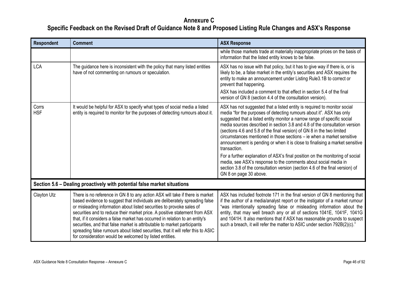| <b>Respondent</b>   | <b>Comment</b>                                                                                                                                                                                                                                                                                                                                                                                                                                                                                                                                                                                                                | <b>ASX Response</b>                                                                                                                                                                                                                                                                                                                                                                                                                                                                                                                                                                                                                                                                                                                                                                                                           |
|---------------------|-------------------------------------------------------------------------------------------------------------------------------------------------------------------------------------------------------------------------------------------------------------------------------------------------------------------------------------------------------------------------------------------------------------------------------------------------------------------------------------------------------------------------------------------------------------------------------------------------------------------------------|-------------------------------------------------------------------------------------------------------------------------------------------------------------------------------------------------------------------------------------------------------------------------------------------------------------------------------------------------------------------------------------------------------------------------------------------------------------------------------------------------------------------------------------------------------------------------------------------------------------------------------------------------------------------------------------------------------------------------------------------------------------------------------------------------------------------------------|
|                     |                                                                                                                                                                                                                                                                                                                                                                                                                                                                                                                                                                                                                               | while those markets trade at materially inappropriate prices on the basis of<br>information that the listed entity knows to be false.                                                                                                                                                                                                                                                                                                                                                                                                                                                                                                                                                                                                                                                                                         |
| <b>LCA</b>          | The guidance here is inconsistent with the policy that many listed entities<br>have of not commenting on rumours or speculation.                                                                                                                                                                                                                                                                                                                                                                                                                                                                                              | ASX has no issue with that policy, but it has to give way if there is, or is<br>likely to be, a false market in the entity's securities and ASX requires the<br>entity to make an announcement under Listing Rule3.1B to correct or<br>prevent that happening.<br>ASX has included a comment to that effect in section 5.4 of the final<br>version of GN 8 (section 4.4 of the consultation version).                                                                                                                                                                                                                                                                                                                                                                                                                         |
| Corrs<br><b>HSF</b> | It would be helpful for ASX to specify what types of social media a listed<br>entity is required to monitor for the purposes of detecting rumours about it.                                                                                                                                                                                                                                                                                                                                                                                                                                                                   | ASX has not suggested that a listed entity is required to monitor social<br>media "for the purposes of detecting rumours about it". ASX has only<br>suggested that a listed entity monitor a narrow range of specific social<br>media sources described in section 3.8 and 4.8 of the consultation version<br>(sections 4.6 and 5.8 of the final version) of GN 8 in the two limited<br>circumstances mentioned in those sections – ie when a market sensitive<br>announcement is pending or when it is close to finalising a market sensitive<br>transaction.<br>For a further explanation of ASX's final position on the monitoring of social<br>media, see ASX's response to the comments about social media in<br>section 3.8 of the consultation version (section 4.6 of the final version) of<br>GN 8 on page 30 above. |
|                     | Section 5.6 - Dealing proactively with potential false market situations                                                                                                                                                                                                                                                                                                                                                                                                                                                                                                                                                      |                                                                                                                                                                                                                                                                                                                                                                                                                                                                                                                                                                                                                                                                                                                                                                                                                               |
| Clayton Utz         | There is no reference in GN 8 to any action ASX will take if there is market<br>based evidence to suggest that individuals are deliberately spreading false<br>or misleading information about listed securities to provoke sales of<br>securities and to reduce their market price. A positive statement from ASX<br>that, if it considers a false market has occurred in relation to an entity's<br>securities, and that false market is attributable to market participants<br>spreading false rumours about listed securities, that it will refer this to ASIC<br>for consideration would be welcomed by listed entities. | ASX has included footnote 171 in the final version of GN 8 mentioning that<br>if the author of a media/analyst report or the instigator of a market rumour<br>"was intentionally spreading false or misleading information about the<br>entity, that may well breach any or all of sections 1041E, 1041F, 1041G<br>and 1041H. It also mentions that if ASX has reasonable grounds to suspect<br>such a breach, it will refer the matter to ASIC under section 792B(2)(c)."                                                                                                                                                                                                                                                                                                                                                    |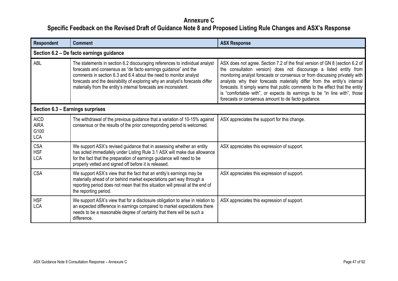| <b>Respondent</b>                                | <b>Comment</b>                                                                                                                                                                                                                                                                                                                                                            | <b>ASX Response</b>                                                                                                                                                                                                                                                                                                                                                                                                                                                                                                                  |
|--------------------------------------------------|---------------------------------------------------------------------------------------------------------------------------------------------------------------------------------------------------------------------------------------------------------------------------------------------------------------------------------------------------------------------------|--------------------------------------------------------------------------------------------------------------------------------------------------------------------------------------------------------------------------------------------------------------------------------------------------------------------------------------------------------------------------------------------------------------------------------------------------------------------------------------------------------------------------------------|
|                                                  | Section 6.2 - De facto earnings guidance                                                                                                                                                                                                                                                                                                                                  |                                                                                                                                                                                                                                                                                                                                                                                                                                                                                                                                      |
| ABL                                              | The statements in section 6.2 discouraging references to individual analyst<br>forecasts and consensus as "de facto earnings guidance" and the<br>comments in section 6.3 and 6.4 about the need to monitor analyst<br>forecasts and the desirability of exploring why an analyst's forecasts differ<br>materially from the entity's internal forecasts are inconsistent. | ASX does not agree. Section 7.2 of the final version of GN 8 (section 6.2 of<br>the consultation version) does not discourage a listed entity from<br>monitoring analyst forecasts or consensus or from discussing privately with<br>analysts why their forecasts materially differ from the entity's internal<br>forecasts. It simply warns that public comments to the effect that the entity<br>is "comfortable with", or expects its earnings to be "in line with", those<br>forecasts or consensus amount to de facto guidance. |
| Section 6.3 - Earnings surprises                 |                                                                                                                                                                                                                                                                                                                                                                           |                                                                                                                                                                                                                                                                                                                                                                                                                                                                                                                                      |
| <b>AICD</b><br><b>AIRA</b><br>G100<br><b>LCA</b> | The withdrawal of the previous guidance that a variation of 10-15% against<br>consensus or the results of the prior corresponding period is welcomed.                                                                                                                                                                                                                     | ASX appreciates the support for this change.                                                                                                                                                                                                                                                                                                                                                                                                                                                                                         |
| <b>CSA</b><br><b>HSF</b><br><b>LCA</b>           | We support ASX's revised guidance that in assessing whether an entity<br>has acted immediately under Listing Rule 3.1 ASX will make due allowance<br>for the fact that the preparation of earnings guidance will need to be<br>properly vetted and signed off before it is released.                                                                                      | ASX appreciates this expression of support.                                                                                                                                                                                                                                                                                                                                                                                                                                                                                          |
| <b>CSA</b>                                       | We support ASX's view that the fact that an entity's earnings may be<br>materially ahead of or behind market expectations part way through a<br>reporting period does not mean that this situation will prevail at the end of<br>the reporting period.                                                                                                                    | ASX appreciates this expression of support.                                                                                                                                                                                                                                                                                                                                                                                                                                                                                          |
| <b>HSF</b><br><b>LCA</b>                         | We support ASX's view that for a disclosure obligation to arise in relation to<br>an expected difference in earnings compared to market expectations there<br>needs to be a reasonable degree of certainty that there will be such a<br>difference.                                                                                                                       | ASX appreciates this expression of support.                                                                                                                                                                                                                                                                                                                                                                                                                                                                                          |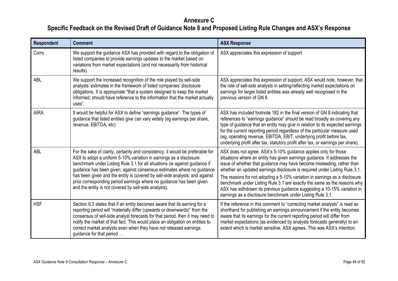| <b>Respondent</b> | <b>Comment</b>                                                                                                                                                                                                                                                                                                                                                                                                                                                                                                                | <b>ASX Response</b>                                                                                                                                                                                                                                                                                                                                                                                                                                                                                                                                                                                     |
|-------------------|-------------------------------------------------------------------------------------------------------------------------------------------------------------------------------------------------------------------------------------------------------------------------------------------------------------------------------------------------------------------------------------------------------------------------------------------------------------------------------------------------------------------------------|---------------------------------------------------------------------------------------------------------------------------------------------------------------------------------------------------------------------------------------------------------------------------------------------------------------------------------------------------------------------------------------------------------------------------------------------------------------------------------------------------------------------------------------------------------------------------------------------------------|
| Corrs             | We support the guidance ASX has provided with regard to the obligation of<br>listed companies to provide earnings updates to the market based on<br>variations from market expectations (and not necessarily from historical<br>results).                                                                                                                                                                                                                                                                                     | ASX appreciates this expression of support.                                                                                                                                                                                                                                                                                                                                                                                                                                                                                                                                                             |
| <b>ABL</b>        | We support the increased recognition of the role played by sell-side<br>analysts' estimates in the framework of listed companies' disclosure<br>obligations. It is appropriate "that a system designed to keep the market<br>informed, should have reference to the information that the market actually<br>uses".                                                                                                                                                                                                            | ASX appreciates this expression of support. ASX would note, however, that<br>the role of sell-side analysts in setting/reflecting market expectations on<br>earnings for larger listed entities was already well recognised in the<br>previous version of GN 8.                                                                                                                                                                                                                                                                                                                                         |
| <b>AIRA</b>       | It would be helpful for ASX to define "earnings guidance". The types of<br>guidance that listed entities give can vary widely (eg earnings per share,<br>revenue, EBITDA, etc)                                                                                                                                                                                                                                                                                                                                                | ASX has included footnote 182 in the final version of GN 8 indicating that<br>references to "earnings guidance" should be read broadly as covering any<br>type of guidance that an entity may give in relation to its expected earnings<br>for the current reporting period regardless of the particular measure used<br>(eg, operating revenue, EBITDA, EBIT, underlying profit before tax,<br>underlying profit after tax, statutory profit after tax, or earnings per share).                                                                                                                        |
| ABL               | For the sake of clarity, certainty and consistency, it would be preferable for<br>ASX to adopt a uniform 5-10% variation in earnings as a disclosure<br>benchmark under Listing Rule 3.1 for all situations (ie against guidance if<br>guidance has been given; against consensus estimates where no guidance<br>has been given and the entity is covered by sell-side analysts; and against<br>prior corresponding period earnings where no guidance has been given<br>and the entity is not covered by sell-side analysts). | ASX does not agree. ASX's 5-10% guidance applies only for those<br>situations where an entity has given earnings guidance. It addresses the<br>issue of whether that guidance may have become misleading, rather than<br>whether an updated earnings disclosure is required under Listing Rule 3.1.<br>The reasons for not adopting a 5-10% variation in earnings as a disclosure<br>benchmark under Listing Rule 3.1 are exactly the same as the reasons why<br>ASX has withdrawn its previous guidance suggesting a 10-15% variation in<br>earnings as a disclosure benchmark under Listing Rule 3.1. |
| <b>HSF</b>        | Section 6.3 states that if an entity becomes aware that its earning for a<br>reporting period will "materially differ (upwards or downwards)" from the<br>consensus of sell-side analyst forecasts for that period, then it may need to<br>notify the market of that fact. This would place an obligation on entities to<br>correct market analysts even when they have not released earnings<br>guidance for that period                                                                                                     | If the reference in this comment to "correcting market analysts" is read as<br>shorthand for publishing an earnings announcement if the entity becomes<br>aware that its earnings for the current reporting period will differ from<br>market expectations (as evidenced by analysts forecasts generally) to an<br>extent which is market sensitive, ASX agrees. This was ASX's intention.                                                                                                                                                                                                              |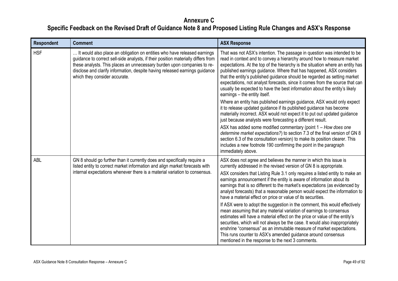| <b>Respondent</b> | <b>Comment</b>                                                                                                                                                                                                                                                                                                                                           | <b>ASX Response</b>                                                                                                                                                                                                                                                                                                                                                                                                                                                                                                                                                                     |
|-------------------|----------------------------------------------------------------------------------------------------------------------------------------------------------------------------------------------------------------------------------------------------------------------------------------------------------------------------------------------------------|-----------------------------------------------------------------------------------------------------------------------------------------------------------------------------------------------------------------------------------------------------------------------------------------------------------------------------------------------------------------------------------------------------------------------------------------------------------------------------------------------------------------------------------------------------------------------------------------|
| <b>HSF</b>        | It would also place an obligation on entities who have released earnings<br>guidance to correct sell-side analysts, if their position materially differs from<br>these analysts. This places an unnecessary burden upon companies to re-<br>disclose and clarify information, despite having released earnings guidance<br>which they consider accurate. | That was not ASX's intention. The passage in question was intended to be<br>read in context and to convey a hierarchy around how to measure market<br>expectations. At the top of the hierarchy is the situation where an entity has<br>published earnings guidance. Where that has happened, ASX considers<br>that the entity's published guidance should be regarded as setting market<br>expectations, not analyst forecasts, since it comes from the source that can<br>usually be expected to have the best information about the entity's likely<br>earnings - the entity itself. |
|                   |                                                                                                                                                                                                                                                                                                                                                          | Where an entity has published earnings guidance, ASX would only expect<br>it to release updated guidance if its published guidance has become<br>materially incorrect. ASX would not expect it to put out updated guidance<br>just because analysts were forecasting a different result.                                                                                                                                                                                                                                                                                                |
|                   |                                                                                                                                                                                                                                                                                                                                                          | ASX has added some modified commentary (point $1 - How$ does one<br>determine market expectations?) to section 7.3 of the final version of GN 8<br>section 6.3 of the consultation version) to make its position clearer. This<br>includes a new footnote 190 confirming the point in the paragraph<br>immediately above.                                                                                                                                                                                                                                                               |
| <b>ABL</b>        | GN 8 should go further than it currently does and specifically require a<br>listed entity to correct market information and align market forecasts with                                                                                                                                                                                                  | ASX does not agree and believes the manner in which this issue is<br>currently addressed in the revised version of GN 8 is appropriate.                                                                                                                                                                                                                                                                                                                                                                                                                                                 |
|                   | internal expectations whenever there is a material variation to consensus.                                                                                                                                                                                                                                                                               | ASX considers that Listing Rule 3.1 only requires a listed entity to make an<br>earnings announcement if the entity is aware of information about its<br>earnings that is so different to the market's expectations (as evidenced by<br>analyst forecasts) that a reasonable person would expect the information to<br>have a material effect on price or value of its securities.                                                                                                                                                                                                      |
|                   |                                                                                                                                                                                                                                                                                                                                                          | If ASX were to adopt the suggestion in the comment, this would effectively<br>mean assuming that any material variation of earnings to consensus<br>estimates will have a material effect on the price or value of the entity's<br>securities, which will not always be the case. It would also inappropriately<br>enshrine "consensus" as an immutable measure of market expectations.<br>This runs counter to ASX's amended guidance around consensus<br>mentioned in the response to the next 3 comments.                                                                            |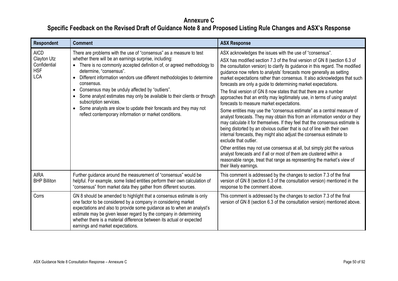| Respondent                                                             | <b>Comment</b>                                                                                                                                                                                                                                                                                                                                                                                                                                                                                                                                                                                                                                | <b>ASX Response</b>                                                                                                                                                                                                                                                                                                                                                                                                                                                                                                                                                                                                                                                                                                                                                                                                                                                                                                                                                                                                                                                                                                                                                                                                                                                                                                        |
|------------------------------------------------------------------------|-----------------------------------------------------------------------------------------------------------------------------------------------------------------------------------------------------------------------------------------------------------------------------------------------------------------------------------------------------------------------------------------------------------------------------------------------------------------------------------------------------------------------------------------------------------------------------------------------------------------------------------------------|----------------------------------------------------------------------------------------------------------------------------------------------------------------------------------------------------------------------------------------------------------------------------------------------------------------------------------------------------------------------------------------------------------------------------------------------------------------------------------------------------------------------------------------------------------------------------------------------------------------------------------------------------------------------------------------------------------------------------------------------------------------------------------------------------------------------------------------------------------------------------------------------------------------------------------------------------------------------------------------------------------------------------------------------------------------------------------------------------------------------------------------------------------------------------------------------------------------------------------------------------------------------------------------------------------------------------|
| <b>AICD</b><br>Clayton Utz<br>Confidential<br><b>HSF</b><br><b>LCA</b> | There are problems with the use of "consensus" as a measure to test<br>whether there will be an earnings surprise, including:<br>There is no commonly accepted definition of, or agreed methodology to<br>determine, "consensus".<br>Different information vendors use different methodologies to determine<br>$\bullet$<br>consensus.<br>Consensus may be unduly affected by "outliers".<br>$\bullet$<br>Some analyst estimates may only be available to their clients or through<br>subscription services.<br>• Some analysts are slow to update their forecasts and they may not<br>reflect contemporary information or market conditions. | ASX acknowledges the issues with the use of "consensus".<br>ASX has modified section 7.3 of the final version of GN 8 (section 6.3 of<br>the consultation version) to clarify its guidance in this regard. The modified<br>guidance now refers to analysts' forecasts more generally as setting<br>market expectations rather than consensus. It also acknowledges that such<br>forecasts are only a guide to determining market expectations.<br>The final version of GN 8 now states that that there are a number<br>approaches that an entity may legitimately use, in terms of using analyst<br>forecasts to measure market expectations.<br>Some entities may use the "consensus estimate" as a central measure of<br>analyst forecasts. They may obtain this from an information vendor or they<br>may calculate it for themselves. If they feel that the consensus estimate is<br>being distorted by an obvious outlier that is out of line with their own<br>internal forecasts, they might also adjust the consensus estimate to<br>exclude that outlier.<br>Other entities may not use consensus at all, but simply plot the various<br>analyst forecasts and if all or most of them are clustered within a<br>reasonable range, treat that range as representing the market's view of<br>their likely earnings. |
| <b>AIRA</b><br><b>BHP Billiton</b>                                     | Further guidance around the measurement of "consensus" would be<br>helpful. For example, some listed entities perform their own calculation of<br>"consensus" from market data they gather from different sources.                                                                                                                                                                                                                                                                                                                                                                                                                            | This comment is addressed by the changes to section 7.3 of the final<br>version of GN 8 (section 6.3 of the consultation version) mentioned in the<br>response to the comment above.                                                                                                                                                                                                                                                                                                                                                                                                                                                                                                                                                                                                                                                                                                                                                                                                                                                                                                                                                                                                                                                                                                                                       |
| Corrs                                                                  | GN 8 should be amended to highlight that a consensus estimate is only<br>one factor to be considered by a company in considering market<br>expectations and also to provide some guidance as to when an analyst's<br>estimate may be given lesser regard by the company in determining<br>whether there is a material difference between its actual or expected<br>earnings and market expectations.                                                                                                                                                                                                                                          | This comment is addressed by the changes to section 7.3 of the final<br>version of GN 8 (section 6.3 of the consultation version) mentioned above.                                                                                                                                                                                                                                                                                                                                                                                                                                                                                                                                                                                                                                                                                                                                                                                                                                                                                                                                                                                                                                                                                                                                                                         |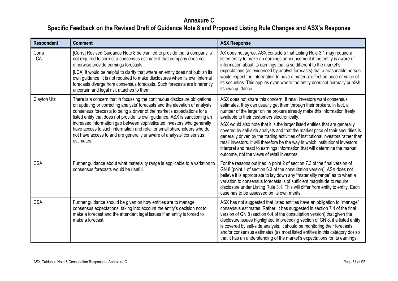| <b>Respondent</b>   | <b>Comment</b>                                                                                                                                                                                                                                                                                                                                                                                                                                                                                                                                                   | <b>ASX Response</b>                                                                                                                                                                                                                                                                                                                                                                                                                                                                                                                                                                                                                                                                                                                              |
|---------------------|------------------------------------------------------------------------------------------------------------------------------------------------------------------------------------------------------------------------------------------------------------------------------------------------------------------------------------------------------------------------------------------------------------------------------------------------------------------------------------------------------------------------------------------------------------------|--------------------------------------------------------------------------------------------------------------------------------------------------------------------------------------------------------------------------------------------------------------------------------------------------------------------------------------------------------------------------------------------------------------------------------------------------------------------------------------------------------------------------------------------------------------------------------------------------------------------------------------------------------------------------------------------------------------------------------------------------|
| Corrs<br><b>LCA</b> | [Corrs] Revised Guidance Note 8 be clarified to provide that a company is<br>not required to correct a consensus estimate if that company does not<br>otherwise provide earnings forecasts.<br>[LCA] It would be helpful to clarify that where an entity does not publish its<br>own guidance, it is not required to make disclosures when its own internal<br>forecasts diverge from consensus forecasts. Such forecasts are inherently<br>uncertain and legal risk attaches to them.                                                                           | AX does not agree. ASX considers that Listing Rule 3.1 may require a<br>listed entity to make an earnings announcement if the entity is aware of<br>information about its earnings that is so different to the market's<br>expectations (as evidenced by analyst forecasts) that a reasonable person<br>would expect the information to have a material effect on price or value of<br>its securities. This applies even where the entity does not normally publish<br>its own guidance.                                                                                                                                                                                                                                                         |
| Clayton Utz         | There is a concern that in focussing the continuous disclosure obligations<br>on updating or correcting analysts' forecasts and the elevation of analysts'<br>consensus forecasts to being a driver of the market's expectations for a<br>listed entity that does not provide its own guidance, ASX is sanctioning an<br>increased information gap between sophisticated investors who generally<br>have access to such information and retail or small shareholders who do<br>not have access to and are generally unaware of analysts' consensus<br>estimates. | ASX does not share this concern. If retail investors want consensus<br>estimates, they can usually get them through their brokers. In fact, a<br>number of the larger online brokers already make this information freely<br>available to their customers electronically.<br>ASX would also note that it is the larger listed entities that are generally<br>covered by sell-side analysts and that the market price of their securities is<br>generally driven by the trading activities of institutional investors rather than<br>retail investors. It will therefore be the way in which institutional investors<br>interpret and react to earnings information that will determine the market<br>outcome, not the views of retail investors. |
| <b>CSA</b>          | Further guidance about what materiality range is applicable to a variation to<br>consensus forecasts would be useful.                                                                                                                                                                                                                                                                                                                                                                                                                                            | For the reasons outlined in point 2 of section 7.3 of the final version of<br>GN 8 (point 1 of section 6.3 of the consultation version), ASX does not<br>believe it is appropriate to lay down any "materiality range" as to when a<br>variation to consensus forecasts is of sufficient magnitude to require<br>disclosure under Listing Rule 3.1. This will differ from entity to entity. Each<br>case has to be assessed on its own merits.                                                                                                                                                                                                                                                                                                   |
| <b>CSA</b>          | Further guidance should be given on how entities are to manage<br>consensus expectations, taking into account the entity's decision not to<br>make a forecast and the attendant legal issues if an entity is forced to<br>make a forecast.                                                                                                                                                                                                                                                                                                                       | ASX has not suggested that listed entities have an obligation to "manage"<br>consensus estimates. Rather, it has suggested in section 7.4 of the final<br>version of GN 8 (section 6.4 of the consultation version) that given the<br>disclosure issues highlighted in preceding section of GN 8, if a listed entity<br>is covered by sell-side analysts, it should be monitoring their forecasts<br>and/or consensus estimates (as most listed entities in this category do) so<br>that it has an understanding of the market's expectations for its earnings.                                                                                                                                                                                  |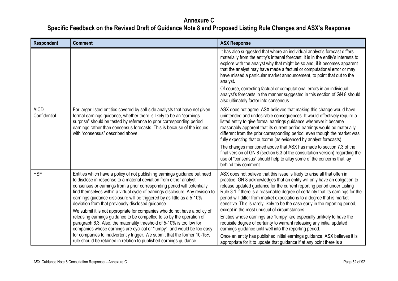| <b>Respondent</b>           | <b>Comment</b>                                                                                                                                                                                                                                                                                                                                                                                                                                                                                                                                                                                                                                                                                                                                                                                                                                                                                               | <b>ASX Response</b>                                                                                                                                                                                                                                                                                                                                                                                                                                                                                                                                                                                                                                                                                                                                                                                                                                                                                      |
|-----------------------------|--------------------------------------------------------------------------------------------------------------------------------------------------------------------------------------------------------------------------------------------------------------------------------------------------------------------------------------------------------------------------------------------------------------------------------------------------------------------------------------------------------------------------------------------------------------------------------------------------------------------------------------------------------------------------------------------------------------------------------------------------------------------------------------------------------------------------------------------------------------------------------------------------------------|----------------------------------------------------------------------------------------------------------------------------------------------------------------------------------------------------------------------------------------------------------------------------------------------------------------------------------------------------------------------------------------------------------------------------------------------------------------------------------------------------------------------------------------------------------------------------------------------------------------------------------------------------------------------------------------------------------------------------------------------------------------------------------------------------------------------------------------------------------------------------------------------------------|
|                             |                                                                                                                                                                                                                                                                                                                                                                                                                                                                                                                                                                                                                                                                                                                                                                                                                                                                                                              | It has also suggested that where an individual analyst's forecast differs<br>materially from the entity's internal forecast, it is in the entity's interests to<br>explore with the analyst why that might be so and, if it becomes apparent<br>that the analyst may have made a factual or computational error or may<br>have missed a particular market announcement, to point that out to the<br>analyst.<br>Of course, correcting factual or computational errors in an individual<br>analyst's forecasts in the manner suggested in this section of GN 8 should<br>also ultimately factor into consensus.                                                                                                                                                                                                                                                                                           |
| <b>AICD</b><br>Confidential | For larger listed entities covered by sell-side analysts that have not given<br>formal earnings guidance, whether there is likely to be an "earnings"<br>surprise" should be tested by reference to prior corresponding period<br>earnings rather than consensus forecasts. This is because of the issues<br>with "consensus" described above.                                                                                                                                                                                                                                                                                                                                                                                                                                                                                                                                                               | ASX does not agree. ASX believes that making this change would have<br>unintended and undesirable consequences. It would effectively require a<br>listed entity to give formal earnings guidance whenever it became<br>reasonably apparent that its current period earnings would be materially<br>different from the prior corresponding period, even though the market was<br>fully expecting that outcome (as evidenced by analyst forecasts).<br>The changes mentioned above that ASX has made to section 7.3 of the<br>final version of GN 8 (section 6.3 of the consultation version) regarding the<br>use of "consensus" should help to allay some of the concerns that lay<br>behind this comment.                                                                                                                                                                                               |
| <b>HSF</b>                  | Entities which have a policy of not publishing earnings guidance but need<br>to disclose in response to a material deviation from either analyst<br>consensus or earnings from a prior corresponding period will potentially<br>find themselves within a virtual cycle of earnings disclosure. Any revision to<br>earnings guidance disclosure will be triggered by as little as a 5-10%<br>deviation from that previously disclosed guidance.<br>We submit it is not appropriate for companies who do not have a policy of<br>releasing earnings guidance to be compelled to so by the operation of<br>paragraph 6.3. Also, the materiality threshold of 5-10% is too low for<br>companies whose earnings are cyclical or "lumpy", and would be too easy<br>for companies to inadvertently trigger. We submit that the former 10-15%<br>rule should be retained in relation to published earnings guidance. | ASX does not believe that this issue is likely to arise all that often in<br>practice. GN 8 acknowledges that an entity will only have an obligation to<br>release updated guidance for the current reporting period under Listing<br>Rule 3.1 if there is a reasonable degree of certainty that its earnings for the<br>period will differ from market expectations to a degree that is market<br>sensitive. This is rarely likely to be the case early in the reporting period,<br>except in the most unusual of circumstances.<br>Entities whose earnings are "lumpy" are especially unlikely to have the<br>requisite degree of certainty to warrant releasing any initial updated<br>earnings guidance until well into the reporting period.<br>Once an entity has published initial earnings guidance, ASX believes it is<br>appropriate for it to update that guidance if at any point there is a |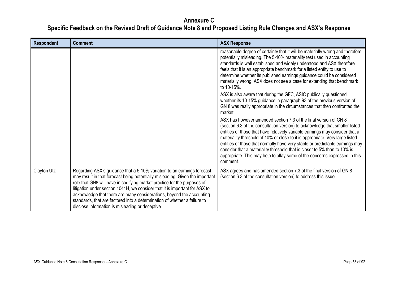| Respondent  | <b>Comment</b>                                                                                                                                                                                                                                                                                                                                                                                                                                                                                                                | <b>ASX Response</b>                                                                                                                                                                                                                                                                                                                                                                                                                                                                                                                                                      |
|-------------|-------------------------------------------------------------------------------------------------------------------------------------------------------------------------------------------------------------------------------------------------------------------------------------------------------------------------------------------------------------------------------------------------------------------------------------------------------------------------------------------------------------------------------|--------------------------------------------------------------------------------------------------------------------------------------------------------------------------------------------------------------------------------------------------------------------------------------------------------------------------------------------------------------------------------------------------------------------------------------------------------------------------------------------------------------------------------------------------------------------------|
|             |                                                                                                                                                                                                                                                                                                                                                                                                                                                                                                                               | reasonable degree of certainty that it will be materially wrong and therefore<br>potentially misleading. The 5-10% materiality test used in accounting<br>standards is well established and widely understood and ASX therefore<br>feels that it is an appropriate benchmark for a listed entity to use to<br>determine whether its published earnings guidance could be considered<br>materially wrong. ASX does not see a case for extending that benchmark<br>to 10-15%.                                                                                              |
|             |                                                                                                                                                                                                                                                                                                                                                                                                                                                                                                                               | ASX is also aware that during the GFC, ASIC publically questioned<br>whether its 10-15% guidance in paragraph 93 of the previous version of<br>GN 8 was really appropriate in the circumstances that then confronted the<br>market.                                                                                                                                                                                                                                                                                                                                      |
|             |                                                                                                                                                                                                                                                                                                                                                                                                                                                                                                                               | ASX has however amended section 7.3 of the final version of GN 8<br>(section 6.3 of the consultation version) to acknowledge that smaller listed<br>entities or those that have relatively variable earnings may consider that a<br>materiality threshold of 10% or close to it is appropriate. Very large listed<br>entities or those that normally have very stable or predictable earnings may<br>consider that a materiality threshold that is closer to 5% than to 10% is<br>appropriate. This may help to allay some of the concerns expressed in this<br>comment. |
| Clayton Utz | Regarding ASX's guidance that a 5-10% variation to an earnings forecast<br>may result in that forecast being potentially misleading. Given the important<br>role that GN8 will have in codifying market practice for the purposes of<br>litigation under section 1041H, we consider that it is important for ASX to<br>acknowledge that there are many considerations, beyond the accounting<br>standards, that are factored into a determination of whether a failure to<br>disclose information is misleading or deceptive. | ASX agrees and has amended section 7.3 of the final version of GN 8<br>(section 6.3 of the consultation version) to address this issue.                                                                                                                                                                                                                                                                                                                                                                                                                                  |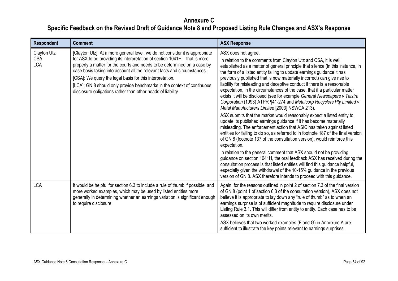| Respondent                              | <b>Comment</b>                                                                                                                                                                                                                                                                                                                                                                                                                                                                                                            | <b>ASX Response</b>                                                                                                                                                                                                                                                                                                                                                                                                                                                                                                                                                                                                                                                                              |
|-----------------------------------------|---------------------------------------------------------------------------------------------------------------------------------------------------------------------------------------------------------------------------------------------------------------------------------------------------------------------------------------------------------------------------------------------------------------------------------------------------------------------------------------------------------------------------|--------------------------------------------------------------------------------------------------------------------------------------------------------------------------------------------------------------------------------------------------------------------------------------------------------------------------------------------------------------------------------------------------------------------------------------------------------------------------------------------------------------------------------------------------------------------------------------------------------------------------------------------------------------------------------------------------|
| Clayton Utz<br><b>CSA</b><br><b>LCA</b> | [Clayton Utz]: At a more general level, we do not consider it is appropriate<br>for ASX to be providing its interpretation of section 1041H - that is more<br>properly a matter for the courts and needs to be determined on a case by<br>case basis taking into account all the relevant facts and circumstances.<br>[CSA]: We query the legal basis for this interpretation.<br>[LCA]: GN 8 should only provide benchmarks in the context of continuous<br>disclosure obligations rather than other heads of liability. | ASX does not agree.<br>In relation to the comments from Clayton Utz and CSA, it is well<br>established as a matter of general principle that silence (in this instance, in<br>the form of a listed entity failing to update earnings guidance it has<br>previously published that is now materially incorrect) can give rise to<br>liability for misleading and deceptive conduct if there is a reasonable<br>expectation, in the circumstances of the case, that if a particular matter<br>exists it will be disclosed (see for example General Newspapers v Telstra<br>Corporation (1993) ATPR ¶41-274 and Metalcorp Recyclers Pty Limited v<br>Metal Manufacturers Limited [2003] NSWCA 213). |
|                                         |                                                                                                                                                                                                                                                                                                                                                                                                                                                                                                                           | ASX submits that the market would reasonably expect a listed entity to<br>update its published earnings guidance if it has become materially<br>misleading. The enforcement action that ASIC has taken against listed<br>entities for failing to do so, as referred to in footnote 187 of the final version<br>of GN 8 (footnote 137 of the consultation version), would reinforce this<br>expectation.                                                                                                                                                                                                                                                                                          |
|                                         |                                                                                                                                                                                                                                                                                                                                                                                                                                                                                                                           | In relation to the general comment that ASX should not be providing<br>guidance on section 1041H, the oral feedback ASX has received during the<br>consultation process is that listed entities will find this guidance helpful,<br>especially given the withdrawal of the 10-15% guidance in the previous<br>version of GN 8. ASX therefore intends to proceed with this guidance.                                                                                                                                                                                                                                                                                                              |
| <b>LCA</b>                              | It would be helpful for section 6.3 to include a rule of thumb if possible, and<br>more worked examples, which may be used by listed entities more<br>generally in determining whether an earnings variation is significant enough<br>to require disclosure.                                                                                                                                                                                                                                                              | Again, for the reasons outlined in point 2 of section 7.3 of the final version<br>of GN 8 (point 1 of section 6.3 of the consultation version), ASX does not<br>believe it is appropriate to lay down any "rule of thumb" as to when an<br>earnings surprise is of sufficient magnitude to require disclosure under<br>Listing Rule 3.1. This will differ from entity to entity. Each case has to be<br>assessed on its own merits.                                                                                                                                                                                                                                                              |
|                                         |                                                                                                                                                                                                                                                                                                                                                                                                                                                                                                                           | ASX believes that two worked examples (F and G) in Annexure A are<br>sufficient to illustrate the key points relevant to earnings surprises.                                                                                                                                                                                                                                                                                                                                                                                                                                                                                                                                                     |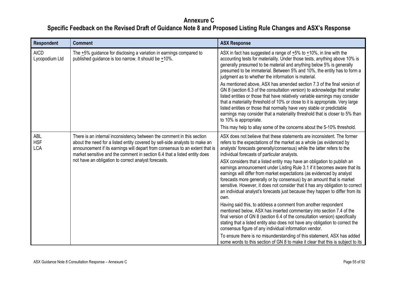| <b>Respondent</b>                      | <b>Comment</b>                                                                                                                                                                                                                                                                                                                                                             | <b>ASX Response</b>                                                                                                                                                                                                                                                                                                                                                                                                                                                                                                                                                                                                                                                                                                                                              |
|----------------------------------------|----------------------------------------------------------------------------------------------------------------------------------------------------------------------------------------------------------------------------------------------------------------------------------------------------------------------------------------------------------------------------|------------------------------------------------------------------------------------------------------------------------------------------------------------------------------------------------------------------------------------------------------------------------------------------------------------------------------------------------------------------------------------------------------------------------------------------------------------------------------------------------------------------------------------------------------------------------------------------------------------------------------------------------------------------------------------------------------------------------------------------------------------------|
| <b>AICD</b><br>Lycopodium Ltd          | The $+5\%$ guidance for disclosing a variation in earnings compared to<br>published guidance is too narrow. It should be +10%.                                                                                                                                                                                                                                             | ASX in fact has suggested a range of $+5\%$ to $+10\%$ , in line with the<br>accounting tests for materiality. Under those tests, anything above 10% is<br>generally presumed to be material and anything below 5% is generally<br>presumed to be immaterial. Between 5% and 10%, the entity has to form a<br>judgment as to whether the information is material.                                                                                                                                                                                                                                                                                                                                                                                                |
|                                        |                                                                                                                                                                                                                                                                                                                                                                            | As mentioned above, ASX has amended section 7.3 of the final version of<br>GN 8 (section 6.3 of the consultation version) to acknowledge that smaller<br>listed entities or those that have relatively variable earnings may consider<br>that a materiality threshold of 10% or close to it is appropriate. Very large<br>listed entities or those that normally have very stable or predictable<br>earnings may consider that a materiality threshold that is closer to 5% than<br>to 10% is appropriate.<br>This may help to allay some of the concerns about the 5-10% threshold.                                                                                                                                                                             |
| <b>ABL</b><br><b>HSF</b><br><b>LCA</b> | There is an internal inconsistency between the comment in this section<br>about the need for a listed entity covered by sell-side analysts to make an<br>announcement if its earnings will depart from consensus to an extent that is<br>market sensitive and the comment in section 6.4 that a listed entity does<br>not have an obligation to correct analyst forecasts. | ASX does not believe that these statements are inconsistent. The former<br>refers to the expectations of the market as a whole (as evidenced by<br>analysts' forecasts generally/consensus) while the latter refers to the<br>individual forecasts of particular analysts.<br>ASX considers that a listed entity may have an obligation to publish an<br>earnings announcement under Listing Rule 3.1 if it becomes aware that its<br>earnings will differ from market expectations (as evidenced by analyst<br>forecasts more generally or by consensus) by an amount that is market<br>sensitive. However, it does not consider that it has any obligation to correct<br>an individual analyst's forecasts just because they happen to differ from its<br>own. |
|                                        |                                                                                                                                                                                                                                                                                                                                                                            | Having said this, to address a comment from another respondent<br>mentioned below, ASX has inserted commentary into section 7.4 of the<br>final version of GN 8 (section 6.4 of the consultation version) specifically<br>stating that a listed entity also does not have any obligation to correct the<br>consensus figure of any individual information vendor.<br>To ensure there is no misunderstanding of this statement, ASX has added                                                                                                                                                                                                                                                                                                                     |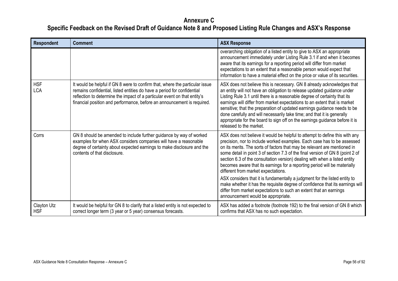| <b>Respondent</b>         | <b>Comment</b>                                                                                                                                                                                                                                                                                                  | <b>ASX Response</b>                                                                                                                                                                                                                                                                                                                                                                                                                                                                                                                                                          |
|---------------------------|-----------------------------------------------------------------------------------------------------------------------------------------------------------------------------------------------------------------------------------------------------------------------------------------------------------------|------------------------------------------------------------------------------------------------------------------------------------------------------------------------------------------------------------------------------------------------------------------------------------------------------------------------------------------------------------------------------------------------------------------------------------------------------------------------------------------------------------------------------------------------------------------------------|
|                           |                                                                                                                                                                                                                                                                                                                 | overarching obligation of a listed entity to give to ASX an appropriate<br>announcement immediately under Listing Rule 3.1 if and when it becomes<br>aware that its earnings for a reporting period will differ from market<br>expectations to an extent that a reasonable person would expect that<br>information to have a material effect on the price or value of its securities.                                                                                                                                                                                        |
| <b>HSF</b><br><b>LCA</b>  | It would be helpful if GN 8 were to confirm that, where the particular issue<br>remains confidential, listed entities do have a period for confidential<br>reflection to determine the impact of a particular event on that entity's<br>financial position and performance, before an announcement is required. | ASX does not believe this is necessary. GN 8 already acknowledges that<br>an entity will not have an obligation to release updated guidance under<br>Listing Rule 3.1 until there is a reasonable degree of certainty that its<br>earnings will differ from market expectations to an extent that is market<br>sensitive; that the preparation of updated earnings guidance needs to be<br>done carefully and will necessarily take time; and that it is generally<br>appropriate for the board to sign off on the earnings guidance before it is<br>released to the market. |
| Corrs                     | GN 8 should be amended to include further guidance by way of worked<br>examples for when ASX considers companies will have a reasonable<br>degree of certainty about expected earnings to make disclosure and the<br>contents of that disclosure.                                                               | ASX does not believe it would be helpful to attempt to define this with any<br>precision, nor to include worked examples. Each case has to be assessed<br>on its merits. The sorts of factors that may be relevant are mentioned in<br>some detail in point 3 of section 7.3 of the final version of GN 8 (point 2 of<br>section 6.3 of the consultation version) dealing with when a listed entity<br>becomes aware that its earnings for a reporting period will be materially<br>different from market expectations.                                                      |
|                           |                                                                                                                                                                                                                                                                                                                 | ASX considers that it is fundamentally a judgment for the listed entity to<br>make whether it has the requisite degree of confidence that its earnings will<br>differ from market expectations to such an extent that an earnings<br>announcement would be appropriate.                                                                                                                                                                                                                                                                                                      |
| Clayton Utz<br><b>HSF</b> | It would be helpful for GN 8 to clarify that a listed entity is not expected to<br>correct longer term (3 year or 5 year) consensus forecasts.                                                                                                                                                                  | ASX has added a footnote (footnote 192) to the final version of GN 8 which<br>confirms that ASX has no such expectation.                                                                                                                                                                                                                                                                                                                                                                                                                                                     |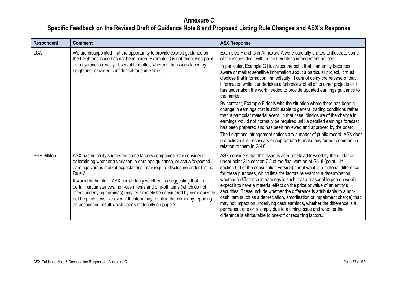| <b>Respondent</b>   | <b>Comment</b>                                                                                                                                                                                                                                                                                                                                                                                                                                                                                                                                                                                                                | <b>ASX Response</b>                                                                                                                                                                                                                                                                                                                                                                                                                                                                                                                                                                                                                                                                                                                                                                                                                                                                    |
|---------------------|-------------------------------------------------------------------------------------------------------------------------------------------------------------------------------------------------------------------------------------------------------------------------------------------------------------------------------------------------------------------------------------------------------------------------------------------------------------------------------------------------------------------------------------------------------------------------------------------------------------------------------|----------------------------------------------------------------------------------------------------------------------------------------------------------------------------------------------------------------------------------------------------------------------------------------------------------------------------------------------------------------------------------------------------------------------------------------------------------------------------------------------------------------------------------------------------------------------------------------------------------------------------------------------------------------------------------------------------------------------------------------------------------------------------------------------------------------------------------------------------------------------------------------|
| <b>LCA</b>          | We are disappointed that the opportunity to provide explicit guidance on<br>the Leightons issue has not been taken (Example G is not directly on point<br>as a cyclone is readily observable matter, whereas the issues faced by<br>Leightons remained confidential for some time).                                                                                                                                                                                                                                                                                                                                           | Examples F and G in Annexure A were carefully crafted to illustrate some<br>of the issues dealt with in the Leightons infringement notices.<br>In particular, Example G illustrates the point that if an entity becomes<br>aware of market sensitive information about a particular project, it must<br>disclose that information immediately. It cannot delay the release of that<br>information while it undertakes a full review of all of its other projects or it<br>has undertaken the work needed to provide updated earnings guidance to<br>the market.<br>By contrast, Example F deals with the situation where there has been a<br>change in earnings that is attributable to general trading conditions rather<br>than a particular material event. In that case, disclosure of the change in<br>earnings would not normally be required until a detailed earnings forecast |
|                     |                                                                                                                                                                                                                                                                                                                                                                                                                                                                                                                                                                                                                               | has been prepared and has been reviewed and approved by the board.<br>The Leightons infringement notices are a matter of public record. ASX does<br>not believe it is necessary or appropriate to make any further comment in<br>relation to them in GN 8.                                                                                                                                                                                                                                                                                                                                                                                                                                                                                                                                                                                                                             |
| <b>BHP Billiton</b> | ASX has helpfully suggested some factors companies may consider in<br>determining whether a variation in earnings guidance, or actual/expected<br>earnings versus market expectations, may require disclosure under Listing<br><b>Rule 3.1.</b><br>It would be helpful if ASX could clarify whether it is suggesting that, in<br>certain circumstances, non-cash items and one-off items (which do not<br>affect underlying earnings) may legitimately be considered by companies to<br>not be price sensitive even if the item may result in the company reporting<br>an accounting result which varies materially on paper? | ASX considers that this issue is adequately addressed by the guidance<br>under point 2 in section 7.3 of the final version of GN 8 (point 1 in<br>section 6.3 of the consultation version) about what is a material difference<br>for these purposes, which lists the factors relevant to a determination<br>whether a difference in earnings is such that a reasonable person would<br>expect it to have a material effect on the price or value of an entity's<br>securities. These include whether the difference is attributable to a non-<br>cash item (such as a depreciation, amortisation or impairment charge) that<br>may not impact on underlying cash earnings, whether the difference is a<br>permanent one or is simply due to a timing issue and whether the<br>difference is attributable to one-off or recurring factors.                                             |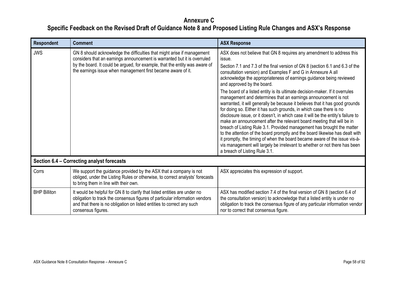| <b>Respondent</b>   | <b>Comment</b>                                                                                                                                                                                                                                                                                     | <b>ASX Response</b>                                                                                                                                                                                                                                                                                                                                                                                                                                                                                                                                                                                                                                                                                                                                                                                                                                                                                                                                                                                                                                                                                                                                                |
|---------------------|----------------------------------------------------------------------------------------------------------------------------------------------------------------------------------------------------------------------------------------------------------------------------------------------------|--------------------------------------------------------------------------------------------------------------------------------------------------------------------------------------------------------------------------------------------------------------------------------------------------------------------------------------------------------------------------------------------------------------------------------------------------------------------------------------------------------------------------------------------------------------------------------------------------------------------------------------------------------------------------------------------------------------------------------------------------------------------------------------------------------------------------------------------------------------------------------------------------------------------------------------------------------------------------------------------------------------------------------------------------------------------------------------------------------------------------------------------------------------------|
| <b>JWS</b>          | GN 8 should acknowledge the difficulties that might arise if management<br>considers that an earnings announcement is warranted but it is overruled<br>by the board. It could be argued, for example, that the entity was aware of<br>the earnings issue when management first became aware of it. | ASX does not believe that GN 8 requires any amendment to address this<br>issue.<br>Section 7.1 and 7.3 of the final version of GN 8 (section 6.1 and 6.3 of the<br>consultation version) and Examples F and G in Annexure A all<br>acknowledge the appropriateness of earnings guidance being reviewed<br>and approved by the board.<br>The board of a listed entity is its ultimate decision-maker. If it overrules<br>management and determines that an earnings announcement is not<br>warranted, it will generally be because it believes that it has good grounds<br>for doing so. Either it has such grounds, in which case there is no<br>disclosure issue, or it doesn't, in which case it will be the entity's failure to<br>make an announcement after the relevant board meeting that will be in<br>breach of Listing Rule 3.1. Provided management has brought the matter<br>to the attention of the board promptly and the board likewise has dealt with<br>it promptly, the timing of when the board became aware of the issue vis-à-<br>vis management will largely be irrelevant to whether or not there has been<br>a breach of Listing Rule 3.1. |
|                     | Section 6.4 - Correcting analyst forecasts                                                                                                                                                                                                                                                         |                                                                                                                                                                                                                                                                                                                                                                                                                                                                                                                                                                                                                                                                                                                                                                                                                                                                                                                                                                                                                                                                                                                                                                    |
| Corrs               | We support the guidance provided by the ASX that a company is not<br>obliged, under the Listing Rules or otherwise, to correct analysts' forecasts<br>to bring them in line with their own.                                                                                                        | ASX appreciates this expression of support.                                                                                                                                                                                                                                                                                                                                                                                                                                                                                                                                                                                                                                                                                                                                                                                                                                                                                                                                                                                                                                                                                                                        |
| <b>BHP Billiton</b> | It would be helpful for GN 8 to clarify that listed entities are under no<br>obligation to track the consensus figures of particular information vendors<br>and that there is no obligation on listed entities to correct any such<br>consensus figures.                                           | ASX has modified section 7.4 of the final version of GN 8 (section 6.4 of<br>the consultation version) to acknowledge that a listed entity is under no<br>obligation to track the consensus figure of any particular information vendor<br>nor to correct that consensus figure.                                                                                                                                                                                                                                                                                                                                                                                                                                                                                                                                                                                                                                                                                                                                                                                                                                                                                   |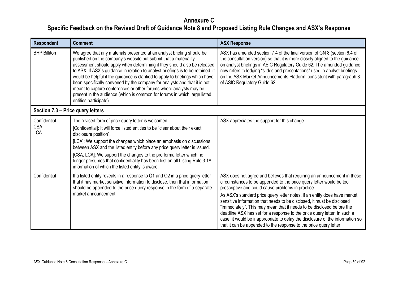| <b>Respondent</b>                        | <b>Comment</b>                                                                                                                                                                                                                                                                                                                                                                                                                                                                                                                                                                                                                                         | <b>ASX Response</b>                                                                                                                                                                                                                                                                                                                                                                                                                                                                                                                                                                                                                                                     |
|------------------------------------------|--------------------------------------------------------------------------------------------------------------------------------------------------------------------------------------------------------------------------------------------------------------------------------------------------------------------------------------------------------------------------------------------------------------------------------------------------------------------------------------------------------------------------------------------------------------------------------------------------------------------------------------------------------|-------------------------------------------------------------------------------------------------------------------------------------------------------------------------------------------------------------------------------------------------------------------------------------------------------------------------------------------------------------------------------------------------------------------------------------------------------------------------------------------------------------------------------------------------------------------------------------------------------------------------------------------------------------------------|
| <b>BHP Billiton</b>                      | We agree that any materials presented at an analyst briefing should be<br>published on the company's website but submit that a materiality<br>assessment should apply when determining if they should also be released<br>to ASX. If ASX's guidance in relation to analyst briefings is to be retained, it<br>would be helpful if the guidance is clarified to apply to briefings which have<br>been specifically convened by the company for analysts and that it is not<br>meant to capture conferences or other forums where analysts may be<br>present in the audience (which is common for forums in which large listed<br>entities participate). | ASX has amended section 7.4 of the final version of GN 8 (section 6.4 of<br>the consultation version) so that it is more closely aligned to the guidance<br>on analyst briefings in ASIC Regulatory Guide 62. The amended guidance<br>now refers to lodging "slides and presentations" used in analyst briefings<br>on the ASX Market Announcements Platform, consistent with paragraph 8<br>of ASIC Regulatory Guide 62.                                                                                                                                                                                                                                               |
| Section 7.3 – Price query letters        |                                                                                                                                                                                                                                                                                                                                                                                                                                                                                                                                                                                                                                                        |                                                                                                                                                                                                                                                                                                                                                                                                                                                                                                                                                                                                                                                                         |
| Confidential<br><b>CSA</b><br><b>LCA</b> | The revised form of price query letter is welcomed.<br>[Confidential]: It will force listed entities to be "clear about their exact<br>disclosure position".<br>[LCA]: We support the changes which place an emphasis on discussions<br>between ASX and the listed entity before any price query letter is issued.<br>[CSA, LCA]: We support the changes to the pro forma letter which no<br>longer presumes that confidentiality has been lost on all Listing Rule 3.1A<br>information of which the listed entity is aware.                                                                                                                           | ASX appreciates the support for this change.                                                                                                                                                                                                                                                                                                                                                                                                                                                                                                                                                                                                                            |
| Confidential                             | If a listed entity reveals in a response to Q1 and Q2 in a price query letter<br>that it has market sensitive information to disclose, then that information<br>should be appended to the price query response in the form of a separate<br>market announcement.                                                                                                                                                                                                                                                                                                                                                                                       | ASX does not agree and believes that requiring an announcement in these<br>circumstances to be appended to the price query letter would be too<br>prescriptive and could cause problems in practice.<br>As ASX's standard price query letter notes, if an entity does have market<br>sensitive information that needs to be disclosed, it must be disclosed<br>"immediately". This may mean that it needs to be disclosed before the<br>deadline ASX has set for a response to the price query letter. In such a<br>case, it would be inappropriate to delay the disclosure of the information so<br>that it can be appended to the response to the price query letter. |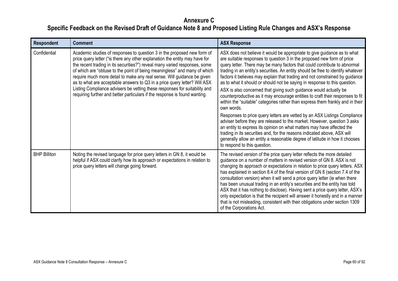| <b>Respondent</b>   | <b>Comment</b>                                                                                                                                                                                                                                                                                                                                                                                                                                                                                                                                                                                                                        | <b>ASX Response</b>                                                                                                                                                                                                                                                                                                                                                                                                                                                                                                                                                                                                                                                                                                                                                                                                                                                                                                                                                                                                                                                                                                                                                    |
|---------------------|---------------------------------------------------------------------------------------------------------------------------------------------------------------------------------------------------------------------------------------------------------------------------------------------------------------------------------------------------------------------------------------------------------------------------------------------------------------------------------------------------------------------------------------------------------------------------------------------------------------------------------------|------------------------------------------------------------------------------------------------------------------------------------------------------------------------------------------------------------------------------------------------------------------------------------------------------------------------------------------------------------------------------------------------------------------------------------------------------------------------------------------------------------------------------------------------------------------------------------------------------------------------------------------------------------------------------------------------------------------------------------------------------------------------------------------------------------------------------------------------------------------------------------------------------------------------------------------------------------------------------------------------------------------------------------------------------------------------------------------------------------------------------------------------------------------------|
| Confidential        | Academic studies of responses to question 3 in the proposed new form of<br>price query letter ("is there any other explanation the entity may have for<br>the recent trading in its securities?") reveal many varied responses, some<br>of which are "obtuse to the point of being meaningless" and many of which<br>require much more detail to make any real sense. Will guidance be given<br>as to what are acceptable answers to Q3 in a price query letter? Will ASX<br>Listing Compliance advisers be vetting these responses for suitability and<br>requiring further and better particulars if the response is found wanting. | ASX does not believe it would be appropriate to give guidance as to what<br>are suitable responses to question 3 in the proposed new form of price<br>query letter. There may be many factors that could contribute to abnormal<br>trading in an entity's securities. An entity should be free to identify whatever<br>factors it believes may explain that trading and not constrained by guidance<br>as to what it should or should not be saying in response to this question.<br>ASX is also concerned that giving such guidance would actually be<br>counterproductive as it may encourage entities to craft their responses to fit<br>within the "suitable" categories rather than express them frankly and in their<br>own words.<br>Responses to price query letters are vetted by an ASX Listings Compliance<br>adviser before they are released to the market. However, question 3 asks<br>an entity to express its opinion on what matters may have affected the<br>trading in its securities and, for the reasons indicated above, ASX will<br>generally allow an entity a reasonable degree of latitude in how it chooses<br>to respond to this question. |
| <b>BHP Billiton</b> | Noting the revised language for price query letters in GN 8, it would be<br>helpful if ASX could clarify how its approach or expectations in relation to<br>price query letters will change going forward.                                                                                                                                                                                                                                                                                                                                                                                                                            | The revised version of the price query letter reflects the more detailed<br>guidance on a number of matters in revised version of GN 8. ASX is not<br>changing its approach or expectations in relation to price query letters. ASX<br>has explained in section 8.4 of the final version of GN 8 (section 7.4 of the<br>consultation version) when it will send a price query letter (ie when there<br>has been unusual trading in an entity's securities and the entity has told<br>ASX that it has nothing to disclose). Having sent a price query letter, ASX's<br>only expectation is that the recipient will answer it honestly and in a manner<br>that is not misleading, consistent with their obligations under section 1309<br>of the Corporations Act.                                                                                                                                                                                                                                                                                                                                                                                                       |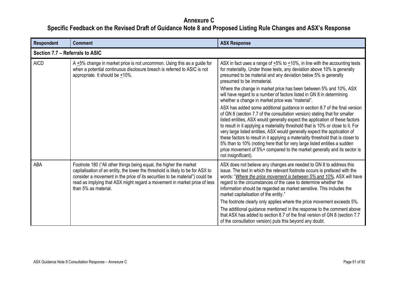| <b>Respondent</b>               | <b>Comment</b>                                                                                                                                                                                                                                                                                                                             | <b>ASX Response</b>                                                                                                                                                                                                                                                                                                                                                                                                                                                                                                                                                                                                                                                          |
|---------------------------------|--------------------------------------------------------------------------------------------------------------------------------------------------------------------------------------------------------------------------------------------------------------------------------------------------------------------------------------------|------------------------------------------------------------------------------------------------------------------------------------------------------------------------------------------------------------------------------------------------------------------------------------------------------------------------------------------------------------------------------------------------------------------------------------------------------------------------------------------------------------------------------------------------------------------------------------------------------------------------------------------------------------------------------|
| Section 7.7 – Referrals to ASIC |                                                                                                                                                                                                                                                                                                                                            |                                                                                                                                                                                                                                                                                                                                                                                                                                                                                                                                                                                                                                                                              |
| <b>AICD</b>                     | A $+5\%$ change in market price is not uncommon. Using this as a guide for<br>when a potential continuous disclosure breach is referred to ASIC is not<br>appropriate. It should be $+10\%$ .                                                                                                                                              | ASX in fact uses a range of $+5\%$ to $+10\%$ , in line with the accounting tests<br>for materiality. Under those tests, any deviation above 10% is generally<br>presumed to be material and any deviation below 5% is generally<br>presumed to be immaterial.                                                                                                                                                                                                                                                                                                                                                                                                               |
|                                 |                                                                                                                                                                                                                                                                                                                                            | Where the change in market price has been between 5% and 10%, ASX<br>will have regard to a number of factors listed in GN 8 in determining<br>whether a change in market price was "material".                                                                                                                                                                                                                                                                                                                                                                                                                                                                               |
|                                 |                                                                                                                                                                                                                                                                                                                                            | ASX has added some additional guidance in section 8.7 of the final version<br>of GN 8 (section 7.7 of the consultation version) stating that for smaller<br>listed entities, ASX would generally expect the application of these factors<br>to result in it applying a materiality threshold that is 10% or close to it. For<br>very large listed entities, ASX would generally expect the application of<br>these factors to result in it applying a materiality threshold that is closer to<br>5% than to 10% (noting here that for very large listed entities a sudden<br>price movement of 5%+ compared to the market generally and its sector is<br>not insignificant). |
| ABA                             | Footnote 180 ("All other things being equal, the higher the market<br>capitalisation of an entity, the lower the threshold is likely to be for ASX to<br>consider a movement in the price of its securities to be material") could be<br>read as implying that ASX might regard a movement in market price of less<br>than 5% as material. | ASX does not believe any changes are needed to GN 8 to address this<br>issue. The text in which the relevant footnote occurs is prefaced with the<br>words: "Where the price movement is between 5% and 10%, ASX will have<br>regard to the circumstances of the case to determine whether the<br>information should be regarded as market sensitive. This includes the<br>market capitalisation of the entity."                                                                                                                                                                                                                                                             |
|                                 |                                                                                                                                                                                                                                                                                                                                            | The footnote clearly only applies where the price movement exceeds 5%.<br>The additional guidance mentioned in the response to the comment above<br>that ASX has added to section 8.7 of the final version of GN 8 (section 7.7<br>of the consultation version) puts this beyond any doubt.                                                                                                                                                                                                                                                                                                                                                                                  |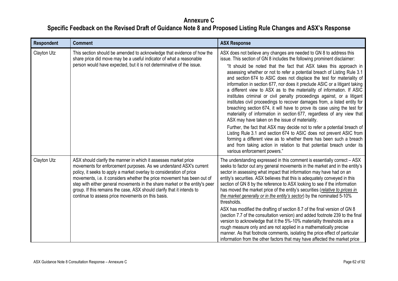| <b>Respondent</b> | <b>Comment</b>                                                                                                                                                                                                                                                                                                                                                                                                                                                                                         | <b>ASX Response</b>                                                                                                                                                                                                                                                                                                                                                                                                                                                                                                                                                                                                                                                                                                                                                                                                                                                                                                                                                                                                                                                                                                                                                                                                                  |
|-------------------|--------------------------------------------------------------------------------------------------------------------------------------------------------------------------------------------------------------------------------------------------------------------------------------------------------------------------------------------------------------------------------------------------------------------------------------------------------------------------------------------------------|--------------------------------------------------------------------------------------------------------------------------------------------------------------------------------------------------------------------------------------------------------------------------------------------------------------------------------------------------------------------------------------------------------------------------------------------------------------------------------------------------------------------------------------------------------------------------------------------------------------------------------------------------------------------------------------------------------------------------------------------------------------------------------------------------------------------------------------------------------------------------------------------------------------------------------------------------------------------------------------------------------------------------------------------------------------------------------------------------------------------------------------------------------------------------------------------------------------------------------------|
| Clayton Utz       | This section should be amended to acknowledge that evidence of how the<br>share price did move may be a useful indicator of what a reasonable<br>person would have expected, but it is not determinative of the issue.                                                                                                                                                                                                                                                                                 | ASX does not believe any changes are needed to GN 8 to address this<br>issue. This section of GN 8 includes the following prominent disclaimer:<br>"It should be noted that the fact that ASX takes this approach in<br>assessing whether or not to refer a potential breach of Listing Rule 3.1<br>and section 674 to ASIC does not displace the test for materiality of<br>information in section 677, nor does it preclude ASIC or a litigant taking<br>a different view to ASX as to the materiality of information. If ASIC<br>institutes criminal or civil penalty proceedings against, or a litigant<br>institutes civil proceedings to recover damages from, a listed entity for<br>breaching section 674, it will have to prove its case using the test for<br>materiality of information in section 677, regardless of any view that<br>ASX may have taken on the issue of materiality.<br>Further, the fact that ASX may decide not to refer a potential breach of<br>Listing Rule 3.1 and section 674 to ASIC does not prevent ASIC from<br>forming a different view as to whether there has been such a breach<br>and from taking action in relation to that potential breach under its<br>various enforcement powers." |
| Clayton Utz       | ASX should clarify the manner in which it assesses market price<br>movements for enforcement purposes. As we understand ASX's current<br>policy, it seeks to apply a market overlay to consideration of price<br>movements, i.e. it considers whether the price movement has been out of<br>step with either general movements in the share market or the entity's peer<br>group. If this remains the case, ASX should clarify that it intends to<br>continue to assess price movements on this basis. | The understanding expressed in this comment is essentially correct - ASX<br>seeks to factor out any general movements in the market and in the entity's<br>sector in assessing what impact that information may have had on an<br>entity's securities. ASX believes that this is adequately conveyed in this<br>section of GN 8 by the reference to ASX looking to see if the information<br>has moved the market price of the entity's securities (relative to prices in<br>the market generally or in the entity's sector) by the nominated 5-10%<br>thresholds.<br>ASX has modified the drafting of section 8.7 of the final version of GN 8<br>(section 7.7 of the consultation version) and added footnote 239 to the final<br>version to acknowledge that it the 5%-10% materiality thresholds are a<br>rough measure only and are not applied in a mathematically precise<br>manner. As that footnote comments, isolating the price effect of particular<br>information from the other factors that may have affected the market price                                                                                                                                                                                        |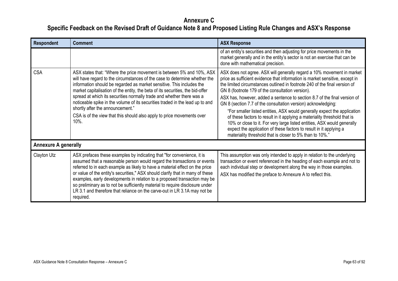| <b>Respondent</b>           | <b>Comment</b>                                                                                                                                                                                                                                                                                                                                                                                                                                                                                                                                                                                    | <b>ASX Response</b>                                                                                                                                                                                                                                                                                                                                                                                                                                                                                                                                                                                                                                                                                                                                                                                          |
|-----------------------------|---------------------------------------------------------------------------------------------------------------------------------------------------------------------------------------------------------------------------------------------------------------------------------------------------------------------------------------------------------------------------------------------------------------------------------------------------------------------------------------------------------------------------------------------------------------------------------------------------|--------------------------------------------------------------------------------------------------------------------------------------------------------------------------------------------------------------------------------------------------------------------------------------------------------------------------------------------------------------------------------------------------------------------------------------------------------------------------------------------------------------------------------------------------------------------------------------------------------------------------------------------------------------------------------------------------------------------------------------------------------------------------------------------------------------|
|                             |                                                                                                                                                                                                                                                                                                                                                                                                                                                                                                                                                                                                   | of an entity's securities and then adjusting for price movements in the<br>market generally and in the entity's sector is not an exercise that can be<br>done with mathematical precision.                                                                                                                                                                                                                                                                                                                                                                                                                                                                                                                                                                                                                   |
| <b>CSA</b>                  | ASX states that: "Where the price movement is between 5% and 10%, ASX<br>will have regard to the circumstances of the case to determine whether the<br>information should be regarded as market sensitive. This includes the<br>market capitalisation of the entity, the beta of its securities, the bid-offer<br>spread at which its securities normally trade and whether there was a<br>noticeable spike in the volume of its securities traded in the lead up to and<br>shortly after the announcement."<br>CSA is of the view that this should also apply to price movements over<br>$10%$ . | ASX does not agree. ASX will generally regard a 10% movement in market<br>price as sufficient evidence that information is market sensitive, except in<br>the limited circumstances outlined in footnote 240 of the final version of<br>GN 8 (footnote 179 of the consultation version).<br>ASX has, however, added a sentence to section 8.7 of the final version of<br>GN 8 (section 7.7 of the consultation version) acknowledging:<br>"For smaller listed entities, ASX would generally expect the application<br>of these factors to result in it applying a materiality threshold that is<br>10% or close to it. For very large listed entities, ASX would generally<br>expect the application of these factors to result in it applying a<br>materiality threshold that is closer to 5% than to 10%." |
| <b>Annexure A generally</b> |                                                                                                                                                                                                                                                                                                                                                                                                                                                                                                                                                                                                   |                                                                                                                                                                                                                                                                                                                                                                                                                                                                                                                                                                                                                                                                                                                                                                                                              |
| Clayton Utz                 | ASX prefaces these examples by indicating that "for convenience, it is<br>assumed that a reasonable person would regard the transactions or events<br>referred to in each example as likely to have a material effect on the price<br>or value of the entity's securities," ASX should clarify that in many of these<br>examples, early developments in relation to a proposed transaction may be<br>so preliminary as to not be sufficiently material to require disclosure under<br>LR 3.1 and therefore that reliance on the carve-out in LR 3.1A may not be<br>required.                      | This assumption was only intended to apply in relation to the underlying<br>transaction or event referenced in the heading of each example and not to<br>each individual step or development along the way in those examples.<br>ASX has modified the preface to Annexure A to reflect this.                                                                                                                                                                                                                                                                                                                                                                                                                                                                                                                 |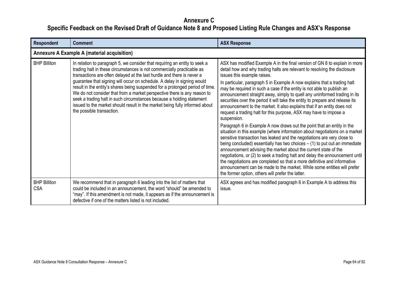| <b>Respondent</b>                 | <b>Comment</b>                                                                                                                                                                                                                                                                                                                                                                                                                                                                                                                                                                                                                                              | <b>ASX Response</b>                                                                                                                                                                                                                                                                                                                                                                                                                                                                                                                                                                                                                                                                                                                                                                                                                                                                                                                                                                                                                                                                                                                                                                                                                                                                                                                                          |
|-----------------------------------|-------------------------------------------------------------------------------------------------------------------------------------------------------------------------------------------------------------------------------------------------------------------------------------------------------------------------------------------------------------------------------------------------------------------------------------------------------------------------------------------------------------------------------------------------------------------------------------------------------------------------------------------------------------|--------------------------------------------------------------------------------------------------------------------------------------------------------------------------------------------------------------------------------------------------------------------------------------------------------------------------------------------------------------------------------------------------------------------------------------------------------------------------------------------------------------------------------------------------------------------------------------------------------------------------------------------------------------------------------------------------------------------------------------------------------------------------------------------------------------------------------------------------------------------------------------------------------------------------------------------------------------------------------------------------------------------------------------------------------------------------------------------------------------------------------------------------------------------------------------------------------------------------------------------------------------------------------------------------------------------------------------------------------------|
|                                   | <b>Annexure A Example A (material acquisition)</b>                                                                                                                                                                                                                                                                                                                                                                                                                                                                                                                                                                                                          |                                                                                                                                                                                                                                                                                                                                                                                                                                                                                                                                                                                                                                                                                                                                                                                                                                                                                                                                                                                                                                                                                                                                                                                                                                                                                                                                                              |
| <b>BHP Billiton</b>               | In relation to paragraph 5, we consider that requiring an entity to seek a<br>trading halt in these circumstances is not commercially practicable as<br>transactions are often delayed at the last hurdle and there is never a<br>guarantee that signing will occur on schedule. A delay in signing would<br>result in the entity's shares being suspended for a prolonged period of time.<br>We do not consider that from a market perspective there is any reason to<br>seek a trading halt in such circumstances because a holding statement<br>issued to the market should result in the market being fully informed about<br>the possible transaction. | ASX has modified Example A in the final version of GN 8 to explain in more<br>detail how and why trading halts are relevant to resolving the disclosure<br>issues this example raises.<br>In particular, paragraph 5 in Example A now explains that a trading halt<br>may be required in such a case if the entity is not able to publish an<br>announcement straight away, simply to quell any uninformed trading in its<br>securities over the period it will take the entity to prepare and release its<br>announcement to the market. It also explains that if an entity does not<br>request a trading halt for this purpose, ASX may have to impose a<br>suspension.<br>Paragraph 6 in Example A now draws out the point that an entity in the<br>situation in this example (where information about negotiations on a market<br>sensitive transaction has leaked and the negotiations are very close to<br>being concluded) essentially has two choices $-$ (1) to put out an immediate<br>announcement advising the market about the current state of the<br>negotiations, or (2) to seek a trading halt and delay the announcement until<br>the negotiations are completed so that a more definitive and informative<br>announcement can be made to the market. While some entities will prefer<br>the former option, others will prefer the latter. |
| <b>BHP Billiton</b><br><b>CSA</b> | We recommend that in paragraph 6 leading into the list of matters that<br>could be included in an announcement, the word "should" be amended to<br>"may". If this amendment is not made, it appears as if the announcement is<br>defective if one of the matters listed is not included.                                                                                                                                                                                                                                                                                                                                                                    | ASX agrees and has modified paragraph 6 in Example A to address this<br>issue.                                                                                                                                                                                                                                                                                                                                                                                                                                                                                                                                                                                                                                                                                                                                                                                                                                                                                                                                                                                                                                                                                                                                                                                                                                                                               |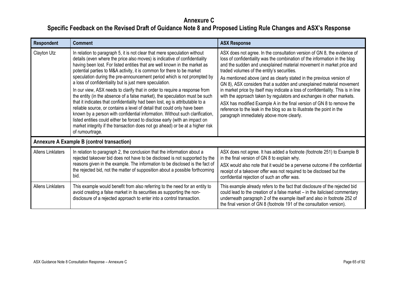| <b>Respondent</b>        | <b>Comment</b>                                                                                                                                                                                                                                                                                                                                                                                                                                                                                                                                                                                                                                                                                                                                                                                                                                                                                                                                                                                                                                     | <b>ASX Response</b>                                                                                                                                                                                                                                                                                                                                                                                                                                                                                                                                                                                                                                                                                                                                                                        |
|--------------------------|----------------------------------------------------------------------------------------------------------------------------------------------------------------------------------------------------------------------------------------------------------------------------------------------------------------------------------------------------------------------------------------------------------------------------------------------------------------------------------------------------------------------------------------------------------------------------------------------------------------------------------------------------------------------------------------------------------------------------------------------------------------------------------------------------------------------------------------------------------------------------------------------------------------------------------------------------------------------------------------------------------------------------------------------------|--------------------------------------------------------------------------------------------------------------------------------------------------------------------------------------------------------------------------------------------------------------------------------------------------------------------------------------------------------------------------------------------------------------------------------------------------------------------------------------------------------------------------------------------------------------------------------------------------------------------------------------------------------------------------------------------------------------------------------------------------------------------------------------------|
| Clayton Utz              | In relation to paragraph 5, it is not clear that mere speculation without<br>details (even where the price also moves) is indicative of confidentiality<br>having been lost. For listed entities that are well known in the market as<br>potential parties to M&A activity, it is common for there to be market<br>speculation during the pre-announcement period which is not prompted by<br>a loss of confidentiality but is just mere speculation.<br>In our view, ASX needs to clarify that in order to require a response from<br>the entity (in the absence of a false market), the speculation must be such<br>that it indicates that confidentiality had been lost, eg is attributable to a<br>reliable source, or contains a level of detail that could only have been<br>known by a person with confidential information. Without such clarification,<br>listed entities could either be forced to disclose early (with an impact on<br>market integrity if the transaction does not go ahead) or be at a higher risk<br>of rumourtrage. | ASX does not agree. In the consultation version of GN 8, the evidence of<br>loss of confidentiality was the combination of the information in the blog<br>and the sudden and unexplained material movement in market price and<br>traded volumes of the entity's securities.<br>As mentioned above (and as clearly stated in the previous version of<br>GN 8), ASX considers that a sudden and unexplained material movement<br>in market price by itself may indicate a loss of confidentiality. This is in line<br>with the approach taken by regulators and exchanges in other markets.<br>ASX has modified Example A in the final version of GN 8 to remove the<br>reference to the leak in the blog so as to illustrate the point in the<br>paragraph immediately above more clearly. |
|                          | <b>Annexure A Example B (control transaction)</b>                                                                                                                                                                                                                                                                                                                                                                                                                                                                                                                                                                                                                                                                                                                                                                                                                                                                                                                                                                                                  |                                                                                                                                                                                                                                                                                                                                                                                                                                                                                                                                                                                                                                                                                                                                                                                            |
| <b>Allens Linklaters</b> | In relation to paragraph 2, the conclusion that the information about a<br>rejected takeover bid does not have to be disclosed is not supported by the<br>reasons given in the example. The information to be disclosed is the fact of<br>the rejected bid, not the matter of supposition about a possible forthcoming<br>bid.                                                                                                                                                                                                                                                                                                                                                                                                                                                                                                                                                                                                                                                                                                                     | ASX does not agree. It has added a footnote (footnote 251) to Example B<br>in the final version of GN 8 to explain why.<br>ASX would also note that it would be a perverse outcome if the confidential<br>receipt of a takeover offer was not required to be disclosed but the<br>confidential rejection of such an offer was.                                                                                                                                                                                                                                                                                                                                                                                                                                                             |
| <b>Allens Linklaters</b> | This example would benefit from also referring to the need for an entity to<br>avoid creating a false market in its securities as supporting the non-<br>disclosure of a rejected approach to enter into a control transaction.                                                                                                                                                                                                                                                                                                                                                                                                                                                                                                                                                                                                                                                                                                                                                                                                                    | This example already refers to the fact that disclosure of the rejected bid<br>could lead to the creation of a false market - in the italicised commentary<br>underneath paragraph 2 of the example itself and also in footnote 252 of<br>the final version of GN 8 (footnote 191 of the consultation version).                                                                                                                                                                                                                                                                                                                                                                                                                                                                            |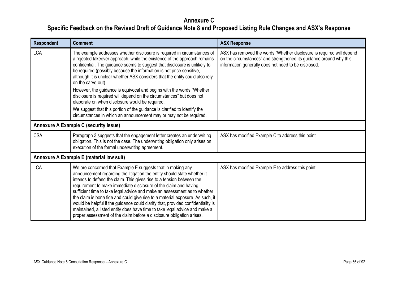| <b>Respondent</b> | <b>Comment</b>                                                                                                                                                                                                                                                                                                                                                                                                                                                                                                                                                                                                                                                                                 | <b>ASX Response</b>                                                                                                                                                                                  |
|-------------------|------------------------------------------------------------------------------------------------------------------------------------------------------------------------------------------------------------------------------------------------------------------------------------------------------------------------------------------------------------------------------------------------------------------------------------------------------------------------------------------------------------------------------------------------------------------------------------------------------------------------------------------------------------------------------------------------|------------------------------------------------------------------------------------------------------------------------------------------------------------------------------------------------------|
| <b>LCA</b>        | The example addresses whether disclosure is required in circumstances of<br>a rejected takeover approach, while the existence of the approach remains<br>confidential. The guidance seems to suggest that disclosure is unlikely to<br>be required (possibly because the information is not price sensitive,<br>although it is unclear whether ASX considers that the entity could also rely<br>on the carve-out).                                                                                                                                                                                                                                                                             | ASX has removed the words "Whether disclosure is required will depend<br>on the circumstances" and strengthened its guidance around why this<br>information generally does not need to be disclosed. |
|                   | However, the guidance is equivocal and begins with the words "Whether<br>disclosure is required will depend on the circumstances" but does not<br>elaborate on when disclosure would be required.                                                                                                                                                                                                                                                                                                                                                                                                                                                                                              |                                                                                                                                                                                                      |
|                   | We suggest that this portion of the guidance is clarified to identify the<br>circumstances in which an announcement may or may not be required.                                                                                                                                                                                                                                                                                                                                                                                                                                                                                                                                                |                                                                                                                                                                                                      |
|                   | Annexure A Example C (security issue)                                                                                                                                                                                                                                                                                                                                                                                                                                                                                                                                                                                                                                                          |                                                                                                                                                                                                      |
| <b>CSA</b>        | Paragraph 3 suggests that the engagement letter creates an underwriting<br>obligation. This is not the case. The underwriting obligation only arises on<br>execution of the formal underwriting agreement.                                                                                                                                                                                                                                                                                                                                                                                                                                                                                     | ASX has modified Example C to address this point.                                                                                                                                                    |
|                   | Annexure A Example E (material law suit)                                                                                                                                                                                                                                                                                                                                                                                                                                                                                                                                                                                                                                                       |                                                                                                                                                                                                      |
| <b>LCA</b>        | We are concerned that Example E suggests that in making any<br>announcement regarding the litigation the entity should state whether it<br>intends to defend the claim. This gives rise to a tension between the<br>requirement to make immediate disclosure of the claim and having<br>sufficient time to take legal advice and make an assessment as to whether<br>the claim is bona fide and could give rise to a material exposure. As such, it<br>would be helpful if the guidance could clarify that, provided confidentiality is<br>maintained, a listed entity does have time to take legal advice and make a<br>proper assessment of the claim before a disclosure obligation arises. | ASX has modified Example E to address this point.                                                                                                                                                    |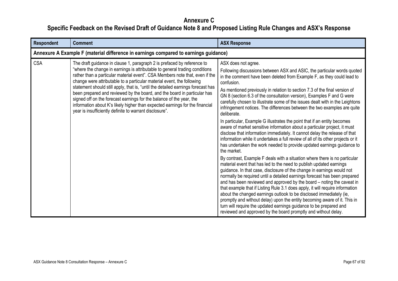| <b>Respondent</b> | <b>Comment</b>                                                                                                                                                                                                                                                                                                                                                                                                                                                                                                                                                                                                                                                                                      | <b>ASX Response</b>                                                                                                                                                                                                                                                                                                                                                                                                                                                                                                                                                                                                                                                                                                                                                                                                                                                                                                                                                                                                                                                                                                                                                                                                                                                                                                                                                                                                                                                                                                                                                                                                                            |
|-------------------|-----------------------------------------------------------------------------------------------------------------------------------------------------------------------------------------------------------------------------------------------------------------------------------------------------------------------------------------------------------------------------------------------------------------------------------------------------------------------------------------------------------------------------------------------------------------------------------------------------------------------------------------------------------------------------------------------------|------------------------------------------------------------------------------------------------------------------------------------------------------------------------------------------------------------------------------------------------------------------------------------------------------------------------------------------------------------------------------------------------------------------------------------------------------------------------------------------------------------------------------------------------------------------------------------------------------------------------------------------------------------------------------------------------------------------------------------------------------------------------------------------------------------------------------------------------------------------------------------------------------------------------------------------------------------------------------------------------------------------------------------------------------------------------------------------------------------------------------------------------------------------------------------------------------------------------------------------------------------------------------------------------------------------------------------------------------------------------------------------------------------------------------------------------------------------------------------------------------------------------------------------------------------------------------------------------------------------------------------------------|
|                   | Annexure A Example F (material difference in earnings compared to earnings guidance)                                                                                                                                                                                                                                                                                                                                                                                                                                                                                                                                                                                                                |                                                                                                                                                                                                                                                                                                                                                                                                                                                                                                                                                                                                                                                                                                                                                                                                                                                                                                                                                                                                                                                                                                                                                                                                                                                                                                                                                                                                                                                                                                                                                                                                                                                |
| <b>CSA</b>        | The draft guidance in clause 1, paragraph 2 is prefaced by reference to<br>"where the change in earnings is attributable to general trading conditions<br>rather than a particular material event". CSA Members note that, even if the<br>change were attributable to a particular material event, the following<br>statement should still apply, that is, "until the detailed earnings forecast has<br>been prepared and reviewed by the board, and the board in particular has<br>signed off on the forecast earnings for the balance of the year, the<br>information about K's likely higher than expected earnings for the financial<br>year is insufficiently definite to warrant disclosure". | ASX does not agree.<br>Following discussions between ASX and ASIC, the particular words quoted<br>in the comment have been deleted from Example F, as they could lead to<br>confusion.<br>As mentioned previously in relation to section 7.3 of the final version of<br>GN 8 (section 6.3 of the consultation version), Examples F and G were<br>carefully chosen to illustrate some of the issues dealt with in the Leightons<br>infringement notices. The differences between the two examples are quite<br>deliberate.<br>In particular, Example G illustrates the point that if an entity becomes<br>aware of market sensitive information about a particular project, it must<br>disclose that information immediately. It cannot delay the release of that<br>information while it undertakes a full review of all of its other projects or it<br>has undertaken the work needed to provide updated earnings guidance to<br>the market.<br>By contrast, Example F deals with a situation where there is no particular<br>material event that has led to the need to publish updated earnings<br>guidance. In that case, disclosure of the change in earnings would not<br>normally be required until a detailed earnings forecast has been prepared<br>and has been reviewed and approved by the board – noting the caveat in<br>that example that if Listing Rule 3.1 does apply, it will require information<br>about the changed earnings outlook to be disclosed immediately (ie,<br>promptly and without delay) upon the entity becoming aware of it. This in<br>turn will require the updated earnings guidance to be prepared and |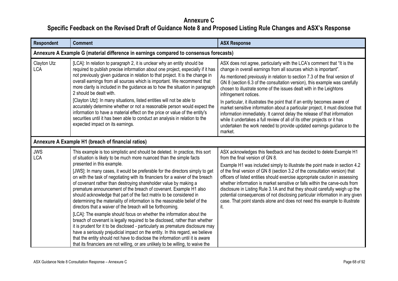| <b>Respondent</b>         | <b>Comment</b>                                                                                                                                                                                                                                                                                                                                                                                                                                                                                                                                                                                                                                                                                                                                                                                                                                                                                                                                                                                                                                                                                                                                                                                                   | <b>ASX Response</b>                                                                                                                                                                                                                                                                                                                                                                                                                                                                                                                                                                                                                                                                                                                                                                                                  |
|---------------------------|------------------------------------------------------------------------------------------------------------------------------------------------------------------------------------------------------------------------------------------------------------------------------------------------------------------------------------------------------------------------------------------------------------------------------------------------------------------------------------------------------------------------------------------------------------------------------------------------------------------------------------------------------------------------------------------------------------------------------------------------------------------------------------------------------------------------------------------------------------------------------------------------------------------------------------------------------------------------------------------------------------------------------------------------------------------------------------------------------------------------------------------------------------------------------------------------------------------|----------------------------------------------------------------------------------------------------------------------------------------------------------------------------------------------------------------------------------------------------------------------------------------------------------------------------------------------------------------------------------------------------------------------------------------------------------------------------------------------------------------------------------------------------------------------------------------------------------------------------------------------------------------------------------------------------------------------------------------------------------------------------------------------------------------------|
|                           | Annexure A Example G (material difference in earnings compared to consensus forecasts)                                                                                                                                                                                                                                                                                                                                                                                                                                                                                                                                                                                                                                                                                                                                                                                                                                                                                                                                                                                                                                                                                                                           |                                                                                                                                                                                                                                                                                                                                                                                                                                                                                                                                                                                                                                                                                                                                                                                                                      |
| Clayton Utz<br><b>LCA</b> | [LCA]: In relation to paragraph 2, it is unclear why an entity should be<br>required to publish precise information about one project, especially if it has<br>not previously given guidance in relation to that project. It is the change in<br>overall earnings from all sources which is important. We recommend that<br>more clarity is included in the guidance as to how the situation in paragraph<br>2 should be dealt with.<br>[Clayton Utz]: In many situations, listed entities will not be able to<br>accurately determine whether or not a reasonable person would expect the<br>information to have a material effect on the price or value of the entity's<br>securities until it has been able to conduct an analysis in relation to the<br>expected impact on its earnings.                                                                                                                                                                                                                                                                                                                                                                                                                     | ASX does not agree, particularly with the LCA's comment that "It is the<br>change in overall earnings from all sources which is important".<br>As mentioned previously in relation to section 7.3 of the final version of<br>GN 8 (section 6.3 of the consultation version), this example was carefully<br>chosen to illustrate some of the issues dealt with in the Leightons<br>infringement notices.<br>In particular, it illustrates the point that if an entity becomes aware of<br>market sensitive information about a particular project, it must disclose that<br>information immediately. It cannot delay the release of that information<br>while it undertakes a full review of all of its other projects or it has<br>undertaken the work needed to provide updated earnings guidance to the<br>market. |
|                           | Annexure A Example H1 (breach of financial ratios)                                                                                                                                                                                                                                                                                                                                                                                                                                                                                                                                                                                                                                                                                                                                                                                                                                                                                                                                                                                                                                                                                                                                                               |                                                                                                                                                                                                                                                                                                                                                                                                                                                                                                                                                                                                                                                                                                                                                                                                                      |
| <b>JWS</b><br><b>LCA</b>  | This example is too simplistic and should be deleted. In practice, this sort<br>of situation is likely to be much more nuanced than the simple facts<br>presented in this example.<br>[JWS]: In many cases, it would be preferable for the directors simply to get<br>on with the task of negotiating with its financiers for a waiver of the breach<br>of covenant rather than destroying shareholder value by making a<br>premature announcement of the breach of covenant. Example H1 also<br>should acknowledge that part of the fact matrix to be considered in<br>determining the materiality of information is the reasonable belief of the<br>directors that a waiver of the breach will be forthcoming.<br>[LCA]: The example should focus on whether the information about the<br>breach of covenant is legally required to be disclosed, rather than whether<br>it is prudent for it to be disclosed - particularly as premature disclosure may<br>have a seriously prejudicial impact on the entity. In this regard, we believe<br>that the entity should not have to disclose the information until it is aware<br>that its financiers are not willing, or are unlikely to be willing, to waive the | ASX acknowledges this feedback and has decided to delete Example H1<br>from the final version of GN 8.<br>Example H1 was included simply to illustrate the point made in section 4.2<br>of the final version of GN 8 (section 3.2 of the consultation version) that<br>officers of listed entities should exercise appropriate caution in assessing<br>whether information is market sensitive or falls within the carve-outs from<br>disclosure in Listing Rule 3.1A and that they should carefully weigh up the<br>potential consequences of not disclosing particular information in any given<br>case. That point stands alone and does not need this example to illustrate<br>it.                                                                                                                               |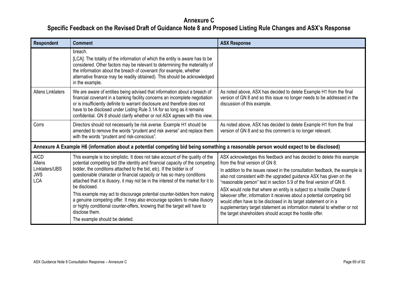| Respondent                                                          | <b>Comment</b>                                                                                                                                                                                                                                                                                                                                                                                                                                                                                                                                                                                                                                                                                                         | <b>ASX Response</b>                                                                                                                                                                                                                                                                                                                                                                                                                                                                                                                                                                                                                                                                                       |
|---------------------------------------------------------------------|------------------------------------------------------------------------------------------------------------------------------------------------------------------------------------------------------------------------------------------------------------------------------------------------------------------------------------------------------------------------------------------------------------------------------------------------------------------------------------------------------------------------------------------------------------------------------------------------------------------------------------------------------------------------------------------------------------------------|-----------------------------------------------------------------------------------------------------------------------------------------------------------------------------------------------------------------------------------------------------------------------------------------------------------------------------------------------------------------------------------------------------------------------------------------------------------------------------------------------------------------------------------------------------------------------------------------------------------------------------------------------------------------------------------------------------------|
|                                                                     | breach.<br>[LCA]: The totality of the information of which the entity is aware has to be<br>considered. Other factors may be relevant to determining the materiality of<br>the information about the breach of covenant (for example, whether<br>alternative finance may be readily obtained). This should be acknowledged<br>in the example.                                                                                                                                                                                                                                                                                                                                                                          |                                                                                                                                                                                                                                                                                                                                                                                                                                                                                                                                                                                                                                                                                                           |
| <b>Allens Linklaters</b>                                            | We are aware of entities being advised that information about a breach of<br>financial covenant in a banking facility concerns an incomplete negotiation<br>or is insufficiently definite to warrant disclosure and therefore does not<br>have to be disclosed under Listing Rule 3.1A for so long as it remains<br>confidential. GN 8 should clarify whether or not ASX agrees with this view.                                                                                                                                                                                                                                                                                                                        | As noted above, ASX has decided to delete Example H1 from the final<br>version of GN 8 and so this issue no longer needs to be addressed in the<br>discussion of this example.                                                                                                                                                                                                                                                                                                                                                                                                                                                                                                                            |
| Corrs                                                               | Directors should not necessarily be risk averse. Example H1 should be<br>amended to remove the words "prudent and risk averse" and replace them<br>with the words "prudent and risk-conscious".                                                                                                                                                                                                                                                                                                                                                                                                                                                                                                                        | As noted above, ASX has decided to delete Example H1 from the final<br>version of GN 8 and so this comment is no longer relevant.                                                                                                                                                                                                                                                                                                                                                                                                                                                                                                                                                                         |
|                                                                     | Annexure A Example H6 (information about a potential competing bid being something a reasonable person would expect to be disclosed)                                                                                                                                                                                                                                                                                                                                                                                                                                                                                                                                                                                   |                                                                                                                                                                                                                                                                                                                                                                                                                                                                                                                                                                                                                                                                                                           |
| <b>AICD</b><br>Allens<br>Linklaters/UBS<br><b>JWS</b><br><b>LCA</b> | This example is too simplistic. It does not take account of the quality of the<br>potential competing bid (the identity and financial capacity of the competing<br>bidder, the conditions attached to the bid, etc). If the bidder is of<br>questionable character or financial capacity or has so many conditions<br>attached that it is illusory, it may not be in the interest of the market for it to<br>be disclosed.<br>This example may act to discourage potential counter-bidders from making<br>a genuine competing offer. It may also encourage spoilers to make illusory<br>or highly conditional counter-offers, knowing that the target will have to<br>disclose them.<br>The example should be deleted. | ASX acknowledges this feedback and has decided to delete this example<br>from the final version of GN 8.<br>In addition to the issues raised in the consultation feedback, the example is<br>also not consistent with the upgraded guidance ASX has given on the<br>"reasonable person" test in section 5.9 of the final version of GN 8.<br>ASX would note that where an entity is subject to a hostile Chapter 6<br>takeover offer, information it receives about a potential competing bid<br>would often have to be disclosed in its target statement or in a<br>supplementary target statement as information material to whether or not<br>the target shareholders should accept the hostile offer. |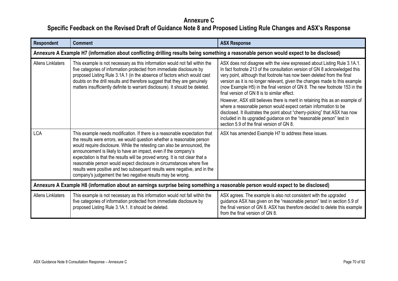| Respondent                                                                                                                      | <b>Comment</b>                                                                                                                                                                                                                                                                                                                                                                                                                                                                                                                                                                                           | <b>ASX Response</b>                                                                                                                                                                                                                                                                                                                                                                                                                                                                                                                                                                                                                                                                                                                                      |  |
|---------------------------------------------------------------------------------------------------------------------------------|----------------------------------------------------------------------------------------------------------------------------------------------------------------------------------------------------------------------------------------------------------------------------------------------------------------------------------------------------------------------------------------------------------------------------------------------------------------------------------------------------------------------------------------------------------------------------------------------------------|----------------------------------------------------------------------------------------------------------------------------------------------------------------------------------------------------------------------------------------------------------------------------------------------------------------------------------------------------------------------------------------------------------------------------------------------------------------------------------------------------------------------------------------------------------------------------------------------------------------------------------------------------------------------------------------------------------------------------------------------------------|--|
|                                                                                                                                 | Annexure A Example H7 (information about conflicting drilling results being something a reasonable person would expect to be disclosed)                                                                                                                                                                                                                                                                                                                                                                                                                                                                  |                                                                                                                                                                                                                                                                                                                                                                                                                                                                                                                                                                                                                                                                                                                                                          |  |
| <b>Allens Linklaters</b>                                                                                                        | This example is not necessary as this information would not fall within the<br>five categories of information protected from immediate disclosure by<br>proposed Listing Rule 3.1A.1 (in the absence of factors which would cast<br>doubts on the drill results and therefore suggest that they are genuinely<br>matters insufficiently definite to warrant disclosure). It should be deleted.                                                                                                                                                                                                           | ASX does not disagree with the view expressed about Listing Rule 3.1A.1.<br>In fact footnote 213 of the consultation version of GN 8 acknowledged this<br>very point, although that footnote has now been deleted from the final<br>version as it is no longer relevant, given the changes made to this example<br>(now Example H5) in the final version of GN 8. The new footnote 153 in the<br>final version of GN 8 is to similar effect.<br>However, ASX still believes there is merit in retaining this as an example of<br>where a reasonable person would expect certain information to be<br>disclosed. It illustrates the point about "cherry-picking" that ASX has now<br>included in its upgraded guidance on the "reasonable person" test in |  |
|                                                                                                                                 |                                                                                                                                                                                                                                                                                                                                                                                                                                                                                                                                                                                                          | section 5.9 of the final version of GN 8.                                                                                                                                                                                                                                                                                                                                                                                                                                                                                                                                                                                                                                                                                                                |  |
| <b>LCA</b>                                                                                                                      | This example needs modification. If there is a reasonable expectation that<br>the results were errors, we would question whether a reasonable person<br>would require disclosure. While the retesting can also be announced, the<br>announcement is likely to have an impact, even if the company's<br>expectation is that the results will be proved wrong. It is not clear that a<br>reasonable person would expect disclosure in circumstances where five<br>results were positive and two subsequent results were negative, and in the<br>company's judgement the two negative results may be wrong. | ASX has amended Example H7 to address these issues.                                                                                                                                                                                                                                                                                                                                                                                                                                                                                                                                                                                                                                                                                                      |  |
| Annexure A Example H8 (information about an earnings surprise being something a reasonable person would expect to be disclosed) |                                                                                                                                                                                                                                                                                                                                                                                                                                                                                                                                                                                                          |                                                                                                                                                                                                                                                                                                                                                                                                                                                                                                                                                                                                                                                                                                                                                          |  |
| <b>Allens Linklaters</b>                                                                                                        | This example is not necessary as this information would not fall within the<br>five categories of information protected from immediate disclosure by<br>proposed Listing Rule 3.1A.1. It should be deleted.                                                                                                                                                                                                                                                                                                                                                                                              | ASX agrees. The example is also not consistent with the upgraded<br>guidance ASX has given on the "reasonable person" test in section 5.9 of<br>the final version of GN 8. ASX has therefore decided to delete this example<br>from the final version of GN 8.                                                                                                                                                                                                                                                                                                                                                                                                                                                                                           |  |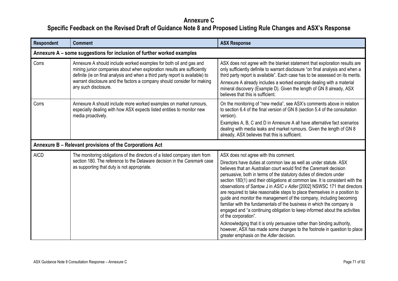| <b>Respondent</b> | <b>Comment</b>                                                                                                                                                                                                                                                                                                                    | <b>ASX Response</b>                                                                                                                                                                                                                                                                                                                                                                                                                                                                                                                                                                                                                                                                                                                                                                                                                                                                                                                                         |
|-------------------|-----------------------------------------------------------------------------------------------------------------------------------------------------------------------------------------------------------------------------------------------------------------------------------------------------------------------------------|-------------------------------------------------------------------------------------------------------------------------------------------------------------------------------------------------------------------------------------------------------------------------------------------------------------------------------------------------------------------------------------------------------------------------------------------------------------------------------------------------------------------------------------------------------------------------------------------------------------------------------------------------------------------------------------------------------------------------------------------------------------------------------------------------------------------------------------------------------------------------------------------------------------------------------------------------------------|
|                   | Annexure A – some suggestions for inclusion of further worked examples                                                                                                                                                                                                                                                            |                                                                                                                                                                                                                                                                                                                                                                                                                                                                                                                                                                                                                                                                                                                                                                                                                                                                                                                                                             |
| Corrs             | Annexure A should include worked examples for both oil and gas and<br>mining junior companies about when exploration results are sufficiently<br>definite (ie on final analysis and when a third party report is available) to<br>warrant disclosure and the factors a company should consider for making<br>any such disclosure. | ASX does not agree with the blanket statement that exploration results are<br>only sufficiently definite to warrant disclosure "on final analysis and when a<br>third party report is available". Each case has to be assessed on its merits.<br>Annexure A already includes a worked example dealing with a material<br>mineral discovery (Example D). Given the length of GN 8 already, ASX<br>believes that this is sufficient.                                                                                                                                                                                                                                                                                                                                                                                                                                                                                                                          |
| Corrs             | Annexure A should include more worked examples on market rumours,<br>especially dealing with how ASX expects listed entities to monitor new<br>media proactively.                                                                                                                                                                 | On the monitoring of "new media", see ASX's comments above in relation<br>to section 6.4 of the final version of GN 8 (section 5.4 of the consultation<br>version).<br>Examples A, B, C and D in Annexure A all have alternative fact scenarios<br>dealing with media leaks and market rumours. Given the length of GN 8<br>already, ASX believes that this is sufficient.                                                                                                                                                                                                                                                                                                                                                                                                                                                                                                                                                                                  |
|                   | Annexure B - Relevant provisions of the Corporations Act                                                                                                                                                                                                                                                                          |                                                                                                                                                                                                                                                                                                                                                                                                                                                                                                                                                                                                                                                                                                                                                                                                                                                                                                                                                             |
| <b>AICD</b>       | The monitoring obligations of the directors of a listed company stem from<br>section 180. The reference to the Delaware decision in the Caremark case<br>as supporting that duty is not appropriate.                                                                                                                              | ASX does not agree with this comment.<br>Directors have duties at common law as well as under statute. ASX<br>believes that an Australian court would find the Caremark decision<br>persuasive, both in terms of the statutory duties of directors under<br>section 180(1) and their obligations at common law. It is consistent with the<br>observations of Santow J in ASIC v Adler [2002] NSWSC 171 that directors<br>are required to take reasonable steps to place themselves in a position to<br>guide and monitor the management of the company, including becoming<br>familiar with the fundamentals of the business in which the company is<br>engaged and "a continuing obligation to keep informed about the activities<br>of the corporation".<br>Acknowledging that it is only persuasive rather than binding authority,<br>however, ASX has made some changes to the footnote in question to place<br>greater emphasis on the Adler decision. |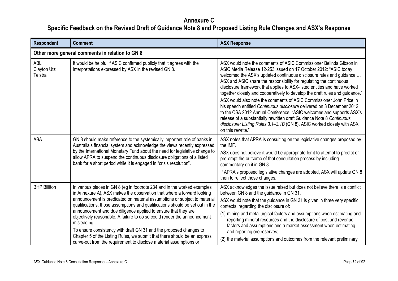| <b>Respondent</b>                    | <b>Comment</b>                                                                                                                                                                                                                                                                                                                                                                                                                                                                                                                                                                                                                                                                                         | <b>ASX Response</b>                                                                                                                                                                                                                                                                                                                                                                                                                                                                                                                                                                                                                                                                                                                                                                                                                                |  |
|--------------------------------------|--------------------------------------------------------------------------------------------------------------------------------------------------------------------------------------------------------------------------------------------------------------------------------------------------------------------------------------------------------------------------------------------------------------------------------------------------------------------------------------------------------------------------------------------------------------------------------------------------------------------------------------------------------------------------------------------------------|----------------------------------------------------------------------------------------------------------------------------------------------------------------------------------------------------------------------------------------------------------------------------------------------------------------------------------------------------------------------------------------------------------------------------------------------------------------------------------------------------------------------------------------------------------------------------------------------------------------------------------------------------------------------------------------------------------------------------------------------------------------------------------------------------------------------------------------------------|--|
|                                      | Other more general comments in relation to GN 8                                                                                                                                                                                                                                                                                                                                                                                                                                                                                                                                                                                                                                                        |                                                                                                                                                                                                                                                                                                                                                                                                                                                                                                                                                                                                                                                                                                                                                                                                                                                    |  |
| <b>ABL</b><br>Clayton Utz<br>Telstra | It would be helpful if ASIC confirmed publicly that it agrees with the<br>interpretations expressed by ASX in the revised GN 8.                                                                                                                                                                                                                                                                                                                                                                                                                                                                                                                                                                        | ASX would note the comments of ASIC Commissioner Belinda Gibson in<br>ASIC Media Release 12-253 issued on 17 October 2012: "ASIC today<br>welcomed the ASX's updated continuous disclosure rules and guidance<br>ASX and ASIC share the responsibility for regulating the continuous<br>disclosure framework that applies to ASX-listed entities and have worked<br>together closely and cooperatively to develop the draft rules and guidance."<br>ASX would also note the comments of ASIC Commissioner John Price in<br>his speech entitled Continuous disclosure delivered on 3 December 2012<br>to the CSA 2012 Annual Conference: "ASIC welcomes and supports ASX's<br>release of a substantially rewritten draft Guidance Note 8 Continuous<br>disclosure: Listing Rules 3.1-3.1B (GN 8). ASIC worked closely with ASX<br>on this rewrite." |  |
| ABA                                  | GN 8 should make reference to the systemically important role of banks in<br>Australia's financial system and acknowledge the views recently expressed<br>by the International Monetary Fund about the need for legislative change to<br>allow APRA to suspend the continuous disclosure obligations of a listed<br>bank for a short period while it is engaged in "crisis resolution".                                                                                                                                                                                                                                                                                                                | ASX notes that APRA is consulting on the legislative changes proposed by<br>the IMF.<br>ASX does not believe it would be appropriate for it to attempt to predict or<br>pre-empt the outcome of that consultation process by including<br>commentary on it in GN 8.<br>If APRA's proposed legislative changes are adopted, ASX will update GN 8<br>then to reflect those changes.                                                                                                                                                                                                                                                                                                                                                                                                                                                                  |  |
| <b>BHP Billiton</b>                  | In various places in GN 8 (eg in footnote 234 and in the worked examples<br>in Annexure A), ASX makes the observation that where a forward looking<br>announcement is predicated on material assumptions or subject to material<br>qualifications, those assumptions and qualifications should be set out in the<br>announcement and due diligence applied to ensure that they are<br>objectively reasonable. A failure to do so could render the announcement<br>misleading.<br>To ensure consistency with draft GN 31 and the proposed changes to<br>Chapter 5 of the Listing Rules, we submit that there should be an express<br>carve-out from the requirement to disclose material assumptions or | ASX acknowledges the issue raised but does not believe there is a conflict<br>between GN 8 and the guidance in GN 31.<br>ASX would note that the guidance in GN 31 is given in three very specific<br>contexts, regarding the disclosure of:<br>(1) mining and metallurgical factors and assumptions when estimating and<br>reporting mineral resources and the disclosure of cost and revenue<br>factors and assumptions and a market assessment when estimating<br>and reporting ore reserves;<br>(2) the material assumptions and outcomes from the relevant preliminary                                                                                                                                                                                                                                                                        |  |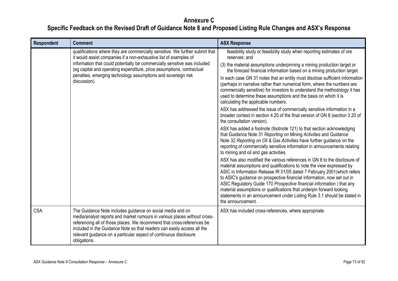| <b>Respondent</b> | <b>Comment</b>                                                                                                                                                                                                                                                                                                                                                                           | <b>ASX Response</b>                                                                                                                                                                                                                                                                                                                                                                                                                                                                                                                                                                                                                                                                                                                                                                                                                                                                                                                                                                                                                                                                                                                                                                                                                                                                                                                                                                                                                                                                                                                                                                                                                                                                                    |
|-------------------|------------------------------------------------------------------------------------------------------------------------------------------------------------------------------------------------------------------------------------------------------------------------------------------------------------------------------------------------------------------------------------------|--------------------------------------------------------------------------------------------------------------------------------------------------------------------------------------------------------------------------------------------------------------------------------------------------------------------------------------------------------------------------------------------------------------------------------------------------------------------------------------------------------------------------------------------------------------------------------------------------------------------------------------------------------------------------------------------------------------------------------------------------------------------------------------------------------------------------------------------------------------------------------------------------------------------------------------------------------------------------------------------------------------------------------------------------------------------------------------------------------------------------------------------------------------------------------------------------------------------------------------------------------------------------------------------------------------------------------------------------------------------------------------------------------------------------------------------------------------------------------------------------------------------------------------------------------------------------------------------------------------------------------------------------------------------------------------------------------|
|                   | qualifications where they are commercially sensitive. We further submit that<br>it would assist companies if a non-exhaustive list of examples of<br>information that could potentially be commercially sensitive was included<br>(eg capital and operating expenditure, price assumptions, contractual<br>penalties, emerging technology assumptions and sovereign risk<br>discussion). | feasibility study or feasibility study when reporting estimates of ore<br>reserves; and<br>(3) the material assumptions underpinning a mining production target or<br>the forecast financial information based on a mining production target.<br>In each case GN 31 notes that an entity must disclose sufficient information<br>(perhaps in narrative rather than numerical form, where the numbers are<br>commercially sensitive) for investors to understand the methodology it has<br>used to determine these assumptions and the basis on which it is<br>calculating the applicable numbers.<br>ASX has addressed the issue of commercially sensitive information in a<br>broader context in section 4.20 of the final version of GN 8 (section 3.20 of<br>the consultation version).<br>ASX has added a footnote (footnote 121) to that section acknowledging<br>that Guidance Note 31 Reporting on Mining Activities and Guidance<br>Note 32 Reporting on Oil & Gas Activities have further guidance on the<br>reporting of commercially sensitive information in announcements relating<br>to mining and oil and gas activities.<br>ASX has also modified the various references in GN 8 to the disclosure of<br>material assumptions and qualifications to note the view expressed by<br>ASIC in Information Release IR 01/05 dated 7 February 2001(which refers<br>to ASIC's guidance on prospective financial information, now set out in<br>ASIC Regulatory Guide 170 Prospective financial information) that any<br>material assumptions or qualifications that underpin forward looking<br>statements in an announcement under Listing Rule 3.1 should be stated in<br>the announcement. |
| <b>CSA</b>        | The Guidance Note includes guidance on social media and on<br>media/analyst reports and market rumours in various places without cross-<br>referencing all of those places. We recommend that cross-references be<br>included in the Guidance Note so that readers can easily access all the<br>relevant guidance on a particular aspect of continuous disclosure<br>obligations.        | ASX has included cross-references, where appropriate.                                                                                                                                                                                                                                                                                                                                                                                                                                                                                                                                                                                                                                                                                                                                                                                                                                                                                                                                                                                                                                                                                                                                                                                                                                                                                                                                                                                                                                                                                                                                                                                                                                                  |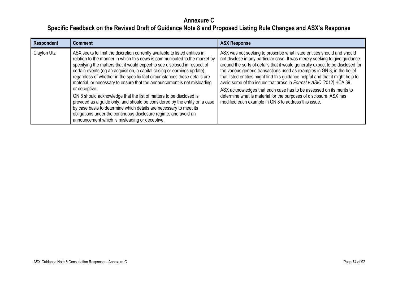| <b>Respondent</b> | <b>Comment</b>                                                                                                                                                                                                                                                                                                                                                                                                                                                                                                                                                                                                                                                                                                                                                                                                                                   | <b>ASX Response</b>                                                                                                                                                                                                                                                                                                                                                                                                                                                                                                                                                                                                                                                                  |
|-------------------|--------------------------------------------------------------------------------------------------------------------------------------------------------------------------------------------------------------------------------------------------------------------------------------------------------------------------------------------------------------------------------------------------------------------------------------------------------------------------------------------------------------------------------------------------------------------------------------------------------------------------------------------------------------------------------------------------------------------------------------------------------------------------------------------------------------------------------------------------|--------------------------------------------------------------------------------------------------------------------------------------------------------------------------------------------------------------------------------------------------------------------------------------------------------------------------------------------------------------------------------------------------------------------------------------------------------------------------------------------------------------------------------------------------------------------------------------------------------------------------------------------------------------------------------------|
| Clayton Utz       | ASX seeks to limit the discretion currently available to listed entities in<br>relation to the manner in which this news is communicated to the market by<br>specifying the matters that it would expect to see disclosed in respect of<br>certain events (eg an acquisition, a capital raising or earnings update),<br>regardless of whether in the specific fact circumstances these details are<br>material, or necessary to ensure that the announcement is not misleading<br>or deceptive.<br>GN 8 should acknowledge that the list of matters to be disclosed is<br>provided as a guide only, and should be considered by the entity on a case<br>by case basis to determine which details are necessary to meet its<br>obligations under the continuous disclosure regime, and avoid an<br>announcement which is misleading or deceptive. | ASX was not seeking to proscribe what listed entities should and should<br>not disclose in any particular case. It was merely seeking to give guidance<br>around the sorts of details that it would generally expect to be disclosed for<br>the various generic transactions used as examples in GN 8, in the belief<br>that listed entities might find this guidance helpful and that it might help to<br>avoid some of the issues that arose in Forrest v ASIC [2012] HCA 39.<br>ASX acknowledges that each case has to be assessed on its merits to<br>determine what is material for the purposes of disclosure. ASX has<br>modified each example in GN 8 to address this issue. |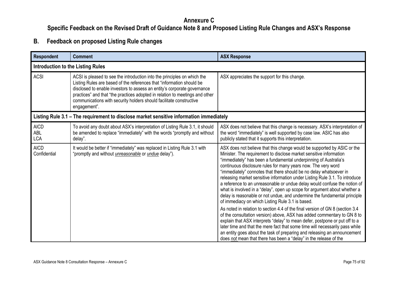#### **Annexure C**

**Specific Feedback on the Revised Draft of Guidance Note 8 and Proposed Listing Rule Changes and ASX's Response**

**B. Feedback on proposed Listing Rule changes**

| <b>Respondent</b>                       | <b>Comment</b>                                                                                                                                                                                                                                                                                                                                                                                       | <b>ASX Response</b>                                                                                                                                                                                                                                                                                                                                                                                                                                                                                                                                                                                                                                                                                                                                                                                                                                                                                                                                                                                                                                                                                                                                                                                            |  |
|-----------------------------------------|------------------------------------------------------------------------------------------------------------------------------------------------------------------------------------------------------------------------------------------------------------------------------------------------------------------------------------------------------------------------------------------------------|----------------------------------------------------------------------------------------------------------------------------------------------------------------------------------------------------------------------------------------------------------------------------------------------------------------------------------------------------------------------------------------------------------------------------------------------------------------------------------------------------------------------------------------------------------------------------------------------------------------------------------------------------------------------------------------------------------------------------------------------------------------------------------------------------------------------------------------------------------------------------------------------------------------------------------------------------------------------------------------------------------------------------------------------------------------------------------------------------------------------------------------------------------------------------------------------------------------|--|
|                                         | <b>Introduction to the Listing Rules</b>                                                                                                                                                                                                                                                                                                                                                             |                                                                                                                                                                                                                                                                                                                                                                                                                                                                                                                                                                                                                                                                                                                                                                                                                                                                                                                                                                                                                                                                                                                                                                                                                |  |
| <b>ACSI</b>                             | ACSI is pleased to see the introduction into the principles on which the<br>Listing Rules are based of the references that "information should be<br>disclosed to enable investors to assess an entity's corporate governance<br>practices" and that "the practices adopted in relation to meetings and other<br>communications with security holders should facilitate constructive<br>engagement". | ASX appreciates the support for this change.                                                                                                                                                                                                                                                                                                                                                                                                                                                                                                                                                                                                                                                                                                                                                                                                                                                                                                                                                                                                                                                                                                                                                                   |  |
|                                         | Listing Rule 3.1 – The requirement to disclose market sensitive information immediately                                                                                                                                                                                                                                                                                                              |                                                                                                                                                                                                                                                                                                                                                                                                                                                                                                                                                                                                                                                                                                                                                                                                                                                                                                                                                                                                                                                                                                                                                                                                                |  |
| <b>AICD</b><br><b>ABL</b><br><b>LCA</b> | To avoid any doubt about ASX's interpretation of Listing Rule 3.1, it should<br>be amended to replace "immediately" with the words "promptly and without<br>delay".                                                                                                                                                                                                                                  | ASX does not believe that this change is necessary. ASX's interpretation of<br>the word "immediately" is well supported by case law. ASIC has also<br>publicly stated that it supports this interpretation.                                                                                                                                                                                                                                                                                                                                                                                                                                                                                                                                                                                                                                                                                                                                                                                                                                                                                                                                                                                                    |  |
| <b>AICD</b><br>Confidential             | It would be better if "immediately" was replaced in Listing Rule 3.1 with<br>"promptly and without <i>unreasonable</i> or <i>undue</i> delay").                                                                                                                                                                                                                                                      | ASX does not believe that this change would be supported by ASIC or the<br>Minister. The requirement to disclose market sensitive information<br>"immediately" has been a fundamental underpinning of Australia's<br>continuous disclosure rules for many years now. The very word<br>"immediately" connotes that there should be no delay whatsoever in<br>releasing market sensitive information under Listing Rule 3.1. To introduce<br>a reference to an unreasonable or undue delay would confuse the notion of<br>what is involved in a "delay", open up scope for argument about whether a<br>delay is reasonable or not undue, and undermine the fundamental principle<br>of immediacy on which Listing Rule 3.1 is based.<br>As noted in relation to section 4.4 of the final version of GN 8 (section 3.4<br>of the consultation version) above, ASX has added commentary to GN 8 to<br>explain that ASX interprets "delay" to mean defer, postpone or put off to a<br>later time and that the mere fact that some time will necessarily pass while<br>an entity goes about the task of preparing and releasing an announcement<br>does not mean that there has been a "delay" in the release of the |  |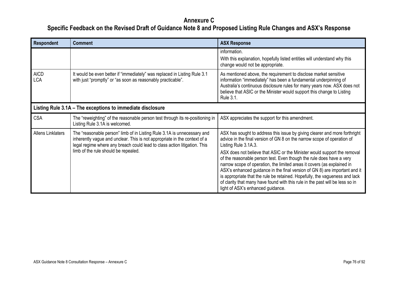| <b>Respondent</b>         | <b>Comment</b>                                                                                                                                                                                                                                                            | <b>ASX Response</b>                                                                                                                                                                                                                                                                                                                                                                                                                                                                                                                                                                                                                                                                             |
|---------------------------|---------------------------------------------------------------------------------------------------------------------------------------------------------------------------------------------------------------------------------------------------------------------------|-------------------------------------------------------------------------------------------------------------------------------------------------------------------------------------------------------------------------------------------------------------------------------------------------------------------------------------------------------------------------------------------------------------------------------------------------------------------------------------------------------------------------------------------------------------------------------------------------------------------------------------------------------------------------------------------------|
|                           |                                                                                                                                                                                                                                                                           | information.<br>With this explanation, hopefully listed entities will understand why this<br>change would not be appropriate.                                                                                                                                                                                                                                                                                                                                                                                                                                                                                                                                                                   |
| <b>AICD</b><br><b>LCA</b> | It would be even better if "immediately" was replaced in Listing Rule 3.1<br>with just "promptly" or "as soon as reasonably practicable".                                                                                                                                 | As mentioned above, the requirement to disclose market sensitive<br>information "immediately" has been a fundamental underpinning of<br>Australia's continuous disclosure rules for many years now. ASX does not<br>believe that ASIC or the Minister would support this change to Listing<br>Rule 3.1.                                                                                                                                                                                                                                                                                                                                                                                         |
|                           | Listing Rule 3.1A - The exceptions to immediate disclosure                                                                                                                                                                                                                |                                                                                                                                                                                                                                                                                                                                                                                                                                                                                                                                                                                                                                                                                                 |
| <b>CSA</b>                | The "reweighting" of the reasonable person test through its re-positioning in<br>Listing Rule 3.1A is welcomed.                                                                                                                                                           | ASX appreciates the support for this amendment.                                                                                                                                                                                                                                                                                                                                                                                                                                                                                                                                                                                                                                                 |
| <b>Allens Linklaters</b>  | The "reasonable person" limb of in Listing Rule 3.1A is unnecessary and<br>inherently vague and unclear. This is not appropriate in the context of a<br>legal regime where any breach could lead to class action litigation. This<br>limb of the rule should be repealed. | ASX has sought to address this issue by giving clearer and more forthright<br>advice in the final version of GN 8 on the narrow scope of operation of<br>Listing Rule 3.1A.3.<br>ASX does not believe that ASIC or the Minister would support the removal<br>of the reasonable person test. Even though the rule does have a very<br>narrow scope of operation, the limited areas it covers (as explained in<br>ASX's enhanced guidance in the final version of GN 8) are important and it<br>is appropriate that the rule be retained. Hopefully, the vagueness and lack<br>of clarity that many have found with this rule in the past will be less so in<br>light of ASX's enhanced guidance. |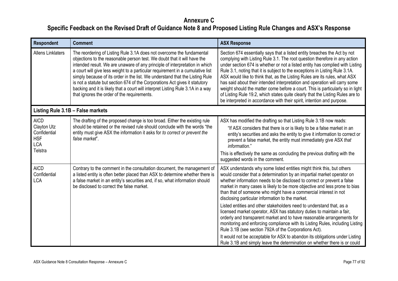| <b>Respondent</b>                                                                 | <b>Comment</b>                                                                                                                                                                                                                                                                                                                                                                                                                                                                                                                                                                                                      | <b>ASX Response</b>                                                                                                                                                                                                                                                                                                                                                                                                                                                                                                                                                                                                                                                                                                                                                                                                                                                                                                                                                |
|-----------------------------------------------------------------------------------|---------------------------------------------------------------------------------------------------------------------------------------------------------------------------------------------------------------------------------------------------------------------------------------------------------------------------------------------------------------------------------------------------------------------------------------------------------------------------------------------------------------------------------------------------------------------------------------------------------------------|--------------------------------------------------------------------------------------------------------------------------------------------------------------------------------------------------------------------------------------------------------------------------------------------------------------------------------------------------------------------------------------------------------------------------------------------------------------------------------------------------------------------------------------------------------------------------------------------------------------------------------------------------------------------------------------------------------------------------------------------------------------------------------------------------------------------------------------------------------------------------------------------------------------------------------------------------------------------|
| <b>Allens Linklaters</b>                                                          | The reordering of Listing Rule 3.1A does not overcome the fundamental<br>objections to the reasonable person test. We doubt that it will have the<br>intended result. We are unaware of any principle of interpretation in which<br>a court will give less weight to a particular requirement in a cumulative list<br>simply because of its order in the list. We understand that the Listing Rule<br>is not a statute but section 674 of the Corporations Act gives it statutory<br>backing and it is likely that a court will interpret Listing Rule 3.1A in a way<br>that ignores the order of the requirements. | Section 674 essentially says that a listed entity breaches the Act by not<br>complying with Listing Rule 3.1. The root question therefore in any action<br>under section 674 is whether or not a listed entity has complied with Listing<br>Rule 3.1, noting that it is subject to the exceptions in Listing Rule 3.1A.<br>ASX would like to think that, as the Listing Rules are its rules, what ASX<br>has said about their intended interpretation and operation will carry some<br>weight should the matter come before a court. This is particularly so in light<br>of Listing Rule 19.2, which states quite clearly that the Listing Rules are to<br>be interpreted in accordance with their spirit, intention and purpose.                                                                                                                                                                                                                                  |
|                                                                                   | Listing Rule 3.1B - False markets                                                                                                                                                                                                                                                                                                                                                                                                                                                                                                                                                                                   |                                                                                                                                                                                                                                                                                                                                                                                                                                                                                                                                                                                                                                                                                                                                                                                                                                                                                                                                                                    |
| <b>AICD</b><br>Clayton Utz<br>Confidential<br><b>HSF</b><br><b>LCA</b><br>Telstra | The drafting of the proposed change is too broad. Either the existing rule<br>should be retained or the revised rule should conclude with the words "the<br>entity must give ASX the information it asks for to correct or prevent the<br>false market".                                                                                                                                                                                                                                                                                                                                                            | ASX has modified the drafting so that Listing Rule 3.1B now reads:<br>"If ASX considers that there is or is likely to be a false market in an<br>entity's securities and asks the entity to give it information to correct or<br>prevent a false market, the entity must immediately give ASX that<br>information."<br>This is effectively the same as concluding the previous drafting with the<br>suggested words in the comment.                                                                                                                                                                                                                                                                                                                                                                                                                                                                                                                                |
| <b>AICD</b><br>Confidential<br><b>LCA</b>                                         | Contrary to the comment in the consultation document, the management of<br>a listed entity is often better placed than ASX to determine whether there is<br>a false market in an entity's securities and, if so, what information should<br>be disclosed to correct the false market.                                                                                                                                                                                                                                                                                                                               | ASX understands why some listed entities might think this, but others<br>would consider that a determination by an impartial market operator on<br>whether information needs to be disclosed to correct or prevent a false<br>market in many cases is likely to be more objective and less prone to bias<br>than that of someone who might have a commercial interest in not<br>disclosing particular information to the market.<br>Listed entities and other stakeholders need to understand that, as a<br>licensed market operator, ASX has statutory duties to maintain a fair,<br>orderly and transparent market and to have reasonable arrangements for<br>monitoring and enforcing compliance with its Listing Rules, including Listing<br>Rule 3.1B (see section 792A of the Corporations Act).<br>It would not be acceptable for ASX to abandon its obligations under Listing<br>Rule 3.1B and simply leave the determination on whether there is or could |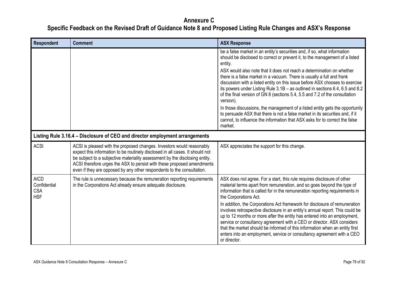| <b>Respondent</b>                                       | <b>Comment</b>                                                                                                                                                                                                                                                                                                                                                                            | <b>ASX Response</b>                                                                                                                                                                                                                                                                                                                                                                                                                                                                                                                                                                                                                                                                                                                                                                                                                           |
|---------------------------------------------------------|-------------------------------------------------------------------------------------------------------------------------------------------------------------------------------------------------------------------------------------------------------------------------------------------------------------------------------------------------------------------------------------------|-----------------------------------------------------------------------------------------------------------------------------------------------------------------------------------------------------------------------------------------------------------------------------------------------------------------------------------------------------------------------------------------------------------------------------------------------------------------------------------------------------------------------------------------------------------------------------------------------------------------------------------------------------------------------------------------------------------------------------------------------------------------------------------------------------------------------------------------------|
|                                                         |                                                                                                                                                                                                                                                                                                                                                                                           | be a false market in an entity's securities and, if so, what information<br>should be disclosed to correct or prevent it, to the management of a listed<br>entity.<br>ASX would also note that it does not reach a determination on whether<br>there is a false market in a vacuum. There is usually a full and frank<br>discussion with a listed entity on this issue before ASX chooses to exercise<br>its powers under Listing Rule 3.1B - as outlined in sections 6.4, 6.5 and 8.2<br>of the final version of GN 8 (sections 5.4, 5.5 and 7.2 of the consultation<br>version).<br>In those discussions, the management of a listed entity gets the opportunity<br>to persuade ASX that there is not a false market in its securities and, if it<br>cannot, to influence the information that ASX asks for to correct the false<br>market. |
|                                                         | Listing Rule 3.16.4 - Disclosure of CEO and director employment arrangements                                                                                                                                                                                                                                                                                                              |                                                                                                                                                                                                                                                                                                                                                                                                                                                                                                                                                                                                                                                                                                                                                                                                                                               |
| <b>ACSI</b>                                             | ACSI is pleased with the proposed changes. Investors would reasonably<br>expect this information to be routinely disclosed in all cases. It should not<br>be subject to a subjective materiality assessment by the disclosing entity.<br>ACSI therefore urges the ASX to persist with these proposed amendments<br>even if they are opposed by any other respondents to the consultation. | ASX appreciates the support for this change.                                                                                                                                                                                                                                                                                                                                                                                                                                                                                                                                                                                                                                                                                                                                                                                                  |
| <b>AICD</b><br>Confidential<br><b>CSA</b><br><b>HSF</b> | The rule is unnecessary because the remuneration reporting requirements<br>in the Corporations Act already ensure adequate disclosure.                                                                                                                                                                                                                                                    | ASX does not agree. For a start, this rule requires disclosure of other<br>material terms apart from remuneration, and so goes beyond the type of<br>information that is called for in the remuneration reporting requirements in<br>the Corporations Act.<br>In addition, the Corporations Act framework for disclosure of remuneration<br>involves retrospective disclosure in an entity's annual report. This could be<br>up to 12 months or more after the entity has entered into an employment,<br>service or consultancy agreement with a CEO or director. ASX considers<br>that the market should be informed of this information when an entity first                                                                                                                                                                                |
|                                                         |                                                                                                                                                                                                                                                                                                                                                                                           | enters into an employment, service or consultancy agreement with a CEO<br>or director.                                                                                                                                                                                                                                                                                                                                                                                                                                                                                                                                                                                                                                                                                                                                                        |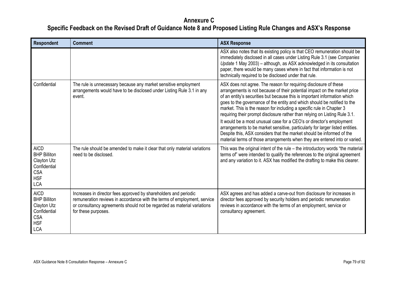| <b>Respondent</b>                                                                                           | <b>Comment</b>                                                                                                                                                                                                                                 | <b>ASX Response</b>                                                                                                                                                                                                                                                                                                                                                                                                                                                                                                                                                                                                                                                                                                                                                           |
|-------------------------------------------------------------------------------------------------------------|------------------------------------------------------------------------------------------------------------------------------------------------------------------------------------------------------------------------------------------------|-------------------------------------------------------------------------------------------------------------------------------------------------------------------------------------------------------------------------------------------------------------------------------------------------------------------------------------------------------------------------------------------------------------------------------------------------------------------------------------------------------------------------------------------------------------------------------------------------------------------------------------------------------------------------------------------------------------------------------------------------------------------------------|
|                                                                                                             |                                                                                                                                                                                                                                                | ASX also notes that its existing policy is that CEO remuneration should be<br>immediately disclosed in all cases under Listing Rule 3.1 (see Companies<br>Update 1 May 2003) - although, as ASX acknowledged in its consultation<br>paper, there would be many cases where in fact that information is not<br>technically required to be disclosed under that rule.                                                                                                                                                                                                                                                                                                                                                                                                           |
| Confidential                                                                                                | The rule is unnecessary because any market sensitive employment<br>arrangements would have to be disclosed under Listing Rule 3.1 in any<br>event.                                                                                             | ASX does not agree. The reason for requiring disclosure of these<br>arrangements is not because of their potential impact on the market price<br>of an entity's securities but because this is important information which<br>goes to the governance of the entity and which should be notified to the<br>market. This is the reason for including a specific rule in Chapter 3<br>requiring their prompt disclosure rather than relying on Listing Rule 3.1.<br>It would be a most unusual case for a CEO's or director's employment<br>arrangements to be market sensitive, particularly for larger listed entities.<br>Despite this, ASX considers that the market should be informed of the<br>material terms of those arrangements when they are entered into or varied. |
| <b>AICD</b><br><b>BHP Billiton</b><br>Clayton Utz<br>Confidential<br><b>CSA</b><br><b>HSF</b><br><b>LCA</b> | The rule should be amended to make it clear that only material variations<br>need to be disclosed.                                                                                                                                             | This was the original intent of the rule – the introductory words "the material<br>terms of" were intended to qualify the references to the original agreement<br>and any variation to it. ASX has modified the drafting to make this clearer.                                                                                                                                                                                                                                                                                                                                                                                                                                                                                                                                |
| <b>AICD</b><br><b>BHP Billiton</b><br>Clayton Utz<br>Confidential<br><b>CSA</b><br><b>HSF</b><br><b>LCA</b> | Increases in director fees approved by shareholders and periodic<br>remuneration reviews in accordance with the terms of employment, service<br>or consultancy agreements should not be regarded as material variations<br>for these purposes. | ASX agrees and has added a carve-out from disclosure for increases in<br>director fees approved by security holders and periodic remuneration<br>reviews in accordance with the terms of an employment, service or<br>consultancy agreement.                                                                                                                                                                                                                                                                                                                                                                                                                                                                                                                                  |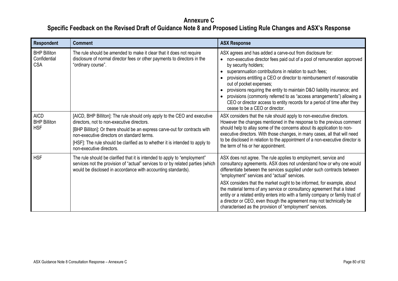| Respondent                                        | <b>Comment</b>                                                                                                                                                                                                                                                                                                                                                  | <b>ASX Response</b>                                                                                                                                                                                                                                                                                                                                                                                                                                                                                                                                                                                                                             |
|---------------------------------------------------|-----------------------------------------------------------------------------------------------------------------------------------------------------------------------------------------------------------------------------------------------------------------------------------------------------------------------------------------------------------------|-------------------------------------------------------------------------------------------------------------------------------------------------------------------------------------------------------------------------------------------------------------------------------------------------------------------------------------------------------------------------------------------------------------------------------------------------------------------------------------------------------------------------------------------------------------------------------------------------------------------------------------------------|
| <b>BHP Billiton</b><br>Confidential<br><b>CSA</b> | The rule should be amended to make it clear that it does not require<br>disclosure of normal director fees or other payments to directors in the<br>"ordinary course".                                                                                                                                                                                          | ASX agrees and has added a carve-out from disclosure for:<br>non-executive director fees paid out of a pool of remuneration approved<br>by security holders;<br>superannuation contributions in relation to such fees;<br>provisions entitling a CEO or director to reimbursement of reasonable<br>out of pocket expenses;<br>provisions requiring the entity to maintain D&O liability insurance; and<br>provisions (commonly referred to as "access arrangements") allowing a<br>CEO or director access to entity records for a period of time after they<br>cease to be a CEO or director.                                                   |
| <b>AICD</b><br><b>BHP Billiton</b><br><b>HSF</b>  | [AICD, BHP Billiton]: The rule should only apply to the CEO and executive<br>directors, not to non-executive directors.<br>[BHP Billiton]: Or there should be an express carve-out for contracts with<br>non-executive directors on standard terms.<br>[HSF]: The rule should be clarified as to whether it is intended to apply to<br>non-executive directors. | ASX considers that the rule should apply to non-executive directors.<br>However the changes mentioned in the response to the previous comment<br>should help to allay some of the concerns about its application to non-<br>executive directors. With those changes, in many cases, all that will need<br>to be disclosed in relation to the appointment of a non-executive director is<br>the term of his or her appointment.                                                                                                                                                                                                                  |
| <b>HSF</b>                                        | The rule should be clarified that it is intended to apply to "employment"<br>services not the provision of "actual" services to or by related parties (which<br>would be disclosed in accordance with accounting standards).                                                                                                                                    | ASX does not agree. The rule applies to employment, service and<br>consultancy agreements. ASX does not understand how or why one would<br>differentiate between the services supplied under such contracts between<br>"employment" services and "actual" services.<br>ASX considers that the market ought to be informed, for example, about<br>the material terms of any service or consultancy agreement that a listed<br>entity or a related entity enters into with a family company or family trust of<br>a director or CEO, even though the agreement may not technically be<br>characterised as the provision of "employment" services. |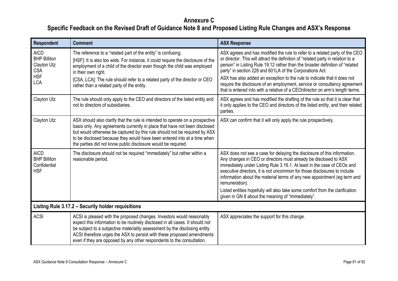| <b>Respondent</b>                                                                           | <b>Comment</b>                                                                                                                                                                                                                                                                                                                                                                            | <b>ASX Response</b>                                                                                                                                                                                                                                                                                                                                                                                                                                                                                                                                   |
|---------------------------------------------------------------------------------------------|-------------------------------------------------------------------------------------------------------------------------------------------------------------------------------------------------------------------------------------------------------------------------------------------------------------------------------------------------------------------------------------------|-------------------------------------------------------------------------------------------------------------------------------------------------------------------------------------------------------------------------------------------------------------------------------------------------------------------------------------------------------------------------------------------------------------------------------------------------------------------------------------------------------------------------------------------------------|
| <b>AICD</b><br><b>BHP Billiton</b><br>Clayton Utz<br><b>CSA</b><br><b>HSF</b><br><b>LCA</b> | The reference to a "related part of the entity" is confusing.<br>[HSF]: It is also too wide. For instance, it could require the disclosure of the<br>employment of a child of the director even though the child was employed<br>in their own right.<br>[CSA, LCA]: The rule should refer to a related party of the director or CEO<br>rather than a related party of the entity.         | ASX agrees and has modified the rule to refer to a related party of the CEO<br>or director. This will attract the definition of "related party in relation to a<br>person" in Listing Rule 19.12 rather than the broader definition of "related<br>party" in section 228 and 601LA of the Corporations Act.<br>ASX has also added an exception to the rule to indicate that it does not<br>require the disclosure of an employment, service or consultancy agreement<br>that is entered into with a relative of a CEO/director on arm's length terms. |
| Clayton Utz                                                                                 | The rule should only apply to the CEO and directors of the listed entity and<br>not to directors of subsidiaries.                                                                                                                                                                                                                                                                         | ASX agrees and has modified the drafting of the rule so that it is clear that<br>it only applies to the CEO and directors of the listed entity, and their related<br>parties.                                                                                                                                                                                                                                                                                                                                                                         |
| Clayton Utz                                                                                 | ASX should also clarify that the rule is intended to operate on a prospective<br>basis only. Any agreements currently in place that have not been disclosed<br>but would otherwise be captured by this rule should not be required by ASX<br>to be disclosed because they would have been entered into at a time when<br>the parties did not know public disclosure would be required.    | ASX can confirm that it will only apply the rule prospectively.                                                                                                                                                                                                                                                                                                                                                                                                                                                                                       |
| <b>AICD</b><br><b>BHP Billiton</b><br>Confidential<br><b>HSF</b>                            | The disclosure should not be required "immediately" but rather within a<br>reasonable period.                                                                                                                                                                                                                                                                                             | ASX does not see a case for delaying the disclosure of this information.<br>Any changes in CEO or directors must already be disclosed to ASX<br>immediately under Listing Rule 3.16.1. At least in the case of CEOs and<br>executive directors, it is not uncommon for those disclosures to include<br>information about the material terms of any new appointment (eg term and<br>remuneration).<br>Listed entities hopefully will also take some comfort from the clarification<br>given in GN 8 about the meaning of "immediately".                |
|                                                                                             | Listing Rule 3.17.2 - Security holder requisitions                                                                                                                                                                                                                                                                                                                                        |                                                                                                                                                                                                                                                                                                                                                                                                                                                                                                                                                       |
| <b>ACSI</b>                                                                                 | ACSI is pleased with the proposed changes. Investors would reasonably<br>expect this information to be routinely disclosed in all cases. It should not<br>be subject to a subjective materiality assessment by the disclosing entity.<br>ACSI therefore urges the ASX to persist with these proposed amendments<br>even if they are opposed by any other respondents to the consultation. | ASX appreciates the support for this change.                                                                                                                                                                                                                                                                                                                                                                                                                                                                                                          |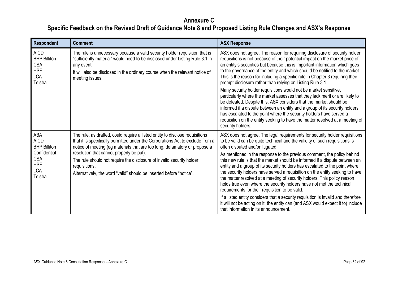| <b>Respondent</b>                                                                                              | <b>Comment</b>                                                                                                                                                                                                                                                                                                                                                                                                                                            | <b>ASX Response</b>                                                                                                                                                                                                                                                                                                                                                                                                                                                                                                                                                                                                                                                                                                                                                                                                                                                                                                                                           |
|----------------------------------------------------------------------------------------------------------------|-----------------------------------------------------------------------------------------------------------------------------------------------------------------------------------------------------------------------------------------------------------------------------------------------------------------------------------------------------------------------------------------------------------------------------------------------------------|---------------------------------------------------------------------------------------------------------------------------------------------------------------------------------------------------------------------------------------------------------------------------------------------------------------------------------------------------------------------------------------------------------------------------------------------------------------------------------------------------------------------------------------------------------------------------------------------------------------------------------------------------------------------------------------------------------------------------------------------------------------------------------------------------------------------------------------------------------------------------------------------------------------------------------------------------------------|
| <b>AICD</b><br><b>BHP Billiton</b><br><b>CSA</b><br><b>HSF</b><br><b>LCA</b><br>Telstra                        | The rule is unnecessary because a valid security holder requisition that is<br>"sufficiently material" would need to be disclosed under Listing Rule 3.1 in<br>any event.<br>It will also be disclosed in the ordinary course when the relevant notice of<br>meeting issues.                                                                                                                                                                              | ASX does not agree. The reason for requiring disclosure of security holder<br>requisitions is not because of their potential impact on the market price of<br>an entity's securities but because this is important information which goes<br>to the governance of the entity and which should be notified to the market.<br>This is the reason for including a specific rule in Chapter 3 requiring their<br>prompt disclosure rather than relying on Listing Rule 3.1.<br>Many security holder requisitions would not be market sensitive,<br>particularly where the market assesses that they lack merit or are likely to<br>be defeated. Despite this, ASX considers that the market should be<br>informed if a dispute between an entity and a group of its security holders<br>has escalated to the point where the security holders have served a<br>requisition on the entity seeking to have the matter resolved at a meeting of<br>security holders. |
| ABA<br><b>AICD</b><br><b>BHP Billiton</b><br>Confidential<br><b>CSA</b><br><b>HSF</b><br><b>LCA</b><br>Telstra | The rule, as drafted, could require a listed entity to disclose requisitions<br>that it is specifically permitted under the Corporations Act to exclude from a<br>notice of meeting (eg materials that are too long, defamatory or propose a<br>resolution that cannot properly be put).<br>The rule should not require the disclosure of invalid security holder<br>requisitions.<br>Alternatively, the word "valid" should be inserted before "notice". | ASX does not agree. The legal requirements for security holder requisitions<br>to be valid can be quite technical and the validity of such requisitions is<br>often disputed and/or litigated.<br>As mentioned in the response to the previous comment, the policy behind<br>this new rule is that the market should be informed if a dispute between an<br>entity and a group of its security holders has escalated to the point where<br>the security holders have served a requisition on the entity seeking to have<br>the matter resolved at a meeting of security holders. This policy reason<br>holds true even where the security holders have not met the technical<br>requirements for their requisition to be valid.<br>If a listed entity considers that a security requisition is invalid and therefore<br>it will not be acting on it, the entity can (and ASX would expect it to) include<br>that information in its announcement.             |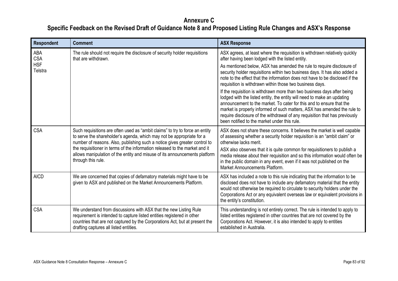| Respondent            | <b>Comment</b>                                                                                                                                                                                                                                                                                                                                                                                                         | <b>ASX Response</b>                                                                                                                                                                                                                                                                                                                                                                                                                   |
|-----------------------|------------------------------------------------------------------------------------------------------------------------------------------------------------------------------------------------------------------------------------------------------------------------------------------------------------------------------------------------------------------------------------------------------------------------|---------------------------------------------------------------------------------------------------------------------------------------------------------------------------------------------------------------------------------------------------------------------------------------------------------------------------------------------------------------------------------------------------------------------------------------|
| ABA<br><b>CSA</b>     | The rule should not require the disclosure of security holder requisitions<br>that are withdrawn.                                                                                                                                                                                                                                                                                                                      | ASX agrees, at least where the requisition is withdrawn relatively quickly<br>after having been lodged with the listed entity.                                                                                                                                                                                                                                                                                                        |
| <b>HSF</b><br>Telstra |                                                                                                                                                                                                                                                                                                                                                                                                                        | As mentioned below, ASX has amended the rule to require disclosure of<br>security holder requisitions within two business days. It has also added a<br>note to the effect that the information does not have to be disclosed if the<br>requisition is withdrawn within those two business days.                                                                                                                                       |
|                       |                                                                                                                                                                                                                                                                                                                                                                                                                        | If the requisition is withdrawn more than two business days after being<br>lodged with the listed entity, the entity will need to make an updating<br>announcement to the market. To cater for this and to ensure that the<br>market is properly informed of such matters, ASX has amended the rule to<br>require disclosure of the withdrawal of any requisition that has previously<br>been notified to the market under this rule. |
| <b>CSA</b>            | Such requisitions are often used as "ambit claims" to try to force an entity<br>to serve the shareholder's agenda, which may not be appropriate for a<br>number of reasons. Also, publishing such a notice gives greater control to<br>the requisitioner in terms of the information released to the market and it<br>allows manipulation of the entity and misuse of its announcements platform<br>through this rule. | ASX does not share these concerns. It believes the market is well capable<br>of assessing whether a security holder requisition is an "ambit claim" or<br>otherwise lacks merit.                                                                                                                                                                                                                                                      |
|                       |                                                                                                                                                                                                                                                                                                                                                                                                                        | ASX also observes that it is quite common for requisitioners to publish a<br>media release about their requisition and so this information would often be<br>in the public domain in any event, even if it was not published on the<br>Market Announcements Platform.                                                                                                                                                                 |
| <b>AICD</b>           | We are concerned that copies of defamatory materials might have to be<br>given to ASX and published on the Market Announcements Platform.                                                                                                                                                                                                                                                                              | ASX has included a note to this rule indicating that the information to be<br>disclosed does not have to include any defamatory material that the entity<br>would not otherwise be required to circulate to security holders under the<br>Corporations Act or any equivalent overseas law or equivalent provisions in<br>the entity's constitution.                                                                                   |
| <b>CSA</b>            | We understand from discussions with ASX that the new Listing Rule<br>requirement is intended to capture listed entities registered in other<br>countries that are not captured by the Corporations Act, but at present the<br>drafting captures all listed entities.                                                                                                                                                   | This understanding is not entirely correct. The rule is intended to apply to<br>listed entities registered in other countries that are not covered by the<br>Corporations Act. However, it is also intended to apply to entities<br>established in Australia.                                                                                                                                                                         |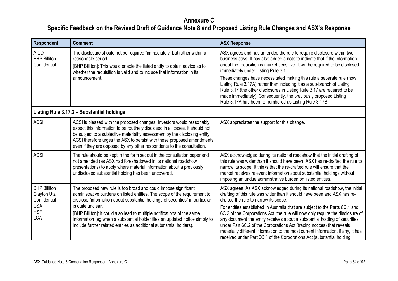| Respondent                                                                                   | <b>Comment</b>                                                                                                                                                                                                                                                                                                                                                                                                                                                                         | <b>ASX Response</b>                                                                                                                                                                                                                                                                                                                                                                                                                                                                                                                                                                                                                                                                   |
|----------------------------------------------------------------------------------------------|----------------------------------------------------------------------------------------------------------------------------------------------------------------------------------------------------------------------------------------------------------------------------------------------------------------------------------------------------------------------------------------------------------------------------------------------------------------------------------------|---------------------------------------------------------------------------------------------------------------------------------------------------------------------------------------------------------------------------------------------------------------------------------------------------------------------------------------------------------------------------------------------------------------------------------------------------------------------------------------------------------------------------------------------------------------------------------------------------------------------------------------------------------------------------------------|
| <b>AICD</b><br><b>BHP Billiton</b><br>Confidential                                           | The disclosure should not be required "immediately" but rather within a<br>reasonable period.<br>[BHP Billiton]: This would enable the listed entity to obtain advice as to<br>whether the requisition is valid and to include that information in its<br>announcement.                                                                                                                                                                                                                | ASX agrees and has amended the rule to require disclosure within two<br>business days. It has also added a note to indicate that if the information<br>about the requisition is market sensitive, it will be required to be disclosed<br>immediately under Listing Rule 3.1.<br>These changes have necessitated making this rule a separate rule (now<br>Listing Rule 3.17A) rather than including it as a sub-branch of Listing<br>Rule 3.17 (the other disclosures in Listing Rule 3.17 are required to be<br>made immediately). Consequently, the previously proposed Listing<br>Rule 3.17A has been re-numbered as Listing Rule 3.17B.                                            |
|                                                                                              | Listing Rule 3.17.3 - Substantial holdings                                                                                                                                                                                                                                                                                                                                                                                                                                             |                                                                                                                                                                                                                                                                                                                                                                                                                                                                                                                                                                                                                                                                                       |
| <b>ACSI</b>                                                                                  | ACSI is pleased with the proposed changes. Investors would reasonably<br>expect this information to be routinely disclosed in all cases. It should not<br>be subject to a subjective materiality assessment by the disclosing entity.<br>ACSI therefore urges the ASX to persist with these proposed amendments<br>even if they are opposed by any other respondents to the consultation.                                                                                              | ASX appreciates the support for this change.                                                                                                                                                                                                                                                                                                                                                                                                                                                                                                                                                                                                                                          |
| <b>ACSI</b>                                                                                  | The rule should be kept in the form set out in the consultation paper and<br>not amended (as ASX had foreshadowed in its national roadshow<br>presentations) to apply where material information about a previously<br>undisclosed substantial holding has been uncovered.                                                                                                                                                                                                             | ASX acknowledged during its national roadshow that the initial drafting of<br>this rule was wider than it should have been. ASX has re-drafted the rule to<br>narrow its scope. It thinks that the re-drafted rule will ensure that the<br>market receives relevant information about substantial holdings without<br>imposing an undue administrative burden on listed entities.                                                                                                                                                                                                                                                                                                     |
| <b>BHP Billiton</b><br>Clayton Utz<br>Confidential<br><b>CSA</b><br><b>HSF</b><br><b>LCA</b> | The proposed new rule is too broad and could impose significant<br>administrative burdens on listed entities. The scope of the requirement to<br>disclose "information about substantial holdings of securities" in particular<br>is quite unclear.<br>[BHP Billiton]: it could also lead to multiple notifications of the same<br>information (eg when a substantial holder files an updated notice simply to<br>include further related entities as additional substantial holders). | ASX agrees. As ASX acknowledged during its national roadshow, the initial<br>drafting of this rule was wider than it should have been and ASX has re-<br>drafted the rule to narrow its scope.<br>For entities established in Australia that are subject to the Parts 6C.1 and<br>6C.2 of the Corporations Act, the rule will now only require the disclosure of<br>any document the entity receives about a substantial holding of securities<br>under Part 6C.2 of the Corporations Act (tracing notices) that reveals<br>materially different information to the most current information, if any, it has<br>received under Part 6C.1 of the Corporations Act (substantial holding |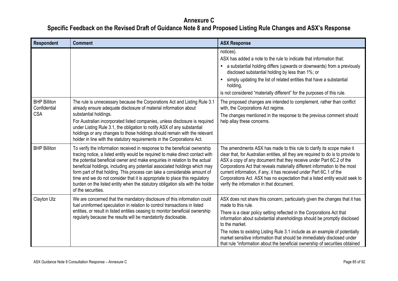| <b>Respondent</b>                                 | <b>Comment</b>                                                                                                                                                                                                                                                                                                                                                                                                                                                                                                                                                                               | <b>ASX Response</b>                                                                                                                                                                                                                                                                                                                                                                                                                                                                                                 |
|---------------------------------------------------|----------------------------------------------------------------------------------------------------------------------------------------------------------------------------------------------------------------------------------------------------------------------------------------------------------------------------------------------------------------------------------------------------------------------------------------------------------------------------------------------------------------------------------------------------------------------------------------------|---------------------------------------------------------------------------------------------------------------------------------------------------------------------------------------------------------------------------------------------------------------------------------------------------------------------------------------------------------------------------------------------------------------------------------------------------------------------------------------------------------------------|
|                                                   |                                                                                                                                                                                                                                                                                                                                                                                                                                                                                                                                                                                              | notices).<br>ASX has added a note to the rule to indicate that information that:<br>a substantial holding differs (upwards or downwards) from a previously<br>$\bullet$<br>disclosed substantial holding by less than 1%; or<br>simply updating the list of related entities that have a substantial<br>holding,<br>is not considered "materially different" for the purposes of this rule.                                                                                                                         |
| <b>BHP Billiton</b><br>Confidential<br><b>CSA</b> | The rule is unnecessary because the Corporations Act and Listing Rule 3.1<br>already ensure adequate disclosure of material information about<br>substantial holdings.<br>For Australian incorporated listed companies, unless disclosure is required<br>under Listing Rule 3.1, the obligation to notify ASX of any substantial<br>holdings or any changes to those holdings should remain with the relevant<br>holder in line with the statutory requirements in the Corporations Act.                                                                                                     | The proposed changes are intended to complement, rather than conflict<br>with, the Corporations Act regime.<br>The changes mentioned in the response to the previous comment should<br>help allay these concerns.                                                                                                                                                                                                                                                                                                   |
| <b>BHP Billiton</b>                               | To verify the information received in response to the beneficial ownership<br>tracing notice, a listed entity would be required to make direct contact with<br>the potential beneficial owner and make enquiries in relation to the actual<br>beneficial holdings, including any potential associated holdings which may<br>form part of that holding. This process can take a considerable amount of<br>time and we do not consider that it is appropriate to place this regulatory<br>burden on the listed entity when the statutory obligation sits with the holder<br>of the securities. | The amendments ASX has made to this rule to clarify its scope make it<br>clear that, for Australian entities, all they are required to do is to provide to<br>ASX a copy of any document that they receive under Part 6C.2 of the<br>Corporations Act that reveals materially different information to the most<br>current information, if any, it has received under Part 6C.1 of the<br>Corporations Act. ASX has no expectation that a listed entity would seek to<br>verify the information in that document.   |
| Clayton Utz                                       | We are concerned that the mandatory disclosure of this information could<br>fuel uninformed speculation in relation to control transactions in listed<br>entities, or result in listed entities ceasing to monitor beneficial ownership<br>regularly because the results will be mandatorily disclosable.                                                                                                                                                                                                                                                                                    | ASX does not share this concern, particularly given the changes that it has<br>made to this rule.<br>There is a clear policy setting reflected in the Corporations Act that<br>information about substantial shareholdings should be promptly disclosed<br>to the market.<br>The notes to existing Listing Rule 3.1 include as an example of potentially<br>market sensitive information that should be immediately disclosed under<br>that rule "information about the beneficial ownership of securities obtained |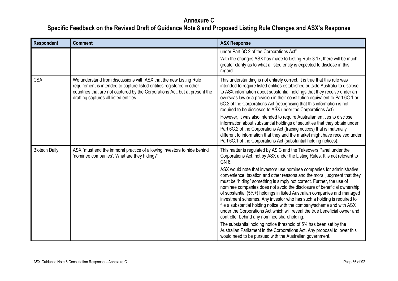| <b>Respondent</b>    | <b>Comment</b>                                                                                                                                                                                                                                                       | <b>ASX Response</b>                                                                                                                                                                                                                                                                                                                                                                                                                                                                                                                                                                                                                                                 |
|----------------------|----------------------------------------------------------------------------------------------------------------------------------------------------------------------------------------------------------------------------------------------------------------------|---------------------------------------------------------------------------------------------------------------------------------------------------------------------------------------------------------------------------------------------------------------------------------------------------------------------------------------------------------------------------------------------------------------------------------------------------------------------------------------------------------------------------------------------------------------------------------------------------------------------------------------------------------------------|
|                      |                                                                                                                                                                                                                                                                      | under Part 6C.2 of the Corporations Act".<br>With the changes ASX has made to Listing Rule 3.17, there will be much<br>greater clarity as to what a listed entity is expected to disclose in this<br>regard.                                                                                                                                                                                                                                                                                                                                                                                                                                                        |
| <b>CSA</b>           | We understand from discussions with ASX that the new Listing Rule<br>requirement is intended to capture listed entities registered in other<br>countries that are not captured by the Corporations Act, but at present the<br>drafting captures all listed entities. | This understanding is not entirely correct. It is true that this rule was<br>intended to require listed entities established outside Australia to disclose<br>to ASX information about substantial holdings that they receive under an<br>overseas law or a provision in their constitution equivalent to Part 6C.1 or<br>6C.2 of the Corporations Act (recognising that this information is not<br>required to be disclosed to ASX under the Corporations Act).                                                                                                                                                                                                    |
|                      |                                                                                                                                                                                                                                                                      | However, it was also intended to require Australian entities to disclose<br>information about substantial holdings of securities that they obtain under<br>Part 6C.2 of the Corporations Act (tracing notices) that is materially<br>different to information that they and the market might have received under<br>Part 6C.1 of the Corporations Act (substantial holding notices).                                                                                                                                                                                                                                                                                |
| <b>Biotech Daily</b> | ASX "must end the immoral practice of allowing investors to hide behind<br>'nominee companies'. What are they hiding?"                                                                                                                                               | This matter is regulated by ASIC and the Takeovers Panel under the<br>Corporations Act, not by ASX under the Listing Rules. It is not relevant to<br>GN 8.                                                                                                                                                                                                                                                                                                                                                                                                                                                                                                          |
|                      |                                                                                                                                                                                                                                                                      | ASX would note that investors use nominee companies for administrative<br>convenience, taxation and other reasons and the moral judgment that they<br>must be "hiding" something is simply not correct. Further, the use of<br>nominee companies does not avoid the disclosure of beneficial ownership<br>of substantial (5%+) holdings in listed Australian companies and managed<br>investment schemes. Any investor who has such a holding is required to<br>file a substantial holding notice with the company/scheme and with ASX<br>under the Corporations Act which will reveal the true beneficial owner and<br>controller behind any nominee shareholding. |
|                      |                                                                                                                                                                                                                                                                      | The substantial holding notice threshold of 5% has been set by the<br>Australian Parliament in the Corporations Act. Any proposal to lower this<br>would need to be pursued with the Australian government.                                                                                                                                                                                                                                                                                                                                                                                                                                                         |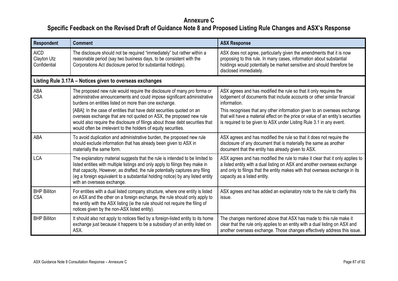| Respondent                                 | <b>Comment</b>                                                                                                                                                                                                                                                                                                                                                | <b>ASX Response</b>                                                                                                                                                                                                                                                       |
|--------------------------------------------|---------------------------------------------------------------------------------------------------------------------------------------------------------------------------------------------------------------------------------------------------------------------------------------------------------------------------------------------------------------|---------------------------------------------------------------------------------------------------------------------------------------------------------------------------------------------------------------------------------------------------------------------------|
| <b>AICD</b><br>Clayton Utz<br>Confidential | The disclosure should not be required "immediately" but rather within a<br>reasonable period (say two business days, to be consistent with the<br>Corporations Act disclosure period for substantial holdings).                                                                                                                                               | ASX does not agree, particularly given the amendments that it is now<br>proposing to this rule. In many cases, information about substantial<br>holdings would potentially be market sensitive and should therefore be<br>disclosed immediately.                          |
|                                            | Listing Rule 3.17A - Notices given to overseas exchanges                                                                                                                                                                                                                                                                                                      |                                                                                                                                                                                                                                                                           |
| ABA<br><b>CSA</b>                          | The proposed new rule would require the disclosure of many pro forma or<br>administrative announcements and could impose significant administrative<br>burdens on entities listed on more than one exchange.<br>[ABA]: In the case of entities that have debt securities quoted on an                                                                         | ASX agrees and has modified the rule so that it only requires the<br>lodgement of documents that include accounts or other similar financial<br>information.<br>This recognises that any other information given to an overseas exchange                                  |
|                                            | overseas exchange that are not quoted on ASX, the proposed new rule<br>would also require the disclosure of filings about those debt securities that<br>would often be irrelevant to the holders of equity securities.                                                                                                                                        | that will have a material effect on the price or value of an entity's securities<br>is required to be given to ASX under Listing Rule 3.1 in any event.                                                                                                                   |
| ABA                                        | To avoid duplication and administrative burden, the proposed new rule<br>should exclude information that has already been given to ASX in<br>materially the same form.                                                                                                                                                                                        | ASX agrees and has modified the rule so that it does not require the<br>disclosure of any document that is materially the same as another<br>document that the entity has already given to ASX.                                                                           |
| <b>LCA</b>                                 | The explanatory material suggests that the rule is intended to be limited to<br>listed entities with multiple listings and only apply to filings they make in<br>that capacity, However, as drafted, the rule potentially captures any filing<br>(eg a foreign equivalent to a substantial holding notice) by any listed entity<br>with an overseas exchange. | ASX agrees and has modified the rule to make it clear that it only applies to<br>a listed entity with a dual listing on ASX and another overseas exchange<br>and only to filings that the entity makes with that overseas exchange in its<br>capacity as a listed entity. |
| <b>BHP Billiton</b><br><b>CSA</b>          | For entities with a dual listed company structure, where one entity is listed<br>on ASX and the other on a foreign exchange, the rule should only apply to<br>the entity with the ASX listing (ie the rule should not require the filing of<br>notices given by the non-ASX listed entity).                                                                   | ASX agrees and has added an explanatory note to the rule to clarify this<br>issue.                                                                                                                                                                                        |
| <b>BHP Billiton</b>                        | It should also not apply to notices filed by a foreign-listed entity to its home<br>exchange just because it happens to be a subsidiary of an entity listed on<br>ASX.                                                                                                                                                                                        | The changes mentioned above that ASX has made to this rule make it<br>clear that the rule only applies to an entity with a dual listing on ASX and<br>another overseas exchange. Those changes effectively address this issue.                                            |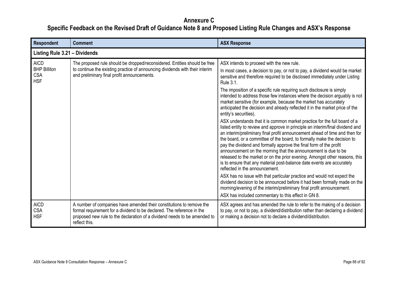| Respondent                                                     | <b>Comment</b>                                                                                                                                                                                                                               | <b>ASX Response</b>                                                                                                                                                                                                                                                                                                                                                                                                                                                                                                                                                                                                                                       |
|----------------------------------------------------------------|----------------------------------------------------------------------------------------------------------------------------------------------------------------------------------------------------------------------------------------------|-----------------------------------------------------------------------------------------------------------------------------------------------------------------------------------------------------------------------------------------------------------------------------------------------------------------------------------------------------------------------------------------------------------------------------------------------------------------------------------------------------------------------------------------------------------------------------------------------------------------------------------------------------------|
| Listing Rule 3.21 - Dividends                                  |                                                                                                                                                                                                                                              |                                                                                                                                                                                                                                                                                                                                                                                                                                                                                                                                                                                                                                                           |
| <b>AICD</b><br><b>BHP Billiton</b><br><b>CSA</b><br><b>HSF</b> | The proposed rule should be dropped/reconsidered. Entities should be free<br>to continue the existing practice of announcing dividends with their interim<br>and preliminary final profit announcements.                                     | ASX intends to proceed with the new rule.                                                                                                                                                                                                                                                                                                                                                                                                                                                                                                                                                                                                                 |
|                                                                |                                                                                                                                                                                                                                              | In most cases, a decision to pay, or not to pay, a dividend would be market<br>sensitive and therefore required to be disclosed immediately under Listing<br><b>Rule 3.1.</b>                                                                                                                                                                                                                                                                                                                                                                                                                                                                             |
|                                                                |                                                                                                                                                                                                                                              | The imposition of a specific rule requiring such disclosure is simply<br>intended to address those few instances where the decision arguably is not<br>market sensitive (for example, because the market has accurately<br>anticipated the decision and already reflected it in the market price of the<br>entity's securities).                                                                                                                                                                                                                                                                                                                          |
|                                                                |                                                                                                                                                                                                                                              | ASX understands that it is common market practice for the full board of a<br>listed entity to review and approve in principle an interim/final dividend and<br>an interim/preliminary final profit announcement ahead of time and then for<br>the board, or a committee of the board, to formally make the decision to<br>pay the dividend and formally approve the final form of the profit<br>announcement on the morning that the announcement is due to be<br>released to the market or on the prior evening. Amongst other reasons, this<br>is to ensure that any material post-balance date events are accurately<br>reflected in the announcement. |
|                                                                |                                                                                                                                                                                                                                              | ASX has no issue with that particular practice and would not expect the<br>dividend decision to be announced before it had been formally made on the<br>morning/evening of the interim/preliminary final profit announcement.<br>ASX has included commentary to this effect in GN 8.                                                                                                                                                                                                                                                                                                                                                                      |
| <b>AICD</b><br><b>CSA</b><br><b>HSF</b>                        | A number of companies have amended their constitutions to remove the<br>formal requirement for a dividend to be declared. The reference in the<br>proposed new rule to the declaration of a dividend needs to be amended to<br>reflect this. | ASX agrees and has amended the rule to refer to the making of a decision<br>to pay, or not to pay, a dividend/distribution rather than declaring a dividend<br>or making a decision not to declare a dividend/distribution.                                                                                                                                                                                                                                                                                                                                                                                                                               |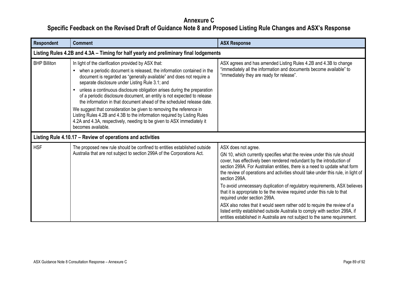| <b>Respondent</b>   | <b>Comment</b>                                                                                                                                                                                                                                                                                                                                                                                                                                                                          | <b>ASX Response</b>                                                                                                                                                                                                                                                                                                                                        |
|---------------------|-----------------------------------------------------------------------------------------------------------------------------------------------------------------------------------------------------------------------------------------------------------------------------------------------------------------------------------------------------------------------------------------------------------------------------------------------------------------------------------------|------------------------------------------------------------------------------------------------------------------------------------------------------------------------------------------------------------------------------------------------------------------------------------------------------------------------------------------------------------|
|                     | Listing Rules 4.2B and 4.3A – Timing for half yearly and preliminary final lodgements                                                                                                                                                                                                                                                                                                                                                                                                   |                                                                                                                                                                                                                                                                                                                                                            |
| <b>BHP Billiton</b> | In light of the clarification provided by ASX that:<br>when a periodic document is released, the information contained in the<br>document is regarded as "generally available" and does not require a<br>separate disclosure under Listing Rule 3.1; and<br>unless a continuous disclosure obligation arises during the preparation<br>of a periodic disclosure document, an entity is not expected to release<br>the information in that document ahead of the scheduled release date. | ASX agrees and has amended Listing Rules 4.2B and 4.3B to change<br>"immediately all the information and documents become available" to<br>"immediately they are ready for release".                                                                                                                                                                       |
|                     | We suggest that consideration be given to removing the reference in<br>Listing Rules 4.2B and 4.3B to the information required by Listing Rules<br>4.2A and 4.3A, respectively, needing to be given to ASX immediately it<br>becomes available.                                                                                                                                                                                                                                         |                                                                                                                                                                                                                                                                                                                                                            |
|                     | Listing Rule 4.10.17 – Review of operations and activities                                                                                                                                                                                                                                                                                                                                                                                                                              |                                                                                                                                                                                                                                                                                                                                                            |
| <b>HSF</b>          | The proposed new rule should be confined to entities established outside<br>Australia that are not subject to section 299A of the Corporations Act.                                                                                                                                                                                                                                                                                                                                     | ASX does not agree.<br>GN 10, which currently specifies what the review under this rule should<br>cover, has effectively been rendered redundant by the introduction of<br>section 299A. For Australian entities, there is a need to update what form<br>the review of operations and activities should take under this rule, in light of<br>section 299A. |
|                     |                                                                                                                                                                                                                                                                                                                                                                                                                                                                                         | To avoid unnecessary duplication of regulatory requirements, ASX believes<br>that it is appropriate to tie the review required under this rule to that<br>required under section 299A.                                                                                                                                                                     |
|                     |                                                                                                                                                                                                                                                                                                                                                                                                                                                                                         | ASX also notes that it would seem rather odd to require the review of a<br>listed entity established outside Australia to comply with section 299A, if<br>entities established in Australia are not subject to the same requirement.                                                                                                                       |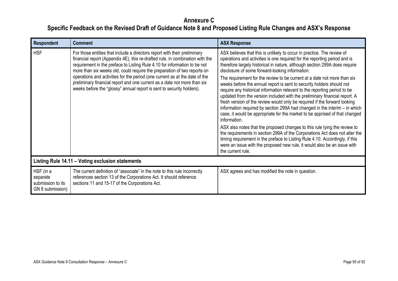| Respondent                                                     | <b>Comment</b>                                                                                                                                                                                                                                                                                                                                                                                                                                                                                                                                          | <b>ASX Response</b>                                                                                                                                                                                                                                                                                                                                                                                                                                                                                                                                                                                                                                                                                                                                                                                                                                                                                                                                                                                                                                                                                                                                                                                         |
|----------------------------------------------------------------|---------------------------------------------------------------------------------------------------------------------------------------------------------------------------------------------------------------------------------------------------------------------------------------------------------------------------------------------------------------------------------------------------------------------------------------------------------------------------------------------------------------------------------------------------------|-------------------------------------------------------------------------------------------------------------------------------------------------------------------------------------------------------------------------------------------------------------------------------------------------------------------------------------------------------------------------------------------------------------------------------------------------------------------------------------------------------------------------------------------------------------------------------------------------------------------------------------------------------------------------------------------------------------------------------------------------------------------------------------------------------------------------------------------------------------------------------------------------------------------------------------------------------------------------------------------------------------------------------------------------------------------------------------------------------------------------------------------------------------------------------------------------------------|
| <b>HSF</b>                                                     | For those entities that include a directors report with their preliminary<br>financial report (Appendix 4E), this re-drafted rule, in combination with the<br>requirement in the preface to Listing Rule 4.10 for information to be not<br>more than six weeks old, could require the preparation of two reports on<br>operations and activities for the period (one current as at the date of the<br>preliminary financial report and one current as a date not more than six<br>weeks before the "glossy" annual report is sent to security holders). | ASX believes that this is unlikely to occur in practice. The review of<br>operations and activities is one required for the reporting period and is<br>therefore largely historical in nature, although section 299A does require<br>disclosure of some forward-looking information.<br>The requirement for the review to be current at a date not more than six<br>weeks before the annual report is sent to security holders should not<br>require any historical information relevant to the reporting period to be<br>updated from the version included with the preliminary financial report. A<br>fresh version of the review would only be required if the forward looking<br>information required by section 299A had changed in the interim - in which<br>case, it would be appropriate for the market to be apprised of that changed<br>information.<br>ASX also notes that the proposed changes to this rule tying the review to<br>the requirements in section 299A of the Corporations Act does not alter the<br>timing requirement in the preface to Listing Rule 4.10. Accordingly, if this<br>were an issue with the proposed new rule, it would also be an issue with<br>the current rule. |
|                                                                | Listing Rule 14.11 - Voting exclusion statements                                                                                                                                                                                                                                                                                                                                                                                                                                                                                                        |                                                                                                                                                                                                                                                                                                                                                                                                                                                                                                                                                                                                                                                                                                                                                                                                                                                                                                                                                                                                                                                                                                                                                                                                             |
| HSF (in a<br>separate<br>submission to its<br>GN 8 submission) | The current definition of "associate" in the note to this rule incorrectly<br>references section 13 of the Corporations Act. It should reference<br>sections 11 and 15-17 of the Corporations Act.                                                                                                                                                                                                                                                                                                                                                      | ASX agrees and has modified the note in question.                                                                                                                                                                                                                                                                                                                                                                                                                                                                                                                                                                                                                                                                                                                                                                                                                                                                                                                                                                                                                                                                                                                                                           |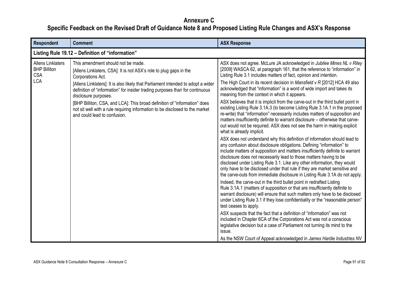| Respondent                                                                  | <b>Comment</b>                                                                                                                                                                            | <b>ASX Response</b>                                                                                                                                                                                                                                                                                                                                                                                                                                                                                                                                |
|-----------------------------------------------------------------------------|-------------------------------------------------------------------------------------------------------------------------------------------------------------------------------------------|----------------------------------------------------------------------------------------------------------------------------------------------------------------------------------------------------------------------------------------------------------------------------------------------------------------------------------------------------------------------------------------------------------------------------------------------------------------------------------------------------------------------------------------------------|
|                                                                             | Listing Rule 19.12 - Definition of "information"                                                                                                                                          |                                                                                                                                                                                                                                                                                                                                                                                                                                                                                                                                                    |
| <b>Allens Linklaters</b><br><b>BHP Billiton</b><br><b>CSA</b><br><b>LCA</b> | This amendment should not be made.<br>[Allens Linklaters, CSA]: It is not ASX's role to plug gaps in the<br>Corporations Act.                                                             | ASX does not agree. McLure JA acknowledged in Jubilee Mines NL v Riley<br>[2009] WASCA 62, at paragraph 161, that the reference to "information" in<br>Listing Rule 3.1 includes matters of fact, opinion and intention.                                                                                                                                                                                                                                                                                                                           |
|                                                                             | [Allens Linklaters]: It is also likely that Parliament intended to adopt a wider<br>definition of "information" for insider trading purposes than for continuous<br>disclosure purposes.  | The High Court in its recent decision in Mansfield $v \, R$ [2012] HCA 49 also<br>acknowledged that "information" is a word of wide import and takes its<br>meaning from the context in which it appears.                                                                                                                                                                                                                                                                                                                                          |
|                                                                             | [BHP Billiton, CSA, and LCA]: This broad definition of "information" does<br>not sit well with a rule requiring information to be disclosed to the market<br>and could lead to confusion. | ASX believes that it is implicit from the carve-out in the third bullet point in<br>existing Listing Rule 3.1A.3 (to become Listing Rule 3.1A.1 in the proposed<br>re-write) that "information" necessarily includes matters of supposition and<br>matters insufficiently definite to warrant disclosure - otherwise that carve-<br>out would not be required. ASX does not see the harm in making explicit<br>what is already implicit.                                                                                                           |
|                                                                             |                                                                                                                                                                                           | ASX does not understand why this definition of information should lead to<br>any confusion about disclosure obligations. Defining "information" to<br>include matters of supposition and matters insufficiently definite to warrant<br>disclosure does not necessarily lead to those matters having to be<br>disclosed under Listing Rule 3.1. Like any other information, they would<br>only have to be disclosed under that rule if they are market sensitive and<br>the carve-outs from immediate disclosure in Listing Rule 3.1A do not apply. |
|                                                                             |                                                                                                                                                                                           | Indeed, the carve-out in the third bullet point in redrafted Listing<br>Rule 3.1A.1 (matters of supposition or that are insufficiently definite to<br>warrant disclosure) will ensure that such matters only have to be disclosed<br>under Listing Rule 3.1 if they lose confidentiality or the "reasonable person"<br>test ceases to apply.                                                                                                                                                                                                       |
|                                                                             |                                                                                                                                                                                           | ASX suspects that the fact that a definition of "information" was not<br>included in Chapter 6CA of the Corporations Act was not a conscious<br>legislative decision but a case of Parliament not turning its mind to the<br>issue.                                                                                                                                                                                                                                                                                                                |
|                                                                             |                                                                                                                                                                                           | As the NSW Court of Appeal acknowledged in James Hardie Industries NV                                                                                                                                                                                                                                                                                                                                                                                                                                                                              |